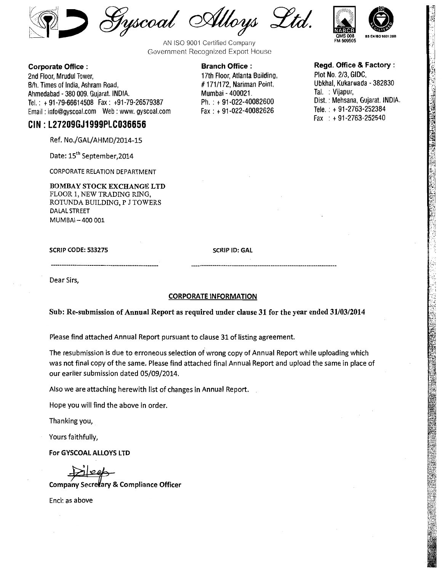Gyscoal Alloys Ltd.

AN ISO 9001 Certified Company Government Recognized Export House

**Branch Office:** 

Mumbai - 400021.

17th Floor, Atlanta Building,

#171/172, Nariman Point,

Ph.: +91-022-40082600

 $Fax: + 91-022-40082626$ 



Read. Office & Factory:

Plot No. 2/3. GIDC. Ubkhal, Kukarwada - 382830 Tal. : Vijapur, Dist. : Mehsana, Gujarat. INDIA. Tele.:  $+91-2763-252384$  $Fax : +91-2763-252540$ 

## **Corporate Office:**

2nd Floor, Mrudul Tower, B/h. Times of India, Ashram Road. Ahmedabad - 380 009. Guiarat. INDIA. Tel.: +91-79-66614508 Fax: +91-79-26579387 

# CIN: L27209GJ1999PLC036656

Ref. No./GAL/AHMD/2014-15

Date: 15<sup>th</sup> September, 2014

**CORPORATE RELATION DEPARTMENT** 

**BOMBAY STOCK EXCHANGE LTD** FLOOR 1, NEW TRADING RING, ROTUNDA BUILDING, P J TOWERS **DALAL STREET** MUMBAI-400 001

#### **SCRIP CODE: 533275**

**SCRIP ID: GAL** 

Dear Sirs.

#### **CORPORATE INFORMATION**

#### Sub: Re-submission of Annual Report as required under clause 31 for the year ended 31/03/2014

Please find attached Annual Report pursuant to clause 31 of listing agreement.

The resubmission is due to erroneous selection of wrong copy of Annual Report while uploading which was not final copy of the same. Please find attached final Annual Report and upload the same in place of our earlier submission dated 05/09/2014.

Also we are attaching herewith list of changes in Annual Report.

Hope you will find the above in order.

Thanking you,

Yours faithfully,

For GYSCOAL ALLOYS LTD

Company Secretary & Compliance Officer

Encl: as above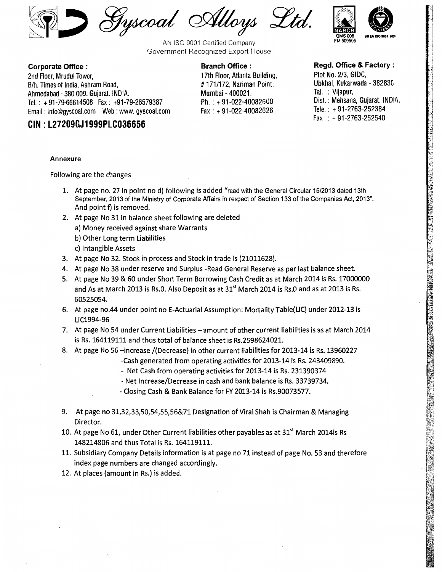Gyscoal Alloys Ltd.

AN ISO 9001 Certified Company Government Recognized Export House



#### **Corporate Office:**

2nd Floor, Mrudul Tower, B/h. Times of India, Ashram Road, Ahmedabad - 380 009. Gujarat. INDIA. Tel.: +91-79-66614508 Fax: +91-79-26579387 

# CIN: L27209GJ1999PLC036656

### **Branch Office:**

17th Floor, Atlanta Building, #171/172, Nariman Point, Mumbai - 400021. Ph.: + 91-022-40082600  $Fax: + 91-022-40082626$ 

# Regd. Office & Factory:

Plot No. 2/3, GIDC. Ubkhal, Kukarwada - 382830 Tal.: Vijapur. Dist. : Mehsana, Gujarat. INDIA. Tele.:  $+91-2763-252384$ Fax:  $+91-2763-252540$ 

### **Annexure**

Following are the changes

- 1. At page no. 27 in point no d) following is added "read with the General Circular 15/2013 dated 13th September, 2013 of the Ministry of Corporate Affairs in respect of Section 133 of the Companies Act, 2013". And point f) is removed.
- 2. At page No 31 in balance sheet following are deleted
	- a) Money received against share Warrants
	- b) Other Long term Liabilities
	- c) Intangible Assets
- 3. At page No 32. Stock in process and Stock in trade is (21011628).
- 4. At page No 38 under reserve and Surplus -Read General Reserve as per last balance sheet.
- 5. At page No 39 & 60 under Short Term Borrowing Cash Credit as at March 2014 is Rs. 17000000 and As at March 2013 is Rs.0. Also Deposit as at 31<sup>st</sup> March 2014 is Rs.0 and as at 2013 is Rs. 60525054.
- 6. At page no.44 under point no E-Actuarial Assumption: Mortality Table(LIC) under 2012-13 is LIC1994-96
- 7. At page No 54 under Current Liabilities amount of other current liabilities is as at March 2014 is Rs. 164119111 and thus total of balance sheet is Rs.2598624021.
- 8. At page No 56 -- increase /(Decrease) in other current liabilities for 2013-14 is Rs. 13960227
	- -Cash generated from operating activities for 2013-14 is Rs. 243409890.
		- Net Cash from operating activities for 2013-14 is Rs. 231390374
	- Net Increase/Decrease in cash and bank balance is Rs. 33739734.
	- Closing Cash & Bank Balance for FY 2013-14 is Rs.90073577.
- 9. At page no 31,32,33,50,54,55,56&71 Designation of Viral Shah is Chairman & Managing Director.
- 10. At page No 61, under Other Current liabilities other payables as at 31<sup>st</sup> March 2014 is Rs 148214806 and thus Total is Rs. 164119111.
- 11. Subsidiary Company Details information is at page no 71 instead of page No. 53 and therefore index page numbers are changed accordingly.
- 12. At places (amount in Rs.) is added.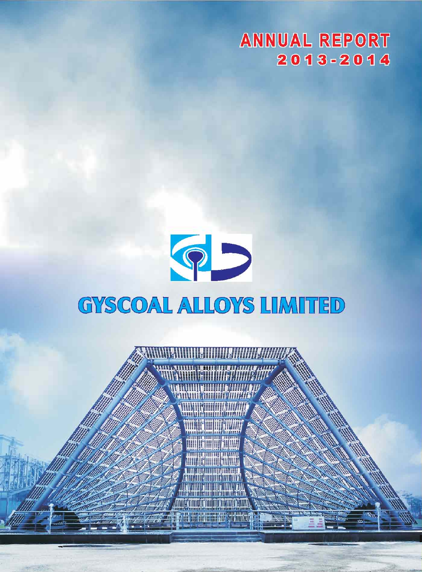

Mikhmini/m*i*hm

<u>montan</u>

<u>MAXIMIA MILLION ALIMIN SINI</u> **ANITAL PRODUCTION AND ALL AND ALL PROPERTY AND ALL PROPERTY AND ALL PROPERTY AND ALL PROPERTY AND A** Mar Than Mary Annal  $\overline{u}$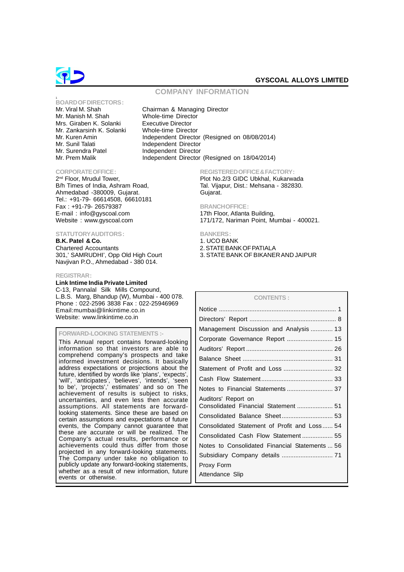

1

#### **GYSCOAL ALLOYS LIMITED**

#### **COMPANY INFORMATION**

# **BOARD OF DIRECTORS :**

Mrs. Giraben K. Solanki Executive Director<br>Mr. Zankarsinh K. Solanki Whole-time Director Mr. Zankarsinh K. Solanki<br>Mr. Kuren Amin Mr. Sunil Talati **Independent Director** Mr. Surendra Patel **Independent Director** 

Ahmedabad -380009, Gujarat. Cujarat. Tel.: +91-79- 66614508, 66610181 Fax : +91-79- 26579387 **BRANCH OFFICE :** E-mail : info@gyscoal.com 17th Floor, Atlanta Building,

**STATUTORY AUDITORS : BANKERS : B.K. Patel & Co.** Chartered Accountants 2. STATE BANK OF PATIALA 301,' SAMRUDHI', Opp Old High Court 3. STATE BANK OF BIKANER AND JAIPUR Navjivan P.O., Ahmedabad - 380 014.

#### **REGISTRAR :**

**Link Intime India Private Limited**

C-13, Pannalal Silk Mills Compound, L.B.S. Marg, Bhandup (W), Mumbai - 400 078. Phone : 022-2596 3838 Fax : 022-25946969 Email:mumbai@linkintime.co.in Website: www.linkintime.co.in

#### **FORWARD-LOOKING STATEMENTS :-**

This Annual report contains forward-looking information so that investors are able to comprehend company's prospects and take informed investment decisions. It basically address expectations or projections about the future, identified by words like 'plans', 'expects', 'will', 'anticipates', 'believes', 'intends', 'seen to be', 'projects',' estimates' and so on The achievement of results is subject to risks, uncertainties, and even less then accurate assumptions. All statements are forwardlooking statements. Since these are based on certain assumptions and expectations of future events, the Company cannot guarantee that these are accurate or will be realized. The Company's actual results, performance or achievements could thus differ from those projected in any forward-looking statements. The Company under take no obligation to publicly update any forward-looking statements, whether as a result of new information, future events or otherwise.

Mr. Viral M. Shah Chairman & Managing Director<br>
Mr. Manish M. Shah Whole-time Director Whole-time Director<br>Executive Director Independent Director (Resigned on 08/08/2014) Mr. Prem Malik Independent Director (Resigned on 18/04/2014)

**CORPORATE OFFICE : REGISTERED OFFICE & FACTORY :**

<sup>2nd</sup> Floor, Mrudul Tower, **Plot No.2/3 GIDC Ubkhal, Kukarwada**<br>B/h Times of India. Ashram Road. **Plot Protes Contains Tal. Viiapur. Dist.: Mehsana - 382830.** Tal. Vijapur, Dist.: Mehsana - 382830.

Website : www.gyscoal.com 171/172, Nariman Point, Mumbai - 400021.

#### **CONTENTS :**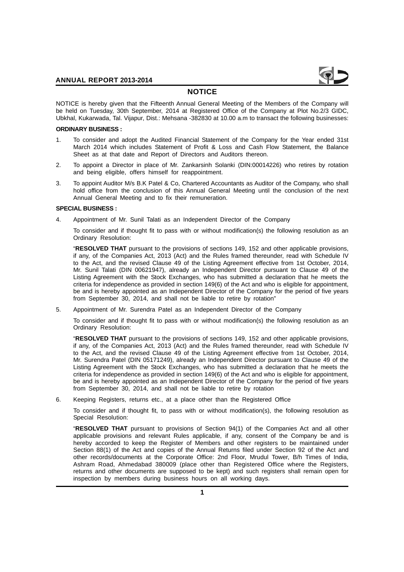

## **NOTICE**

NOTICE is hereby given that the Fifteenth Annual General Meeting of the Members of the Company will be held on Tuesday, 30th September, 2014 at Registered Office of the Company at Plot No.2/3 GIDC, Ubkhal, Kukarwada, Tal. Vijapur, Dist.: Mehsana -382830 at 10.00 a.m to transact the following businesses:

#### **ORDINARY BUSINESS :**

- 1. To consider and adopt the Audited Financial Statement of the Company for the Year ended 31st March 2014 which includes Statement of Profit & Loss and Cash Flow Statement, the Balance Sheet as at that date and Report of Directors and Auditors thereon.
- 2. To appoint a Director in place of Mr. Zankarsinh Solanki (DIN:00014226) who retires by rotation and being eligible, offers himself for reappointment.
- 3. To appoint Auditor M/s B.K Patel & Co, Chartered Accountants as Auditor of the Company, who shall hold office from the conclusion of this Annual General Meeting until the conclusion of the next Annual General Meeting and to fix their remuneration.

#### **SPECIAL BUSINESS :**

4. Appointment of Mr. Sunil Talati as an Independent Director of the Company

To consider and if thought fit to pass with or without modification(s) the following resolution as an Ordinary Resolution:

"**RESOLVED THAT** pursuant to the provisions of sections 149, 152 and other applicable provisions, if any, of the Companies Act, 2013 (Act) and the Rules framed thereunder, read with Schedule IV to the Act, and the revised Clause 49 of the Listing Agreement effective from 1st October, 2014, Mr. Sunil Talati (DIN 00621947), already an Independent Director pursuant to Clause 49 of the Listing Agreement with the Stock Exchanges, who has submitted a declaration that he meets the criteria for independence as provided in section 149(6) of the Act and who is eligible for appointment, be and is hereby appointed as an Independent Director of the Company for the period of five years from September 30, 2014, and shall not be liable to retire by rotation"

5. Appointment of Mr. Surendra Patel as an Independent Director of the Company

To consider and if thought fit to pass with or without modification(s) the following resolution as an Ordinary Resolution:

"**RESOLVED THAT** pursuant to the provisions of sections 149, 152 and other applicable provisions, if any, of the Companies Act, 2013 (Act) and the Rules framed thereunder, read with Schedule IV to the Act, and the revised Clause 49 of the Listing Agreement effective from 1st October, 2014, Mr. Surendra Patel (DIN 05171249), already an Independent Director pursuant to Clause 49 of the Listing Agreement with the Stock Exchanges, who has submitted a declaration that he meets the criteria for independence as provided in section 149(6) of the Act and who is eligible for appointment, be and is hereby appointed as an Independent Director of the Company for the period of five years from September 30, 2014, and shall not be liable to retire by rotation

6. Keeping Registers, returns etc., at a place other than the Registered Office

To consider and if thought fit, to pass with or without modification(s), the following resolution as Special Resolution:

"**RESOLVED THAT** pursuant to provisions of Section 94(1) of the Companies Act and all other applicable provisions and relevant Rules applicable, if any, consent of the Company be and is hereby accorded to keep the Register of Members and other registers to be maintained under Section 88(1) of the Act and copies of the Annual Returns filed under Section 92 of the Act and other records/documents at the Corporate Office: 2nd Floor, Mrudul Tower, B/h Times of India, Ashram Road, Ahmedabad 380009 (place other than Registered Office where the Registers, returns and other documents are supposed to be kept) and such registers shall remain open for inspection by members during business hours on all working days.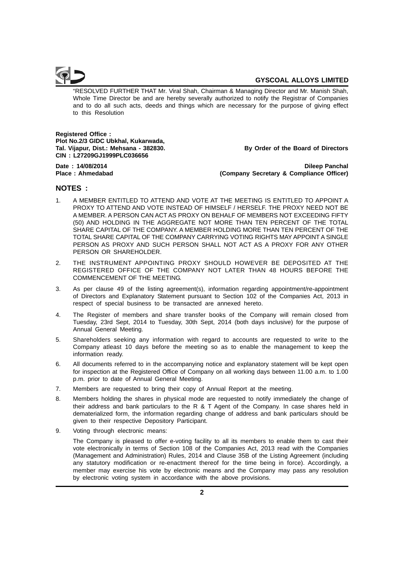

### **GYSCOAL ALLOYS LIMITED**

"RESOLVED FURTHER THAT Mr. Viral Shah, Chairman & Managing Director and Mr. Manish Shah, Whole Time Director be and are hereby severally authorized to notify the Registrar of Companies and to do all such acts, deeds and things which are necessary for the purpose of giving effect to this Resolution

**Registered Office : Plot No.2/3 GIDC Ubkhal, Kukarwada, Tal. Vijapur, Dist.: Mehsana - 382830. By Order of the Board of Directors CIN : L27209GJ1999PLC036656**

**Date : 14/08/2014 Dileep Panchal Place : Ahmedabad (Company Secretary & Compliance Officer)**

### **NOTES :**

- 1. A MEMBER ENTITLED TO ATTEND AND VOTE AT THE MEETING IS ENTITLED TO APPOINT A PROXY TO ATTEND AND VOTE INSTEAD OF HIMSELF / HERSELF. THE PROXY NEED NOT BE A MEMBER. A PERSON CAN ACT AS PROXY ON BEHALF OF MEMBERS NOT EXCEEDING FIFTY (50) AND HOLDING IN THE AGGREGATE NOT MORE THAN TEN PERCENT OF THE TOTAL SHARE CAPITAL OF THE COMPANY. A MEMBER HOLDING MORE THAN TEN PERCENT OF THE TOTAL SHARE CAPITAL OF THE COMPANY CARRYING VOTING RIGHTS MAY APPOINT A SINGLE PERSON AS PROXY AND SUCH PERSON SHALL NOT ACT AS A PROXY FOR ANY OTHER PERSON OR SHAREHOLDER.
- 2. THE INSTRUMENT APPOINTING PROXY SHOULD HOWEVER BE DEPOSITED AT THE REGISTERED OFFICE OF THE COMPANY NOT LATER THAN 48 HOURS BEFORE THE COMMENCEMENT OF THE MEETING.
- 3. As per clause 49 of the listing agreement(s), information regarding appointment/re-appointment of Directors and Explanatory Statement pursuant to Section 102 of the Companies Act, 2013 in respect of special business to be transacted are annexed hereto.
- 4. The Register of members and share transfer books of the Company will remain closed from Tuesday, 23rd Sept, 2014 to Tuesday, 30th Sept, 2014 (both days inclusive) for the purpose of Annual General Meeting.
- 5. Shareholders seeking any information with regard to accounts are requested to write to the Company atleast 10 days before the meeting so as to enable the management to keep the information ready.
- 6. All documents referred to in the accompanying notice and explanatory statement will be kept open for inspection at the Registered Office of Company on all working days between 11.00 a.m. to 1.00 p.m. prior to date of Annual General Meeting.
- 7. Members are requested to bring their copy of Annual Report at the meeting.
- 8. Members holding the shares in physical mode are requested to notify immediately the change of their address and bank particulars to the R & T Agent of the Company. In case shares held in dematerialized form, the information regarding change of address and bank particulars should be given to their respective Depository Participant.
- 9. Voting through electronic means:

The Company is pleased to offer e-voting facility to all its members to enable them to cast their vote electronically in terms of Section 108 of the Companies Act, 2013 read with the Companies (Management and Administration) Rules, 2014 and Clause 35B of the Listing Agreement (including any statutory modification or re-enactment thereof for the time being in force). Accordingly, a member may exercise his vote by electronic means and the Company may pass any resolution by electronic voting system in accordance with the above provisions.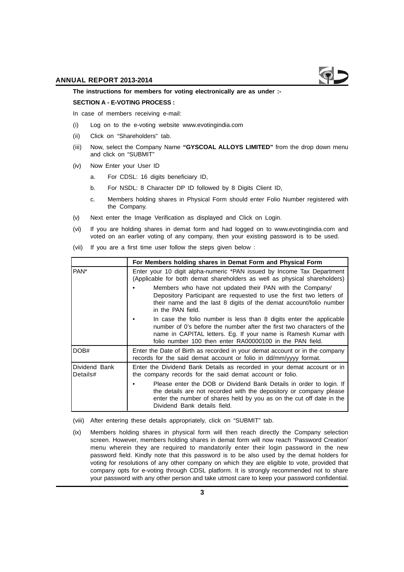

#### **The instructions for members for voting electronically are as under :-**

#### **SECTION A - E-VOTING PROCESS :**

In case of members receiving e-mail:

- (i) Log on to the e-voting website www.evotingindia.com
- (ii) Click on "Shareholders" tab.
- (iii) Now, select the Company Name **"GYSCOAL ALLOYS LIMITED"** from the drop down menu and click on "SUBMIT"
- (iv) Now Enter your User ID
	- a. For CDSL: 16 digits beneficiary ID,
	- b. For NSDL: 8 Character DP ID followed by 8 Digits Client ID,
	- c. Members holding shares in Physical Form should enter Folio Number registered with the Company.
- (v) Next enter the Image Verification as displayed and Click on Login.
- (vi) If you are holding shares in demat form and had logged on to www.evotingindia.com and voted on an earlier voting of any company, then your existing password is to be used.
- (vii) If you are a first time user follow the steps given below :

|                           | For Members holding shares in Demat Form and Physical Form                                                                                                                                                                                                                 |
|---------------------------|----------------------------------------------------------------------------------------------------------------------------------------------------------------------------------------------------------------------------------------------------------------------------|
| PAN <sup>*</sup>          | Enter your 10 digit alpha-numeric *PAN issued by Income Tax Department<br>(Applicable for both demat shareholders as well as physical shareholders)                                                                                                                        |
|                           | Members who have not updated their PAN with the Company/<br>Depository Participant are requested to use the first two letters of<br>their name and the last 8 digits of the demat account/folio number<br>in the PAN field.                                                |
|                           | In case the folio number is less than 8 digits enter the applicable<br>number of 0's before the number after the first two characters of the<br>name in CAPITAL letters. Eg. If your name is Ramesh Kumar with<br>folio number 100 then enter RA00000100 in the PAN field. |
| DOB#                      | Enter the Date of Birth as recorded in your demat account or in the company<br>records for the said demat account or folio in dd/mm/yyyy format.                                                                                                                           |
| Dividend Bank<br>Details# | Enter the Dividend Bank Details as recorded in your demat account or in<br>the company records for the said demat account or folio.                                                                                                                                        |
|                           | Please enter the DOB or Dividend Bank Details in order to login. If<br>the details are not recorded with the depository or company please<br>enter the number of shares held by you as on the cut off date in the<br>Dividend Bank details field.                          |

(viii) After entering these details appropriately, click on "SUBMIT" tab.

(ix) Members holding shares in physical form will then reach directly the Company selection screen. However, members holding shares in demat form will now reach 'Password Creation' menu wherein they are required to mandatorily enter their login password in the new password field. Kindly note that this password is to be also used by the demat holders for voting for resolutions of any other company on which they are eligible to vote, provided that company opts for e-voting through CDSL platform. It is strongly recommended not to share your password with any other person and take utmost care to keep your password confidential.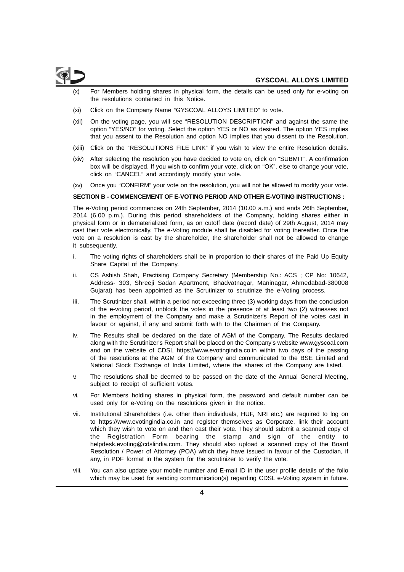

- For Members holding shares in physical form, the details can be used only for e-voting on the resolutions contained in this Notice.
- (xi) Click on the Company Name "GYSCOAL ALLOYS LIMITED" to vote.
- (xii) On the voting page, you will see "RESOLUTION DESCRIPTION" and against the same the option "YES/NO" for voting. Select the option YES or NO as desired. The option YES implies that you assent to the Resolution and option NO implies that you dissent to the Resolution.
- (xiii) Click on the "RESOLUTIONS FILE LINK" if you wish to view the entire Resolution details.
- (xiv) After selecting the resolution you have decided to vote on, click on "SUBMIT". A confirmation box will be displayed. If you wish to confirm your vote, click on "OK", else to change your vote, click on "CANCEL" and accordingly modify your vote.
- (xv) Once you "CONFIRM" your vote on the resolution, you will not be allowed to modify your vote.

#### **SECTION B - COMMENCEMENT OF E-VOTING PERIOD AND OTHER E-VOTING INSTRUCTIONS :**

The e-Voting period commences on 24th September, 2014 (10.00 a.m.) and ends 26th September, 2014 (6.00 p.m.). During this period shareholders of the Company, holding shares either in physical form or in dematerialized form, as on cutoff date (record date) of 29th August, 2014 may cast their vote electronically. The e-Voting module shall be disabled for voting thereafter. Once the vote on a resolution is cast by the shareholder, the shareholder shall not be allowed to change it subsequently.

- i. The voting rights of shareholders shall be in proportion to their shares of the Paid Up Equity Share Capital of the Company.
- ii. CS Ashish Shah, Practising Company Secretary (Membership No.: ACS ; CP No: 10642, Address- 303, Shreeji Sadan Apartment, Bhadvatnagar, Maninagar, Ahmedabad-380008 Gujarat) has been appointed as the Scrutinizer to scrutinize the e-Voting process.
- iii. The Scrutinizer shall, within a period not exceeding three (3) working days from the conclusion of the e-voting period, unblock the votes in the presence of at least two (2) witnesses not in the employment of the Company and make a Scrutinizer's Report of the votes cast in favour or against, if any and submit forth with to the Chairman of the Company.
- iv. The Results shall be declared on the date of AGM of the Company. The Results declared along with the Scrutinizer's Report shall be placed on the Company's website www.gyscoal.com and on the website of CDSL https://www.evotingindia.co.in within two days of the passing of the resolutions at the AGM of the Company and communicated to the BSE Limited and National Stock Exchange of India Limited, where the shares of the Company are listed.
- v. The resolutions shall be deemed to be passed on the date of the Annual General Meeting, subject to receipt of sufficient votes.
- vi. For Members holding shares in physical form, the password and default number can be used only for e-Voting on the resolutions given in the notice.
- vii. Institutional Shareholders (i.e. other than individuals, HUF, NRI etc.) are required to log on to https://www.evotingindia.co.in and register themselves as Corporate, link their account which they wish to vote on and then cast their vote. They should submit a scanned copy of the Registration Form bearing the stamp and sign of the entity to helpdesk.evoting@cdslindia.com. They should also upload a scanned copy of the Board Resolution / Power of Attorney (POA) which they have issued in favour of the Custodian, if any, in PDF format in the system for the scrutinizer to verify the vote.
- viii. You can also update your mobile number and E-mail ID in the user profile details of the folio which may be used for sending communication(s) regarding CDSL e-Voting system in future.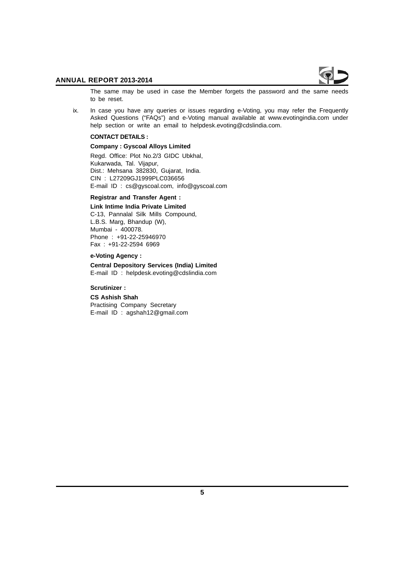

The same may be used in case the Member forgets the password and the same needs to be reset.

ix. In case you have any queries or issues regarding e-Voting, you may refer the Frequently Asked Questions ("FAQs") and e-Voting manual available at www.evotingindia.com under help section or write an email to helpdesk.evoting@cdslindia.com.

#### **CONTACT DETAILS :**

#### **Company : Gyscoal Alloys Limited**

Regd. Office: Plot No.2/3 GIDC Ubkhal, Kukarwada, Tal. Vijapur, Dist.: Mehsana 382830, Gujarat, India. CIN : L27209GJ1999PLC036656 E-mail ID : cs@gyscoal.com, info@gyscoal.com

#### **Registrar and Transfer Agent :**

**Link Intime India Private Limited** C-13, Pannalal Silk Mills Compound, L.B.S. Marg, Bhandup (W), Mumbai - 400078. Phone : +91-22-25946970 Fax : +91-22-2594 6969

#### **e-Voting Agency :**

**Central Depository Services (India) Limited** E-mail ID : helpdesk.evoting@cdslindia.com

#### **Scrutinizer :**

**CS Ashish Shah** Practising Company Secretary E-mail ID : agshah12@gmail.com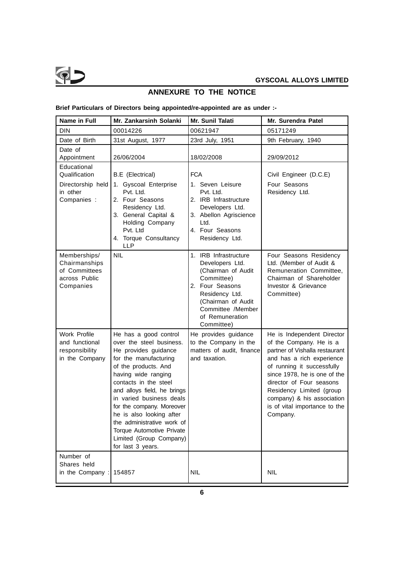

# **ANNEXURE TO THE NOTICE**

### **Brief Particulars of Directors being appointed/re-appointed are as under :-**

| Name in Full                                                                 | Mr. Zankarsinh Solanki                                                                                                                                                                                                                                                                                                                                                                                    | Mr. Sunil Talati                                                                                                                                                                              | Mr. Surendra Patel                                                                                                                                                                                                                                                                                                    |
|------------------------------------------------------------------------------|-----------------------------------------------------------------------------------------------------------------------------------------------------------------------------------------------------------------------------------------------------------------------------------------------------------------------------------------------------------------------------------------------------------|-----------------------------------------------------------------------------------------------------------------------------------------------------------------------------------------------|-----------------------------------------------------------------------------------------------------------------------------------------------------------------------------------------------------------------------------------------------------------------------------------------------------------------------|
| <b>DIN</b>                                                                   | 00014226                                                                                                                                                                                                                                                                                                                                                                                                  | 00621947                                                                                                                                                                                      | 05171249                                                                                                                                                                                                                                                                                                              |
| Date of Birth                                                                | 31st August, 1977                                                                                                                                                                                                                                                                                                                                                                                         | 23rd July, 1951                                                                                                                                                                               | 9th February, 1940                                                                                                                                                                                                                                                                                                    |
| Date of<br>Appointment                                                       | 26/06/2004                                                                                                                                                                                                                                                                                                                                                                                                | 18/02/2008                                                                                                                                                                                    | 29/09/2012                                                                                                                                                                                                                                                                                                            |
| Educational<br>Qualification<br>Directorship held<br>in other<br>Companies : | <b>B.E</b> (Electrical)<br>1. Gyscoal Enterprise<br>Pvt. Ltd.<br>2. Four Seasons<br>Residency Ltd.<br>3. General Capital &<br>Holding Company<br>Pvt. Ltd<br>4. Torque Consultancy<br><b>LLP</b>                                                                                                                                                                                                          | <b>FCA</b><br>1. Seven Leisure<br>Pvt. Ltd.<br>2. IRB Infrastructure<br>Developers Ltd.<br>3. Abellon Agriscience<br>Ltd.<br>4. Four Seasons<br>Residency Ltd.                                | Civil Engineer (D.C.E)<br>Four Seasons<br>Residency Ltd.                                                                                                                                                                                                                                                              |
| Memberships/<br>Chairmanships<br>of Committees<br>across Public<br>Companies | <b>NIL</b>                                                                                                                                                                                                                                                                                                                                                                                                | 1. IRB Infrastructure<br>Developers Ltd.<br>(Chairman of Audit<br>Committee)<br>2. Four Seasons<br>Residency Ltd.<br>(Chairman of Audit<br>Committee /Member<br>of Remuneration<br>Committee) | Four Seasons Residency<br>Ltd. (Member of Audit &<br>Remuneration Committee,<br>Chairman of Shareholder<br>Investor & Grievance<br>Committee)                                                                                                                                                                         |
| Work Profile<br>and functional<br>responsibility<br>in the Company           | He has a good control<br>over the steel business.<br>He provides guidance<br>for the manufacturing<br>of the products. And<br>having wide ranging<br>contacts in the steel<br>and alloys field, he brings<br>in varied business deals<br>for the company. Moreover<br>he is also looking after<br>the administrative work of<br>Torque Automotive Private<br>Limited (Group Company)<br>for last 3 years. | He provides guidance<br>to the Company in the<br>matters of audit, finance<br>and taxation.                                                                                                   | He is Independent Director<br>of the Company. He is a<br>partner of Vishalla restaurant<br>and has a rich experience<br>of running it successfully<br>since 1978, he is one of the<br>director of Four seasons<br>Residency Limited (group<br>company) & his association<br>is of vital importance to the<br>Company. |
| Number of<br>Shares held<br>in the Company :                                 | 154857                                                                                                                                                                                                                                                                                                                                                                                                    | <b>NIL</b>                                                                                                                                                                                    | <b>NIL</b>                                                                                                                                                                                                                                                                                                            |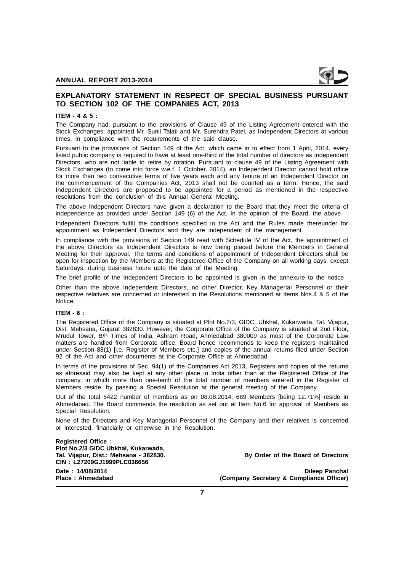

#### **EXPLANATORY STATEMENT IN RESPECT OF SPECIAL BUSINESS PURSUANT TO SECTION 102 OF THE COMPANIES ACT, 2013**

#### **ITEM - 4 & 5 :**

The Company had, pursuant to the provisions of Clause 49 of the Listing Agreement entered with the Stock Exchanges, appointed Mr. Sunil Talati and Mr. Surendra Patel, as Independent Directors at various times, in compliance with the requirements of the said clause.

Pursuant to the provisions of Section 149 of the Act, which came in to effect from 1 April, 2014, every listed public company is required to have at least one-third of the total number of directors as Independent Directors, who are not liable to retire by rotation. Pursuant to clause 49 of the Listing Agreement with Stock Exchanges (to come into force w.e.f. 1 October, 2014), an Independent Director cannot hold office for more than two consecutive terms of five years each and any tenure of an Independent Director on the commencement of the Companies Act, 2013 shall not be counted as a term. Hence, the said Independent Directors are proposed to be appointed for a period as mentioned in the respective resolutions from the conclusion of this Annual General Meeting.

The above Independent Directors have given a declaration to the Board that they meet the criteria of independence as provided under Section 149 (6) of the Act. In the opinion of the Board, the above

Independent Directors fulfill the conditions specified in the Act and the Rules made thereunder for appointment as Independent Directors and they are independent of the management.

In compliance with the provisions of Section 149 read with Schedule IV of the Act, the appointment of the above Directors as Independent Directors is now being placed before the Members in General Meeting for their approval. The terms and conditions of appointment of Independent Directors shall be open for inspection by the Members at the Registered Office of the Company on all working days, except Saturdays, during business hours upto the date of the Meeting.

The brief profile of the Independent Directors to be appointed is given in the annexure to the notice

Other than the above Independent Directors, no other Director, Key Managerial Personnel or their respective relatives are concerned or interested in the Resolutions mentioned at Items Nos.4 & 5 of the Notice.

#### **ITEM - 6 :**

The Registered Office of the Company is situated at Plot No.2/3, GIDC, Ubkhal, Kukarwada, Tal. Vijapur, Dist. Mehsana, Gujarat 382830. However, the Corporate Office of the Company is situated at 2nd Floor, Mrudul Tower, B/h Times of India, Ashram Road, Ahmedabad 380009 as most of the Corporate Law matters are handled from Corporate office, Board hence recommends to keep the registers maintained under Section 88(1) [i.e. Register of Members etc.] and copies of the annual returns filed under Section 92 of the Act and other documents at the Corporate Office at Ahmedabad.

In terms of the provisions of Sec. 94(1) of the Companies Act 2013, Registers and copies of the returns as aforesaid may also be kept at any other place in India other than at the Registered Office of the company, in which more than one-tenth of the total number of members entered in the Register of Members reside, by passing a Special Resolution at the general meeting of the Company.

Out of the total 5422 number of members as on 08.08.2014, 689 Members [being 12.71%] reside in Ahmedabad. The Board commends the resolution as set out at Item No.6 for approval of Members as Special Resolution.

None of the Directors and Key Managerial Personnel of the Company and their relatives is concerned or interested, financially or otherwise in the Resolution.

**Registered Office : Plot No.2/3 GIDC Ubkhal, Kukarwada, Tal. Vijapur, Dist.: Mehsana - 382830. By Order of the Board of Directors CIN : L27209GJ1999PLC036656 Date : 14/08/2014 Dileep Panchal Place : Ahmedabad (Company Secretary & Compliance Officer)**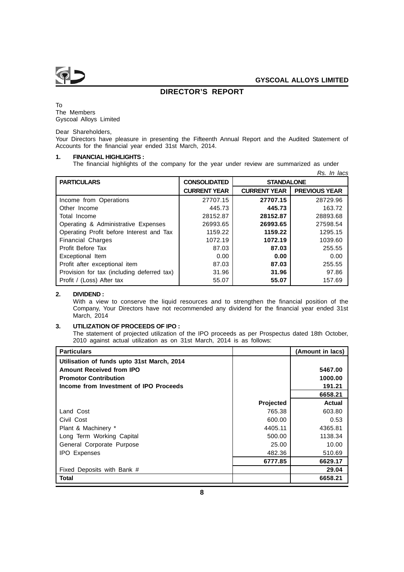

# **DIRECTOR'S REPORT**

# To

The Members Gyscoal Alloys Limited

#### Dear Shareholders,

Your Directors have pleasure in presenting the Fifteenth Annual Report and the Audited Statement of Accounts for the financial year ended 31st March, 2014.

#### **1. FINANCIAL HIGHLIGHTS :**

The financial highlights of the company for the year under review are summarized as under

|                                            |                     |                     | Rs. In lacs          |
|--------------------------------------------|---------------------|---------------------|----------------------|
| <b>PARTICULARS</b>                         | <b>CONSOLIDATED</b> | <b>STANDALONE</b>   |                      |
|                                            | <b>CURRENT YEAR</b> | <b>CURRENT YEAR</b> | <b>PREVIOUS YEAR</b> |
| Income from Operations                     | 27707.15            | 27707.15            | 28729.96             |
| Other Income                               | 445.73              | 445.73              | 163.72               |
| Total Income                               | 28152.87            | 28152.87            | 28893.68             |
| Operating & Administrative Expenses        | 26993.65            | 26993.65            | 27598.54             |
| Operating Profit before Interest and Tax   | 1159.22             | 1159.22             | 1295.15              |
| <b>Financial Charges</b>                   | 1072.19             | 1072.19             | 1039.60              |
| Profit Before Tax                          | 87.03               | 87.03               | 255.55               |
| Exceptional Item                           | 0.00                | 0.00                | 0.00                 |
| Profit after exceptional item              | 87.03               | 87.03               | 255.55               |
| Provision for tax (including deferred tax) | 31.96               | 31.96               | 97.86                |
| Profit / (Loss) After tax                  | 55.07               | 55.07               | 157.69               |

### **2. DIVIDEND :**

With a view to conserve the liquid resources and to strengthen the financial position of the Company, Your Directors have not recommended any dividend for the financial year ended 31st March, 2014

#### **3. UTILIZATION OF PROCEEDS OF IPO :**

The statement of projected utilization of the IPO proceeds as per Prospectus dated 18th October, 2010 against actual utilization as on 31st March, 2014 is as follows:

| <b>Particulars</b>                         |           | (Amount in lacs) |
|--------------------------------------------|-----------|------------------|
| Utilisation of funds upto 31st March, 2014 |           |                  |
| <b>Amount Received from IPO</b>            |           | 5467.00          |
| <b>Promotor Contribution</b>               |           | 1000.00          |
| Income from Investment of IPO Proceeds     |           | 191.21           |
|                                            |           | 6658.21          |
|                                            | Projected | Actual           |
| Land Cost                                  | 765.38    | 603.80           |
| Civil Cost                                 | 600.00    | 0.53             |
| Plant & Machinery *                        | 4405.11   | 4365.81          |
| Long Term Working Capital                  | 500.00    | 1138.34          |
| General Corporate Purpose                  | 25.00     | 10.00            |
| <b>IPO Expenses</b>                        | 482.36    | 510.69           |
|                                            | 6777.85   | 6629.17          |
| Fixed Deposits with Bank #                 |           | 29.04            |
| Total                                      |           | 6658.21          |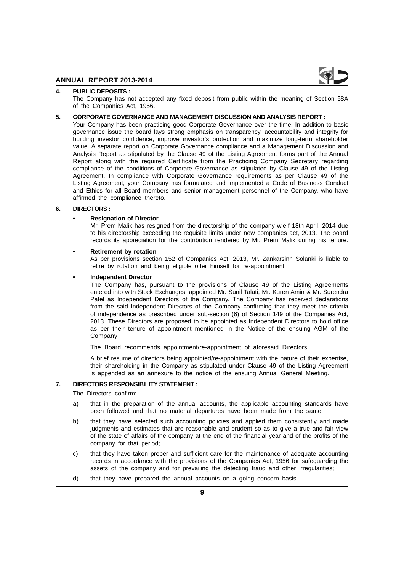

#### **4. PUBLIC DEPOSITS :**

The Company has not accepted any fixed deposit from public within the meaning of Section 58A of the Companies Act, 1956.

#### **5. CORPORATE GOVERNANCE AND MANAGEMENT DISCUSSION AND ANALYSIS REPORT :**

Your Company has been practicing good Corporate Governance over the time. In addition to basic governance issue the board lays strong emphasis on transparency, accountability and integrity for building investor confidence, improve investor's protection and maximize long-term shareholder value. A separate report on Corporate Governance compliance and a Management Discussion and Analysis Report as stipulated by the Clause 49 of the Listing Agreement forms part of the Annual Report along with the required Certificate from the Practicing Company Secretary regarding compliance of the conditions of Corporate Governance as stipulated by Clause 49 of the Listing Agreement. In compliance with Corporate Governance requirements as per Clause 49 of the Listing Agreement, your Company has formulated and implemented a Code of Business Conduct and Ethics for all Board members and senior management personnel of the Company, who have affirmed the compliance thereto.

#### **6. DIRECTORS :**

#### **• Resignation of Director**

Mr. Prem Malik has resigned from the directorship of the company w.e.f 18th April, 2014 due to his directorship exceeding the requisite limits under new companies act, 2013. The board records its appreciation for the contribution rendered by Mr. Prem Malik during his tenure.

#### **• Retirement by rotation**

As per provisions section 152 of Companies Act, 2013, Mr. Zankarsinh Solanki is liable to retire by rotation and being eligible offer himself for re-appointment

#### **• Independent Director**

The Company has, pursuant to the provisions of Clause 49 of the Listing Agreements entered into with Stock Exchanges, appointed Mr. Sunil Talati, Mr. Kuren Amin & Mr. Surendra Patel as Independent Directors of the Company. The Company has received declarations from the said Independent Directors of the Company confirming that they meet the criteria of independence as prescribed under sub-section (6) of Section 149 of the Companies Act, 2013. These Directors are proposed to be appointed as Independent Directors to hold office as per their tenure of appointment mentioned in the Notice of the ensuing AGM of the Company

The Board recommends appointment/re-appointment of aforesaid Directors.

A brief resume of directors being appointed/re-appointment with the nature of their expertise, their shareholding in the Company as stipulated under Clause 49 of the Listing Agreement is appended as an annexure to the notice of the ensuing Annual General Meeting.

#### **7. DIRECTORS RESPONSIBILITY STATEMENT :**

The Directors confirm:

- a) that in the preparation of the annual accounts, the applicable accounting standards have been followed and that no material departures have been made from the same;
- b) that they have selected such accounting policies and applied them consistently and made judgments and estimates that are reasonable and prudent so as to give a true and fair view of the state of affairs of the company at the end of the financial year and of the profits of the company for that period;
- c) that they have taken proper and sufficient care for the maintenance of adequate accounting records in accordance with the provisions of the Companies Act, 1956 for safeguarding the assets of the company and for prevailing the detecting fraud and other irregularities;
- d) that they have prepared the annual accounts on a going concern basis.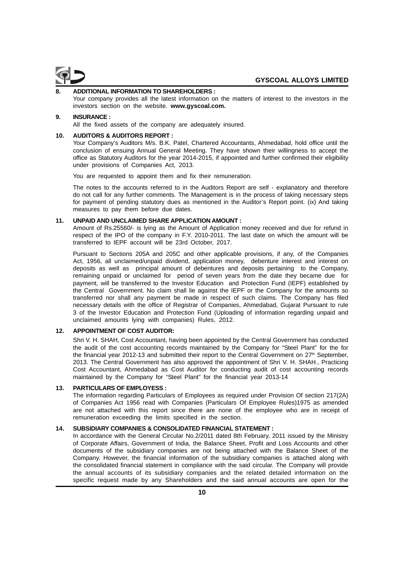

#### **8. ADDITIONAL INFORMATION TO SHAREHOLDERS :**

Your company provides all the latest information on the matters of interest to the investors in the investors section on the website. **www.gyscoal.com.**

#### **9. INSURANCE :**

All the fixed assets of the company are adequately insured.

#### **10. AUDITORS & AUDITORS REPORT :**

Your Company's Auditors M/s. B.K. Patel, Chartered Accountants, Ahmedabad, hold office until the conclusion of ensuing Annual General Meeting. They have shown their willingness to accept the office as Statutory Auditors for the year 2014-2015, if appointed and further confirmed their eligibility under provisions of Companies Act, 2013.

You are requested to appoint them and fix their remuneration.

The notes to the accounts referred to in the Auditors Report are self - explanatory and therefore do not call for any further comments. The Management is in the process of taking necessary steps for payment of pending statutory dues as mentioned in the Auditor's Report point. (ix) And taking measures to pay them before due dates.

#### **11. UNPAID AND UNCLAIMED SHARE APPLICATION AMOUNT :**

Amount of Rs.25560/- is lying as the Amount of Application money received and due for refund in respect of the IPO of the company in F.Y. 2010-2011. The last date on which the amount will be transferred to IEPF account will be 23rd October, 2017.

Pursuant to Sections 205A and 205C and other applicable provisions, if any, of the Companies Act, 1956, all unclaimed/unpaid dividend, application money, debenture interest and interest on deposits as well as principal amount of debentures and deposits pertaining to the Company, remaining unpaid or unclaimed for period of seven years from the date they became due for payment, will be transferred to the Investor Education and Protection Fund (IEPF) established by the Central Government. No claim shall lie against the IEPF or the Company for the amounts so transferred nor shall any payment be made in respect of such claims. The Company has filed necessary details with the office of Registrar of Companies, Ahmedabad, Gujarat Pursuant to rule 3 of the Investor Education and Protection Fund (Uploading of information regarding unpaid and unclaimed amounts lying with companies) Rules, 2012.

#### **12. APPOINTMENT OF COST AUDITOR:**

Shri V. H. SHAH, Cost Accountant, having been appointed by the Central Government has conducted the audit of the cost accounting records maintained by the Company for "Steel Plant" for the for the financial year 2012-13 and submitted their report to the Central Government on  $27<sup>th</sup>$  September, 2013. The Central Government has also approved the appointment of Shri V. H. SHAH., Practicing Cost Accountant, Ahmedabad as Cost Auditor for conducting audit of cost accounting records maintained by the Company for "Steel Plant" for the financial year 2013-14

#### **13. PARTICULARS OF EMPLOYESS :**

The information regarding Particulars of Employees as required under Provision Of section 217(2A) of Companies Act 1956 read with Companies (Particulars Of Employee Rules)1975 as amended are not attached with this report since there are none of the employee who are in receipt of remuneration exceeding the limits specified in the section.

#### **14. SUBSIDIARY COMPANIES & CONSOLIDATED FINANCIAL STATEMENT :**

In accordance with the General Circular No.2/2011 dated 8th February, 2011 issued by the Ministry of Corporate Affairs, Government of India, the Balance Sheet, Profit and Loss Accounts and other documents of the subsidiary companies are not being attached with the Balance Sheet of the Company. However, the financial information of the subsidiary companies is attached along with the consolidated financial statement in compliance with the said circular. The Company will provide the annual accounts of its subsidiary companies and the related detailed information on the specific request made by any Shareholders and the said annual accounts are open for the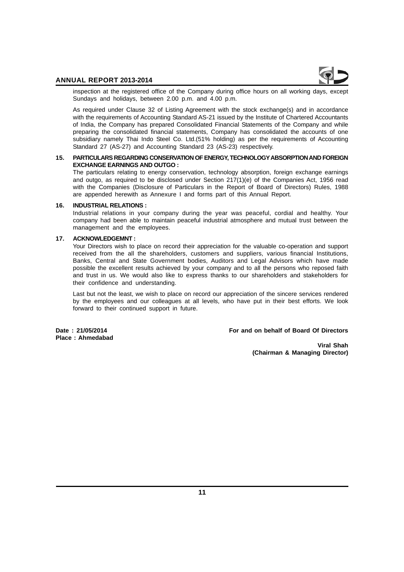

inspection at the registered office of the Company during office hours on all working days, except Sundays and holidays, between 2.00 p.m. and 4.00 p.m.

As required under Clause 32 of Listing Agreement with the stock exchange(s) and in accordance with the requirements of Accounting Standard AS-21 issued by the Institute of Chartered Accountants of India, the Company has prepared Consolidated Financial Statements of the Company and while preparing the consolidated financial statements, Company has consolidated the accounts of one subsidiary namely Thai Indo Steel Co. Ltd.(51% holding) as per the requirements of Accounting Standard 27 (AS-27) and Accounting Standard 23 (AS-23) respectively.

#### **15. PARTICULARS REGARDING CONSERVATION OF ENERGY, TECHNOLOGY ABSORPTION AND FOREIGN EXCHANGE EARNINGS AND OUTGO :**

The particulars relating to energy conservation, technology absorption, foreign exchange earnings and outgo, as required to be disclosed under Section 217(1)(e) of the Companies Act, 1956 read with the Companies (Disclosure of Particulars in the Report of Board of Directors) Rules, 1988 are appended herewith as Annexure I and forms part of this Annual Report.

#### **16. INDUSTRIAL RELATIONS :**

Industrial relations in your company during the year was peaceful, cordial and healthy. Your company had been able to maintain peaceful industrial atmosphere and mutual trust between the management and the employees.

#### **17. ACKNOWLEDGEMNT :**

Your Directors wish to place on record their appreciation for the valuable co-operation and support received from the all the shareholders, customers and suppliers, various financial Institutions, Banks, Central and State Government bodies, Auditors and Legal Advisors which have made possible the excellent results achieved by your company and to all the persons who reposed faith and trust in us. We would also like to express thanks to our shareholders and stakeholders for their confidence and understanding.

Last but not the least, we wish to place on record our appreciation of the sincere services rendered by the employees and our colleagues at all levels, who have put in their best efforts. We look forward to their continued support in future.

**Place : Ahmedabad**

**Date : 21/05/2014 For and on behalf of Board Of Directors**

 **Viral Shah (Chairman & Managing Director)**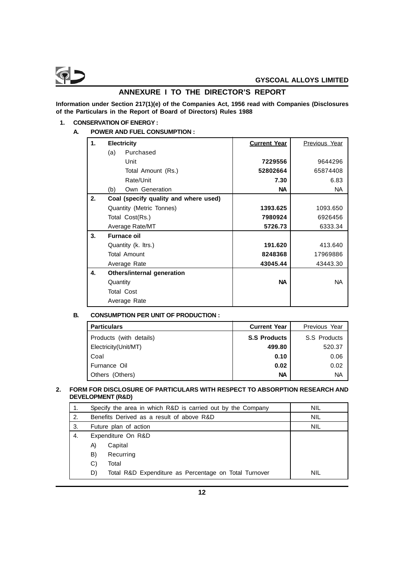

# **ANNEXURE I TO THE DIRECTOR'S REPORT**

**Information under Section 217(1)(e) of the Companies Act, 1956 read with Companies (Disclosures of the Particulars in the Report of Board of Directors) Rules 1988**

# **1. CONSERVATION OF ENERGY :**

**A. POWER AND FUEL CONSUMPTION :**

| 1. | <b>Electricity</b>                    | <b>Current Year</b> | <b>Previous Year</b> |
|----|---------------------------------------|---------------------|----------------------|
|    | Purchased<br>(a)                      |                     |                      |
|    | Unit                                  | 7229556             | 9644296              |
|    | Total Amount (Rs.)                    | 52802664            | 65874408             |
|    | Rate/Unit                             | 7.30                | 6.83                 |
|    | Own Generation<br>(b)                 | <b>NA</b>           | NA.                  |
| 2. | Coal (specify quality and where used) |                     |                      |
|    | Quantity (Metric Tonnes)              | 1393.625            | 1093.650             |
|    | Total Cost(Rs.)                       | 7980924             | 6926456              |
|    | Average Rate/MT                       | 5726.73             | 6333.34              |
| 3. | <b>Furnace oil</b>                    |                     |                      |
|    | Quantity (k. Itrs.)                   | 191.620             | 413.640              |
|    | Total Amount                          | 8248368             | 17969886             |
|    | Average Rate                          | 43045.44            | 43443.30             |
| 4. | Others/internal generation            |                     |                      |
|    | Quantity                              | <b>NA</b>           | <b>NA</b>            |
|    | <b>Total Cost</b>                     |                     |                      |
|    | Average Rate                          |                     |                      |

#### **B. CONSUMPTION PER UNIT OF PRODUCTION :**

| <b>Particulars</b>      | <b>Current Year</b> | Previous Year |
|-------------------------|---------------------|---------------|
| Products (with details) | <b>S.S Products</b> | S.S. Products |
| Electricity(Unit/MT)    | 499.80              | 520.37        |
| Coal                    | 0.10                | 0.06          |
| Furnance Oil            | 0.02                | 0.02          |
| Others (Others)         | <b>NA</b>           | ΝA            |

#### **2. FORM FOR DISCLOSURE OF PARTICULARS WITH RESPECT TO ABSORPTION RESEARCH AND DEVELOPMENT (R&D)**

| 1. | <b>NIL</b><br>Specify the area in which R&D is carried out by the Company |            |  |
|----|---------------------------------------------------------------------------|------------|--|
| 2. | <b>NIL</b><br>Benefits Derived as a result of above R&D                   |            |  |
| 3. | Future plan of action                                                     | <b>NIL</b> |  |
| 4. | Expenditure On R&D                                                        |            |  |
|    | Capital<br>A)                                                             |            |  |
|    | Recurring<br>B)                                                           |            |  |
|    | C)<br>Total                                                               |            |  |
|    | Total R&D Expenditure as Percentage on Total Turnover<br>D)               | <b>NIL</b> |  |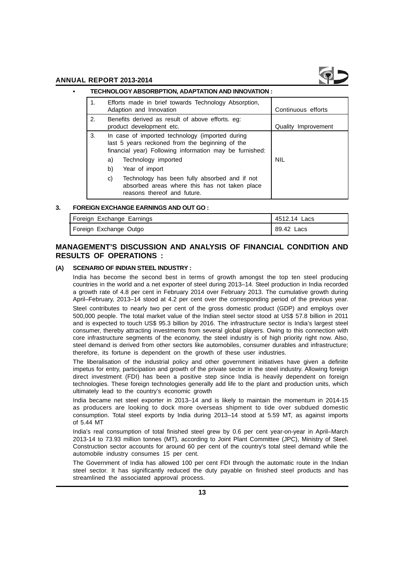

#### **• TECHNOLOGY ABSORBPTION, ADAPTATION AND INNOVATION :**

| 1. |                | Efforts made in brief towards Technology Absorption,<br>Adaption and Innovation                                                                                                                                                                                                                                                         | Continuous efforts  |
|----|----------------|-----------------------------------------------------------------------------------------------------------------------------------------------------------------------------------------------------------------------------------------------------------------------------------------------------------------------------------------|---------------------|
| 2. |                | Benefits derived as result of above efforts. eg:<br>product development etc.                                                                                                                                                                                                                                                            | Quality Improvement |
| 3. | a)<br>b)<br>C) | In case of imported technology (imported during<br>last 5 years reckoned from the beginning of the<br>financial year) Following information may be furnished:<br>Technology imported<br>Year of import<br>Technology has been fully absorbed and if not<br>absorbed areas where this has not taken place<br>reasons thereof and future. | <b>NIL</b>          |

#### **3. FOREIGN EXCHANGE EARNINGS AND OUT GO :**

| Foreign Exchange Earnings | 4512.14 Lacs |
|---------------------------|--------------|
| Foreign Exchange Outgo    | 89.42 Lacs   |

# **MANAGEMENT'S DISCUSSION AND ANALYSIS OF FINANCIAL CONDITION AND RESULTS OF OPERATIONS :**

#### **(A) SCENARIO OF INDIAN STEEL INDUSTRY :**

India has become the second best in terms of growth amongst the top ten steel producing countries in the world and a net exporter of steel during 2013–14. Steel production in India recorded a growth rate of 4.8 per cent in February 2014 over February 2013. The cumulative growth during April–February, 2013–14 stood at 4.2 per cent over the corresponding period of the previous year. Steel contributes to nearly two per cent of the gross domestic product (GDP) and employs over 500,000 people. The total market value of the Indian steel sector stood at US\$ 57.8 billion in 2011 and is expected to touch US\$ 95.3 billion by 2016. The infrastructure sector is India's largest steel consumer, thereby attracting investments from several global players. Owing to this connection with core infrastructure segments of the economy, the steel industry is of high priority right now. Also, steel demand is derived from other sectors like automobiles, consumer durables and infrastructure; therefore, its fortune is dependent on the growth of these user industries.

The liberalisation of the industrial policy and other government initiatives have given a definite impetus for entry, participation and growth of the private sector in the steel industry. Allowing foreign direct investment (FDI) has been a positive step since India is heavily dependent on foreign technologies. These foreign technologies generally add life to the plant and production units, which ultimately lead to the country's economic growth

India became net steel exporter in 2013–14 and is likely to maintain the momentum in 2014-15 as producers are looking to dock more overseas shipment to tide over subdued domestic consumption. Total steel exports by India during 2013–14 stood at 5.59 MT, as against imports of 5.44 MT

India's real consumption of total finished steel grew by 0.6 per cent year-on-year in April–March 2013-14 to 73.93 million tonnes (MT), according to Joint Plant Committee (JPC), Ministry of Steel. Construction sector accounts for around 60 per cent of the country's total steel demand while the automobile industry consumes 15 per cent.

The Government of India has allowed 100 per cent FDI through the automatic route in the Indian steel sector. It has significantly reduced the duty payable on finished steel products and has streamlined the associated approval process.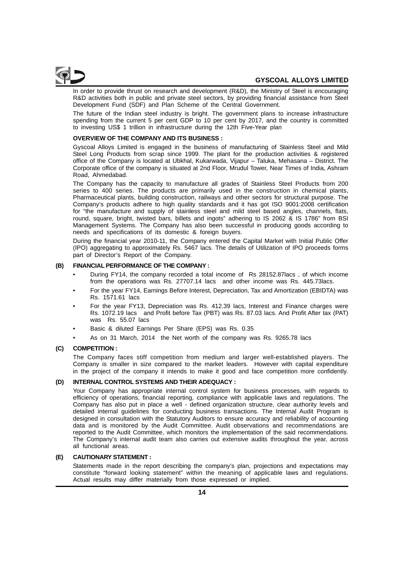

#### **GYSCOAL ALLOYS LIMITED**

In order to provide thrust on research and development (R&D), the Ministry of Steel is encouraging R&D activities both in public and private steel sectors, by providing financial assistance from Steel Development Fund (SDF) and Plan Scheme of the Central Government.

The future of the Indian steel industry is bright. The government plans to increase infrastructure spending from the current 5 per cent GDP to 10 per cent by 2017, and the country is committed to investing US\$ 1 trillion in infrastructure during the 12th Five-Year plan

#### **OVERVIEW OF THE COMPANY AND ITS BUSINESS :**

Gyscoal Alloys Limited is engaged in the business of manufacturing of Stainless Steel and Mild Steel Long Products from scrap since 1999. The plant for the production activities & registered office of the Company is located at Ubkhal, Kukarwada, Vijapur – Taluka, Mehasana – District. The Corporate office of the company is situated at 2nd Floor, Mrudul Tower, Near Times of India, Ashram Road, Ahmedabad.

The Company has the capacity to manufacture all grades of Stainless Steel Products from 200 series to 400 series. The products are primarily used in the construction in chemical plants, Pharmaceutical plants, building construction, railways and other sectors for structural purpose. The Company's products adhere to high quality standards and it has got ISO 9001:2008 certification for "the manufacture and supply of stainless steel and mild steel based angles, channels, flats, round, square, bright, twisted bars, billets and ingots" adhering to IS 2062 & IS 1786" from BSI Management Systems. The Company has also been successful in producing goods according to needs and specifications of its domestic & foreign buyers.

During the financial year 2010-11, the Company entered the Capital Market with Initial Public Offer (IPO) aggregating to approximately Rs. 5467 lacs. The details of Utilization of IPO proceeds forms part of Director's Report of the Company.

#### **(B) FINANCIAL PERFORMANCE OF THE COMPANY :**

- During FY14, the company recorded a total income of Rs 28152.87lacs , of which income from the operations was Rs. 27707.14 lacs and other income was Rs. 445.73lacs.
- For the year FY14, Earnings Before Interest, Depreciation, Tax and Amortization (EBIDTA) was Rs. 1571.61 lacs
- For the year FY13, Depreciation was Rs. 412.39 lacs, Interest and Finance charges were Rs. 1072.19 lacs and Profit before Tax (PBT) was Rs. 87.03 lacs. And Profit After tax (PAT) was Rs. 55.07 lacs
- Basic & diluted Earnings Per Share (EPS) was Rs. 0.35
- As on 31 March, 2014 the Net worth of the company was Rs. 9265.78 lacs

#### **(C) COMPETITION :**

The Company faces stiff competition from medium and larger well-established players. The Company is smaller in size compared to the market leaders. However with capital expenditure in the project of the company it intends to make it good and face competition more confidently.

#### **(D) INTERNAL CONTROL SYSTEMS AND THEIR ADEQUACY :**

Your Company has appropriate internal control system for business processes, with regards to efficiency of operations, financial reporting, compliance with applicable laws and regulations. The Company has also put in place a well - defined organization structure, clear authority levels and detailed internal guidelines for conducting business transactions. The Internal Audit Program is designed in consultation with the Statutory Auditors to ensure accuracy and reliability of accounting data and is monitored by the Audit Committee. Audit observations and recommendations are reported to the Audit Committee, which monitors the implementation of the said recommendations. The Company's internal audit team also carries out extensive audits throughout the year, across all functional areas.

#### **(E) CAUTIONARY STATEMENT :**

Statements made in the report describing the company's plan, projections and expectations may constitute "forward looking statement" within the meaning of applicable laws and regulations. Actual results may differ materially from those expressed or implied.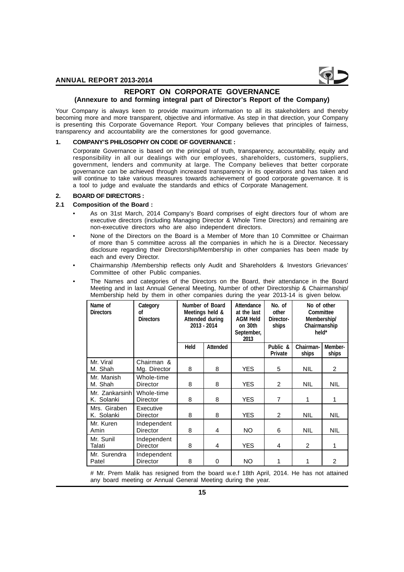

#### **REPORT ON CORPORATE GOVERNANCE (Annexure to and forming integral part of Director's Report of the Company)**

Your Company is always keen to provide maximum information to all its stakeholders and thereby becoming more and more transparent, objective and informative. As step in that direction, your Company is presenting this Corporate Governance Report. Your Company believes that principles of fairness, transparency and accountability are the cornerstones for good governance.

#### **1. COMPANY'S PHILOSOPHY ON CODE OF GOVERNANCE :**

Corporate Governance is based on the principal of truth, transparency, accountability, equity and responsibility in all our dealings with our employees, shareholders, customers, suppliers, government, lenders and community at large. The Company believes that better corporate governance can be achieved through increased transparency in its operations and has taken and will continue to take various measures towards achievement of good corporate governance. It is a tool to judge and evaluate the standards and ethics of Corporate Management.

#### **2. BOARD OF DIRECTORS :**

#### **2.1 Composition of the Board :**

- As on 31st March, 2014 Company's Board comprises of eight directors four of whom are executive directors (including Managing Director & Whole Time Directors) and remaining are non-executive directors who are also independent directors.
- None of the Directors on the Board is a Member of More than 10 Committee or Chairman of more than 5 committee across all the companies in which he is a Director. Necessary disclosure regarding their Directorship/Membership in other companies has been made by each and every Director.
- Chairmanship /Membership reflects only Audit and Shareholders & Investors Grievances' Committee of other Public companies.
- The Names and categories of the Directors on the Board, their attendance in the Board Meeting and in last Annual General Meeting, Number of other Directorship & Chairmanship/ Membership held by them in other companies during the year 2013-14 is given below.

| Name of<br><b>Directors</b>  | Category<br>οf<br><b>Directors</b> | Number of Board<br>Meetings held &<br>Attended during<br>2013 - 2014 |          | Attendance<br>at the last<br><b>AGM Held</b><br>on 30th<br>September,<br>2013 | No. of<br>other<br>Director-<br>ships | No of other<br>Committee<br>Membership/<br>Chairmanship<br>held* |                  |
|------------------------------|------------------------------------|----------------------------------------------------------------------|----------|-------------------------------------------------------------------------------|---------------------------------------|------------------------------------------------------------------|------------------|
|                              |                                    | Held                                                                 | Attended |                                                                               | Public &<br>Private                   | Chairman-<br>ships                                               | Member-<br>ships |
| Mr. Viral<br>M. Shah         | Chairman &<br>Mg. Director         | 8                                                                    | 8        | <b>YES</b>                                                                    | 5                                     | <b>NIL</b>                                                       | $\overline{2}$   |
| Mr. Manish<br>M. Shah        | Whole-time<br>Director             | 8                                                                    | 8        | <b>YES</b>                                                                    | 2                                     | <b>NIL</b>                                                       | <b>NIL</b>       |
| Mr. Zankarsinh<br>K. Solanki | Whole-time<br>Director             | 8                                                                    | 8        | <b>YES</b>                                                                    | $\overline{7}$                        | 1                                                                | 1                |
| Mrs. Giraben<br>K. Solanki   | Executive<br>Director              | 8                                                                    | 8        | <b>YES</b>                                                                    | 2                                     | <b>NIL</b>                                                       | <b>NIL</b>       |
| Mr. Kuren<br>Amin            | Independent<br>Director            | 8                                                                    | 4        | <b>NO</b>                                                                     | 6                                     | <b>NIL</b>                                                       | <b>NIL</b>       |
| Mr. Sunil<br>Talati          | Independent<br>Director            | 8                                                                    | 4        | <b>YES</b>                                                                    | 4                                     | 2                                                                | 1                |
| Mr. Surendra<br>Patel        | Independent<br><b>Director</b>     | 8                                                                    | 0        | <b>NO</b>                                                                     | 1                                     | 1                                                                | $\mathfrak{p}$   |

# Mr. Prem Malik has resigned from the board w.e.f 18th April, 2014. He has not attained any board meeting or Annual General Meeting during the year.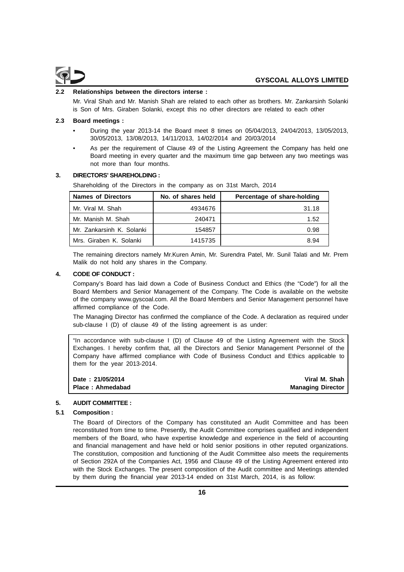

#### **2.2 Relationships between the directors interse :**

Mr. Viral Shah and Mr. Manish Shah are related to each other as brothers. Mr. Zankarsinh Solanki is Son of Mrs. Giraben Solanki, except this no other directors are related to each other

#### **2.3 Board meetings :**

- During the year 2013-14 the Board meet 8 times on 05/04/2013, 24/04/2013, 13/05/2013, 30/05/2013, 13/08/2013, 14/11/2013, 14/02/2014 and 20/03/2014
- As per the requirement of Clause 49 of the Listing Agreement the Company has held one Board meeting in every quarter and the maximum time gap between any two meetings was not more than four months.

#### **3. DIRECTORS' SHAREHOLDING :**

Shareholding of the Directors in the company as on 31st March, 2014

| <b>Names of Directors</b> | No. of shares held | Percentage of share-holding |
|---------------------------|--------------------|-----------------------------|
| Mr. Viral M. Shah         | 4934676            | 31.18                       |
| Mr. Manish M. Shah        | 240471             | 1.52                        |
| Mr. Zankarsinh K. Solanki | 154857             | 0.98                        |
| Mrs. Giraben K. Solanki   | 1415735            | 8.94                        |

The remaining directors namely Mr.Kuren Amin, Mr. Surendra Patel, Mr. Sunil Talati and Mr. Prem Malik do not hold any shares in the Company.

#### **4. CODE OF CONDUCT :**

Company's Board has laid down a Code of Business Conduct and Ethics (the "Code") for all the Board Members and Senior Management of the Company. The Code is available on the website of the company www.gyscoal.com. All the Board Members and Senior Management personnel have affirmed compliance of the Code.

The Managing Director has confirmed the compliance of the Code. A declaration as required under sub-clause I (D) of clause 49 of the listing agreement is as under:

"In accordance with sub-clause I (D) of Clause 49 of the Listing Agreement with the Stock Exchanges. I hereby confirm that, all the Directors and Senior Management Personnel of the Company have affirmed compliance with Code of Business Conduct and Ethics applicable to them for the year 2013-2014.

| Date: 21/05/2014 | Viral M. Shah            |
|------------------|--------------------------|
| Place: Ahmedabad | <b>Managing Director</b> |

#### **5. AUDIT COMMITTEE :**

#### **5.1 Composition :**

The Board of Directors of the Company has constituted an Audit Committee and has been reconstituted from time to time. Presently, the Audit Committee comprises qualified and independent members of the Board, who have expertise knowledge and experience in the field of accounting and financial management and have held or hold senior positions in other reputed organizations. The constitution, composition and functioning of the Audit Committee also meets the requirements of Section 292A of the Companies Act, 1956 and Clause 49 of the Listing Agreement entered into with the Stock Exchanges. The present composition of the Audit committee and Meetings attended by them during the financial year 2013-14 ended on 31st March, 2014, is as follow: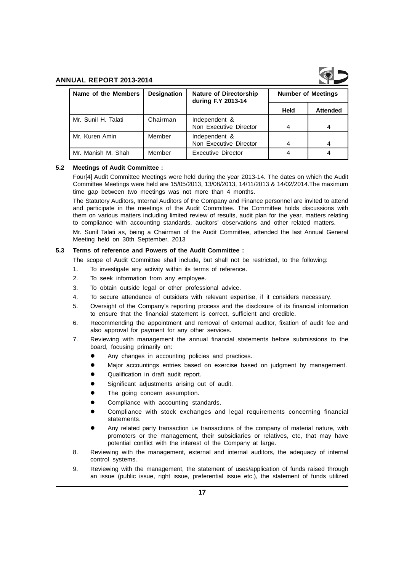

| Name of the Members | <b>Designation</b> | <b>Nature of Directorship</b><br>during F.Y 2013-14 | <b>Number of Meetings</b> |                 |
|---------------------|--------------------|-----------------------------------------------------|---------------------------|-----------------|
|                     |                    |                                                     | Held                      | <b>Attended</b> |
| Mr. Sunil H. Talati | Chairman           | Independent &<br>Non Executive Director             | 4                         |                 |
| Mr. Kuren Amin      | Member             | Independent &<br>Non Executive Director             | 4                         |                 |
| Mr. Manish M. Shah  | Member             | <b>Executive Director</b>                           | 4                         |                 |

#### **5.2 Meetings of Audit Committee :**

Four[4] Audit Committee Meetings were held during the year 2013-14. The dates on which the Audit Committee Meetings were held are 15/05/2013, 13/08/2013, 14/11/2013 & 14/02/2014.The maximum time gap between two meetings was not more than 4 months.

The Statutory Auditors, Internal Auditors of the Company and Finance personnel are invited to attend and participate in the meetings of the Audit Committee. The Committee holds discussions with them on various matters including limited review of results, audit plan for the year, matters relating to compliance with accounting standards, auditors' observations and other related matters.

Mr. Sunil Talati as, being a Chairman of the Audit Committee, attended the last Annual General Meeting held on 30th September, 2013

#### **5.3 Terms of reference and Powers of the Audit Committee :**

The scope of Audit Committee shall include, but shall not be restricted, to the following:

- 1. To investigate any activity within its terms of reference.
- 2. To seek information from any employee.
- 3. To obtain outside legal or other professional advice.
- 4. To secure attendance of outsiders with relevant expertise, if it considers necessary.
- 5. Oversight of the Company's reporting process and the disclosure of its financial information to ensure that the financial statement is correct, sufficient and credible.
- 6. Recommending the appointment and removal of external auditor, fixation of audit fee and also approval for payment for any other services.
- 7. Reviewing with management the annual financial statements before submissions to the board, focusing primarily on:
	- Any changes in accounting policies and practices.
	- $\bullet$  Major accountings entries based on exercise based on judgment by management.
	- Qualification in draft audit report.
	- Significant adjustments arising out of audit.
	- The going concern assumption.
	- Compliance with accounting standards.
	- Compliance with stock exchanges and legal requirements concerning financial statements.
	- Any related party transaction i.e transactions of the company of material nature, with promoters or the management, their subsidiaries or relatives, etc, that may have potential conflict with the interest of the Company at large.
- 8. Reviewing with the management, external and internal auditors, the adequacy of internal control systems.
- 9. Reviewing with the management, the statement of uses/application of funds raised through an issue (public issue, right issue, preferential issue etc.), the statement of funds utilized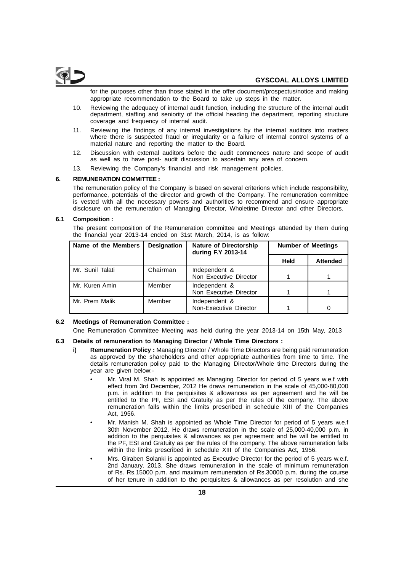

for the purposes other than those stated in the offer document/prospectus/notice and making appropriate recommendation to the Board to take up steps in the matter.

- 10. Reviewing the adequacy of internal audit function, including the structure of the internal audit department, staffing and seniority of the official heading the department, reporting structure coverage and frequency of internal audit.
- 11. Reviewing the findings of any internal investigations by the internal auditors into matters where there is suspected fraud or irregularity or a failure of internal control systems of a material nature and reporting the matter to the Board.
- 12. Discussion with external auditors before the audit commences nature and scope of audit as well as to have post- audit discussion to ascertain any area of concern.
- 13. Reviewing the Company's financial and risk management policies.

#### **6. REMUNERATION COMMITTEE :**

The remuneration policy of the Company is based on several criterions which include responsibility, performance, potentials of the director and growth of the Company. The remuneration committee is vested with all the necessary powers and authorities to recommend and ensure appropriate disclosure on the remuneration of Managing Director, Wholetime Director and other Directors.

#### **6.1 Composition :**

The present composition of the Remuneration committee and Meetings attended by them during the financial year 2013-14 ended on 31st March, 2014, is as follow:

| Name of the Members | <b>Designation</b> | <b>Nature of Directorship</b><br>during F.Y 2013-14 | <b>Number of Meetings</b> |                 |
|---------------------|--------------------|-----------------------------------------------------|---------------------------|-----------------|
|                     |                    |                                                     | Held                      | <b>Attended</b> |
| Mr. Sunil Talati    | Chairman           | Independent &<br>Non Executive Director             |                           |                 |
| Mr. Kuren Amin      | Member             | Independent &<br>Non Executive Director             |                           |                 |
| Mr. Prem Malik      | Member             | Independent &<br>Non-Executive Director             |                           |                 |

#### **6.2 Meetings of Remuneration Committee :**

One Remuneration Committee Meeting was held during the year 2013-14 on 15th May, 2013

#### **6.3 Details of remuneration to Managing Director / Whole Time Directors :**

- **i) Remuneration Policy :** Managing Director / Whole Time Directors are being paid remuneration as approved by the shareholders and other appropriate authorities from time to time. The details remuneration policy paid to the Managing Director/Whole time Directors during the year are given below:-
	- Mr. Viral M. Shah is appointed as Managing Director for period of 5 years w.e.f with effect from 3rd December, 2012 He draws remuneration in the scale of 45,000-80,000 p.m. in addition to the perquisites & allowances as per agreement and he will be entitled to the PF, ESI and Gratuity as per the rules of the company. The above remuneration falls within the limits prescribed in schedule XIII of the Companies Act, 1956.
	- Mr. Manish M. Shah is appointed as Whole Time Director for period of 5 years w.e.f 30th November 2012. He draws remuneration in the scale of 25,000-40,000 p.m. in addition to the perquisites & allowances as per agreement and he will be entitled to the PF, ESI and Gratuity as per the rules of the company. The above remuneration falls within the limits prescribed in schedule XIII of the Companies Act, 1956.
	- Mrs. Giraben Solanki is appointed as Executive Director for the period of 5 years w.e.f. 2nd January, 2013. She draws remuneration in the scale of minimum remuneration of Rs. Rs.15000 p.m. and maximum remuneration of Rs.30000 p.m. during the course of her tenure in addition to the perquisites & allowances as per resolution and she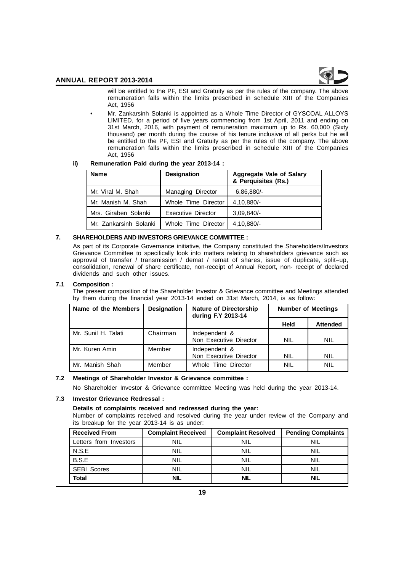

will be entitled to the PF, ESI and Gratuity as per the rules of the company. The above remuneration falls within the limits prescribed in schedule XIII of the Companies Act, 1956

• Mr. Zankarsinh Solanki is appointed as a Whole Time Director of GYSCOAL ALLOYS LIMITED, for a period of five years commencing from 1st April, 2011 and ending on 31st March, 2016, with payment of remuneration maximum up to Rs. 60,000 (Sixty thousand) per month during the course of his tenure inclusive of all perks but he will be entitled to the PF, ESI and Gratuity as per the rules of the company. The above remuneration falls within the limits prescribed in schedule XIII of the Companies Act, 1956

#### **ii) Remuneration Paid during the year 2013-14 :**

| <b>Name</b><br><b>Designation</b> |                     | <b>Aggregate Vale of Salary</b><br>& Perquisites (Rs.) |
|-----------------------------------|---------------------|--------------------------------------------------------|
| Mr. Viral M. Shah                 | Managing Director   | $6,86,880/$ -                                          |
| Mr. Manish M. Shah                | Whole Time Director | $4,10,880/-$                                           |
| Mrs. Giraben Solanki              | Executive Director  | 3,09,840/                                              |
| Mr. Zankarsinh Solanki            | Whole Time Director | 4,10,880/-                                             |

#### **7. SHAREHOLDERS AND INVESTORS GRIEVANCE COMMITTEE :**

As part of its Corporate Governance initiative, the Company constituted the Shareholders/Investors Grievance Committee to specifically look into matters relating to shareholders grievance such as approval of transfer / transmission / demat / remat of shares, issue of duplicate, split–up, consolidation, renewal of share certificate, non-receipt of Annual Report, non- receipt of declared dividends and such other issues.

#### **7.1 Composition :**

The present composition of the Shareholder Investor & Grievance committee and Meetings attended by them during the financial year 2013-14 ended on 31st March, 2014, is as follow:

| Name of the Members | <b>Designation</b> | <b>Nature of Directorship</b><br>during F.Y 2013-14 | <b>Number of Meetings</b> |                 |
|---------------------|--------------------|-----------------------------------------------------|---------------------------|-----------------|
|                     |                    |                                                     | Held                      | <b>Attended</b> |
| Mr. Sunil H. Talati | Chairman           | Independent &<br>Non Executive Director             | <b>NIL</b>                | <b>NIL</b>      |
| Mr. Kuren Amin      | Member             | Independent &<br>Non Executive Director             | <b>NIL</b>                | <b>NIL</b>      |
| Mr. Manish Shah     | Member             | Whole Time Director                                 | <b>NIL</b>                | <b>NIL</b>      |

#### **7.2 Meetings of Shareholder Investor & Grievance committee :**

No Shareholder Investor & Grievance committee Meeting was held during the year 2013-14.

#### **7.3 Investor Grievance Redressal :**

#### **Details of complaints received and redressed during the year:**

Number of complaints received and resolved during the year under review of the Company and its breakup for the year 2013-14 is as under:

| <b>Received From</b>   | <b>Complaint Received</b> | <b>Complaint Resolved</b> | <b>Pending Complaints</b> |
|------------------------|---------------------------|---------------------------|---------------------------|
| Letters from Investors | Nil                       | <b>NIL</b>                | <b>NIL</b>                |
| N.S.E                  | NIL                       | <b>NIL</b>                | Nil                       |
| B.S.E                  | NIL                       | <b>NIL</b>                | NIL                       |
| <b>SEBI Scores</b>     | <b>NIL</b>                | <b>NIL</b>                | NIL                       |
| <b>Total</b>           | <b>NIL</b>                | nil                       | <b>NIL</b>                |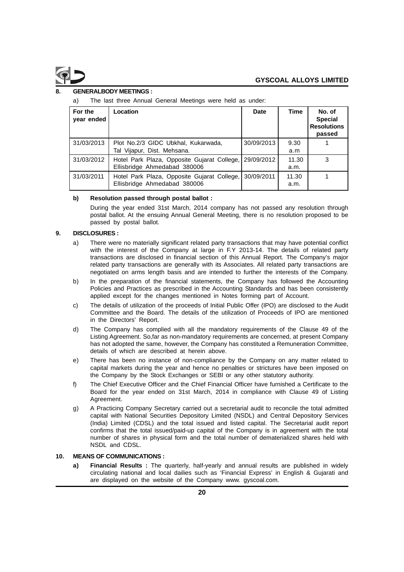

### **GYSCOAL ALLOYS LIMITED**

#### **8. GENERALBODY MEETINGS :**

|  | a) |  |  |  |  |  | The last three Annual General Meetings were held as under: |  |  |  |  |
|--|----|--|--|--|--|--|------------------------------------------------------------|--|--|--|--|
|--|----|--|--|--|--|--|------------------------------------------------------------|--|--|--|--|

| For the<br>year ended | Location                                                                    | Date       | Time          | No. of<br><b>Special</b><br><b>Resolutions</b><br>passed |
|-----------------------|-----------------------------------------------------------------------------|------------|---------------|----------------------------------------------------------|
| 31/03/2013            | Plot No.2/3 GIDC Ubkhal, Kukarwada,<br>Tal Vijapur, Dist. Mehsana.          | 30/09/2013 | 9.30<br>a.m   |                                                          |
| 31/03/2012            | Hotel Park Plaza, Opposite Gujarat College,<br>Ellisbridge Ahmedabad 380006 | 29/09/2012 | 11.30<br>a.m. | 3                                                        |
| 31/03/2011            | Hotel Park Plaza, Opposite Gujarat College,<br>Ellisbridge Ahmedabad 380006 | 30/09/2011 | 11.30<br>a.m. |                                                          |

#### **b) Resolution passed through postal ballot :**

During the year ended 31st March, 2014 company has not passed any resolution through postal ballot. At the ensuing Annual General Meeting, there is no resolution proposed to be passed by postal ballot.

#### **9. DISCLOSURES :**

- a) There were no materially significant related party transactions that may have potential conflict with the interest of the Company at large in F.Y 2013-14. The details of related party transactions are disclosed in financial section of this Annual Report. The Company's major related party transactions are generally with its Associates. All related party transactions are negotiated on arms length basis and are intended to further the interests of the Company.
- b) In the preparation of the financial statements, the Company has followed the Accounting Policies and Practices as prescribed in the Accounting Standards and has been consistently applied except for the changes mentioned in Notes forming part of Account.
- c) The details of utilization of the proceeds of Initial Public Offer (IPO) are disclosed to the Audit Committee and the Board. The details of the utilization of Proceeds of IPO are mentioned in the Directors' Report.
- d) The Company has complied with all the mandatory requirements of the Clause 49 of the Listing Agreement. So,far as non-mandatory requirements are concerned, at present Company has not adopted the same, however, the Company has constituted a Remuneration Committee, details of which are described at herein above.
- e) There has been no instance of non-compliance by the Company on any matter related to capital markets during the year and hence no penalties or strictures have been imposed on the Company by the Stock Exchanges or SEBI or any other statutory authority.
- f) The Chief Executive Officer and the Chief Financial Officer have furnished a Certificate to the Board for the year ended on 31st March, 2014 in compliance with Clause 49 of Listing Agreement.
- g) A Practicing Company Secretary carried out a secretarial audit to reconcile the total admitted capital with National Securities Depository Limited (NSDL) and Central Depository Services (India) Limited (CDSL) and the total issued and listed capital. The Secretarial audit report confirms that the total issued/paid-up capital of the Company is in agreement with the total number of shares in physical form and the total number of dematerialized shares held with NSDL and CDSL.

#### **10. MEANS OF COMMUNICATIONS :**

**a) Financial Results :** The quarterly, half-yearly and annual results are published in widely circulating national and local dailies such as 'Financial Express' in English & Gujarati and are displayed on the website of the Company www. gyscoal.com.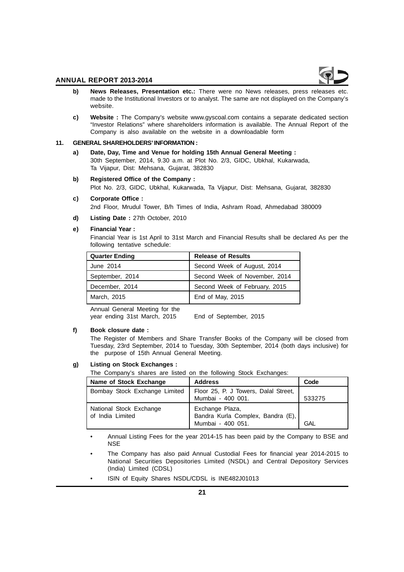

- **b) News Releases, Presentation etc.:** There were no News releases, press releases etc. made to the Institutional Investors or to analyst. The same are not displayed on the Company's website.
- **c) Website :** The Company's website www.gyscoal.com contains a separate dedicated section "Investor Relations" where shareholders information is available. The Annual Report of the Company is also available on the website in a downloadable form

#### **11. GENERAL SHAREHOLDERS' INFORMATION :**

- **a) Date, Day, Time and Venue for holding 15th Annual General Meeting :** 30th September, 2014, 9.30 a.m. at Plot No. 2/3, GIDC, Ubkhal, Kukarwada, Ta Vijapur, Dist: Mehsana, Gujarat, 382830
- **b) Registered Office of the Company :**
- Plot No. 2/3, GIDC, Ubkhal, Kukarwada, Ta Vijapur, Dist: Mehsana, Gujarat, 382830
- **c) Corporate Office :** 2nd Floor, Mrudul Tower, B/h Times of India, Ashram Road, Ahmedabad 380009
- **d) Listing Date :** 27th October, 2010

#### **e) Financial Year :**

Financial Year is 1st April to 31st March and Financial Results shall be declared As per the following tentative schedule:

| <b>Quarter Ending</b> | <b>Release of Results</b>     |
|-----------------------|-------------------------------|
| June 2014             | Second Week of August, 2014   |
| September, 2014       | Second Week of November, 2014 |
| December, 2014        | Second Week of February, 2015 |
| March, 2015           | End of May, 2015              |

Annual General Meeting for the year ending 31st March, 2015 End of September, 2015

#### **f) Book closure date :**

The Register of Members and Share Transfer Books of the Company will be closed from Tuesday, 23rd September, 2014 to Tuesday, 30th September, 2014 (both days inclusive) for the purpose of 15th Annual General Meeting.

#### **g) Listing on Stock Exchanges :**

The Company's shares are listed on the following Stock Exchanges:

| Name of Stock Exchange                      | <b>Address</b>                                                            | Code   |
|---------------------------------------------|---------------------------------------------------------------------------|--------|
| Bombay Stock Exchange Limited               | Floor 25, P. J Towers, Dalal Street,<br>Mumbai - 400 001.                 | 533275 |
| National Stock Exchange<br>of India Limited | Exchange Plaza,<br>Bandra Kurla Complex, Bandra (E),<br>Mumbai - 400 051. | GAL    |

• Annual Listing Fees for the year 2014-15 has been paid by the Company to BSE and **NSE** 

- The Company has also paid Annual Custodial Fees for financial year 2014-2015 to National Securities Depositories Limited (NSDL) and Central Depository Services (India) Limited (CDSL)
- ISIN of Equity Shares NSDL/CDSL is INE482J01013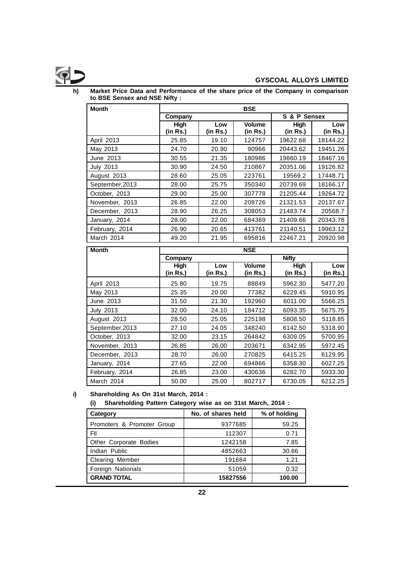

# **GYSCOAL ALLOYS LIMITED**

| <b>Month</b>     |                  |                 | <b>BSE</b>         |                  |                 |
|------------------|------------------|-----------------|--------------------|------------------|-----------------|
|                  | Company          | S & P Sensex    |                    |                  |                 |
|                  | High<br>(in Rs.) | Low<br>(in Rs.) | Volume<br>(in Rs.) | High<br>(in Rs.) | Low<br>(in Rs.) |
| April 2013       | 25.85            | 19.10           | 124757             | 19622.68         | 18144.22        |
| May 2013         | 24.70            | 20.90           | 90966              | 20443.62         | 19451.26        |
| June 2013        | 30.55            | 21.35           | 180986             | 19860.19         | 18467.16        |
| <b>July 2013</b> | 30.90            | 24.50           | 210867             | 20351.06         | 19126.82        |
| August 2013      | 28.60            | 25.05           | 223761             | 19569.2          | 17448.71        |
| September, 2013  | 28.00            | 25.75           | 350340             | 20739.69         | 18166.17        |
| October, 2013    | 29.00            | 25.00           | 307778             | 21205.44         | 19264.72        |
| November, 2013   | 26.85            | 22.00           | 209726             | 21321.53         | 20137.67        |
| December, 2013   | 28.90            | 26.25           | 308053             | 21483.74         | 20568.7         |
| January, 2014    | 28.00            | 22.00           | 684369             | 21409.66         | 20343.78        |
| February, 2014   | 26.90            | 20.65           | 413761             | 21140.51         | 19963.12        |
| March 2014       | 49.20            | 21.95           | 695816             | 22467.21         | 20920.98        |

| h) | Market Price Data and Performance of the share price of the Company in comparison |
|----|-----------------------------------------------------------------------------------|
|    | to BSE Sensex and NSE Nifty:                                                      |

| <b>Month</b>     | <b>NSE</b>       |                 |                    |                  |                 |
|------------------|------------------|-----------------|--------------------|------------------|-----------------|
|                  | Company          |                 |                    | <b>Nifty</b>     |                 |
|                  | High<br>(in Rs.) | Low<br>(in Rs.) | Volume<br>(in Rs.) | High<br>(in Rs.) | Low<br>(in Rs.) |
| April 2013       | 25.80            | 19.75           | 88849              | 5962.30          | 5477.20         |
| May 2013         | 25.35            | 20.00           | 77382              | 6229.45          | 5910.95         |
| June 2013        | 31.50            | 21.30           | 192960             | 6011.00          | 5566.25         |
| <b>July 2013</b> | 32.00            | 24.10           | 184712             | 6093.35          | 5675.75         |
| August 2013      | 28.50            | 25.05           | 225198             | 5808.50          | 5118.85         |
| September, 2013  | 27.10            | 24.05           | 348240             | 6142.50          | 5318.90         |
| October, 2013    | 32.00            | 23.15           | 264842             | 6309.05          | 5700.95         |
| November, 2013   | 26.85            | 26.00           | 203671             | 6342.95          | 5972.45         |
| December, 2013   | 28.70            | 26.00           | 270825             | 6415.25          | 6129.95         |
| January, 2014    | 27.65            | 22.00           | 694866             | 6358.30          | 6027.25         |
| February, 2014   | 26.85            | 23.00           | 430636             | 6282.70          | 5933.30         |
| March 2014       | 50.00            | 25.00           | 802717             | 6730.05          | 6212.25         |

**i) Shareholding As On 31st March, 2014 :**

**(i) Shareholding Pattern Category wise as on 31st March, 2014 :**

| Category                   | No. of shares held | % of holding |  |
|----------------------------|--------------------|--------------|--|
| Promoters & Promoter Group | 9377685            | 59.25        |  |
| <b>FII</b>                 | 112307             | 0.71         |  |
| Other Corporate Bodies     | 1242158            | 7.85         |  |
| Indian Public              | 4852663            | 30.66        |  |
| Clearing Member            | 191684             | 1.21         |  |
| Foreign Nationals          | 51059              | 0.32         |  |
| <b>GRAND TOTAL</b>         | 15827556           | 100.00       |  |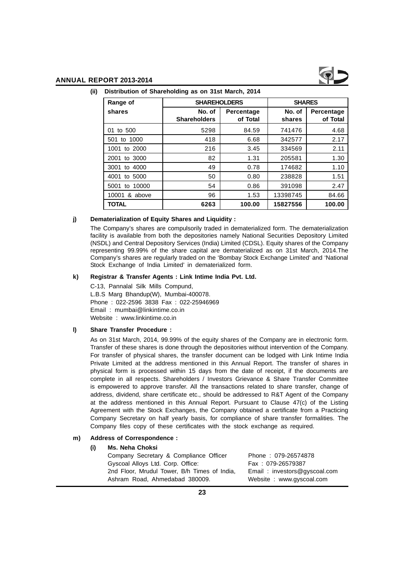

**(ii) Distribution of Shareholding as on 31st March, 2014**

| Range of            | <b>SHAREHOLDERS</b>           |                        | <b>SHARES</b>    |                        |
|---------------------|-------------------------------|------------------------|------------------|------------------------|
| shares              | No. of<br><b>Shareholders</b> | Percentage<br>of Total | No. of<br>shares | Percentage<br>of Total |
| 01 to 500           | 5298                          | 84.59                  | 741476           | 4.68                   |
| 501 to 1000         | 418                           | 6.68                   | 342577           | 2.17                   |
| to 2000<br>1001     | 216                           | 3.45                   | 334569           | 2.11                   |
| to 3000<br>2001     | 82                            | 1.31                   | 205581           | 1.30                   |
| to 4000<br>3001     | 49                            | 0.78                   | 174682           | 1.10                   |
| to 5000<br>4001     | 50                            | 0.80                   | 238828           | 1.51                   |
| 10000<br>5001<br>to | 54                            | 0.86                   | 391098           | 2.47                   |
| & above<br>10001    | 96                            | 1.53                   | 13398745         | 84.66                  |
| <b>TOTAL</b>        | 6263                          | 100.00                 | 15827556         | 100.00                 |

#### **j) Dematerialization of Equity Shares and Liquidity :**

The Company's shares are compulsorily traded in dematerialized form. The dematerialization facility is available from both the depositories namely National Securities Depository Limited (NSDL) and Central Depository Services (India) Limited (CDSL). Equity shares of the Company representing 99.99% of the share capital are dematerialized as on 31st March, 2014.The Company's shares are regularly traded on the 'Bombay Stock Exchange Limited' and 'National Stock Exchange of India Limited' in dematerialized form.

#### **k) Registrar & Transfer Agents : Link Intime India Pvt. Ltd.**

C-13, Pannalal Silk Mills Compund, L.B.S Marg Bhandup(W), Mumbai-400078. Phone : 022-2596 3838 Fax : 022-25946969 Email : mumbai@linkintime.co.in Website : www.linkintime.co.in

#### **l) Share Transfer Procedure :**

As on 31st March, 2014, 99.99% of the equity shares of the Company are in electronic form. Transfer of these shares is done through the depositories without intervention of the Company. For transfer of physical shares, the transfer document can be lodged with Link Intime India Private Limited at the address mentioned in this Annual Report. The transfer of shares in physical form is processed within 15 days from the date of receipt, if the documents are complete in all respects. Shareholders / Investors Grievance & Share Transfer Committee is empowered to approve transfer. All the transactions related to share transfer, change of address, dividend, share certificate etc., should be addressed to R&T Agent of the Company at the address mentioned in this Annual Report. Pursuant to Clause 47(c) of the Listing Agreement with the Stock Exchanges, the Company obtained a certificate from a Practicing Company Secretary on half yearly basis, for compliance of share transfer formalities. The Company files copy of these certificates with the stock exchange as required.

#### **m) Address of Correspondence :**

| (i) | Ms. Neha Choksi                                                                |                                                          |
|-----|--------------------------------------------------------------------------------|----------------------------------------------------------|
|     | Company Secretary & Compliance Officer                                         | Phone: 079-26574878                                      |
|     | Gyscoal Alloys Ltd. Corp. Office:                                              | Fax: 079-26579387                                        |
|     | 2nd Floor, Mrudul Tower, B/h Times of India,<br>Ashram Road, Ahmedabad 380009. | Email: investors@gyscoal.com<br>Website: www.gyscoal.com |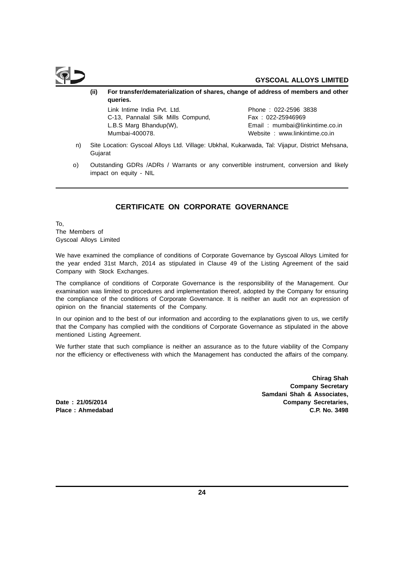

### **GYSCOAL ALLOYS LIMITED**

**(ii) For transfer/dematerialization of shares, change of address of members and other queries.**

Link Intime India Pvt. Ltd. example 2012-2596 2838 C-13, Pannalal Silk Mills Compund, Fax : 022-25946969 L.B.S Marg Bhandup(W), Email : mumbai@linkintime.co.in Mumbai-400078. Website : www.linkintime.co.in

- n) Site Location: Gyscoal Alloys Ltd. Village: Ubkhal, Kukarwada, Tal: Vijapur, District Mehsana, Gujarat
- o) Outstanding GDRs /ADRs / Warrants or any convertible instrument, conversion and likely impact on equity - NIL

# **CERTIFICATE ON CORPORATE GOVERNANCE**

To, The Members of Gyscoal Alloys Limited

We have examined the compliance of conditions of Corporate Governance by Gyscoal Alloys Limited for the year ended 31st March, 2014 as stipulated in Clause 49 of the Listing Agreement of the said Company with Stock Exchanges.

The compliance of conditions of Corporate Governance is the responsibility of the Management. Our examination was limited to procedures and implementation thereof, adopted by the Company for ensuring the compliance of the conditions of Corporate Governance. It is neither an audit nor an expression of opinion on the financial statements of the Company.

In our opinion and to the best of our information and according to the explanations given to us, we certify that the Company has complied with the conditions of Corporate Governance as stipulated in the above mentioned Listing Agreement.

We further state that such compliance is neither an assurance as to the future viability of the Company nor the efficiency or effectiveness with which the Management has conducted the affairs of the company.

**Chirag Shah Company Secretary Samdani Shah & Associates, Date : 21/05/2014 Company Secretaries, Place : Ahmedabad C.P. No. 3498**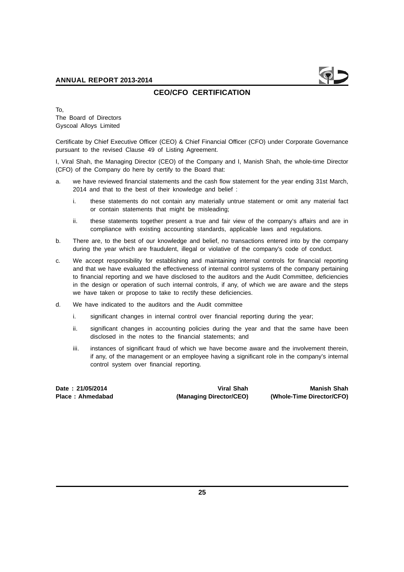

## **CEO/CFO CERTIFICATION**

To, The Board of Directors Gyscoal Alloys Limited

Certificate by Chief Executive Officer (CEO) & Chief Financial Officer (CFO) under Corporate Governance pursuant to the revised Clause 49 of Listing Agreement.

I, Viral Shah, the Managing Director (CEO) of the Company and I, Manish Shah, the whole-time Director (CFO) of the Company do here by certify to the Board that:

- a. we have reviewed financial statements and the cash flow statement for the year ending 31st March, 2014 and that to the best of their knowledge and belief :
	- i. these statements do not contain any materially untrue statement or omit any material fact or contain statements that might be misleading;
	- ii. these statements together present a true and fair view of the company's affairs and are in compliance with existing accounting standards, applicable laws and regulations.
- b. There are, to the best of our knowledge and belief, no transactions entered into by the company during the year which are fraudulent, illegal or violative of the company's code of conduct.
- c. We accept responsibility for establishing and maintaining internal controls for financial reporting and that we have evaluated the effectiveness of internal control systems of the company pertaining to financial reporting and we have disclosed to the auditors and the Audit Committee, deficiencies in the design or operation of such internal controls, if any, of which we are aware and the steps we have taken or propose to take to rectify these deficiencies.
- d. We have indicated to the auditors and the Audit committee
	- i. significant changes in internal control over financial reporting during the year;
	- ii. significant changes in accounting policies during the year and that the same have been disclosed in the notes to the financial statements; and
	- iii. instances of significant fraud of which we have become aware and the involvement therein, if any, of the management or an employee having a significant role in the company's internal control system over financial reporting.

**Date : 21/05/2014 Viral Shah Manish Shah Place : Ahmedabad (Managing Director/CEO) (Whole-Time Director/CFO)**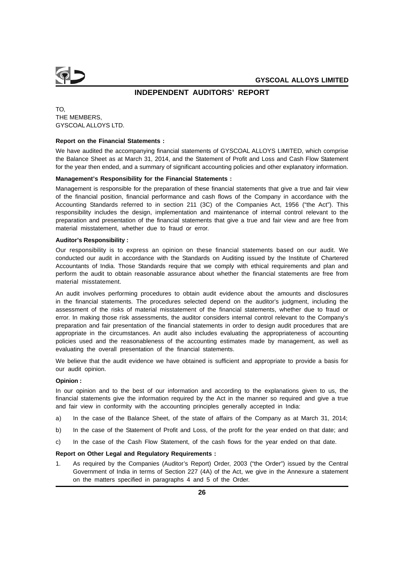

# **INDEPENDENT AUDITORS' REPORT**

TO, THE MEMBERS, GYSCOAL ALLOYS LTD.

#### **Report on the Financial Statements :**

We have audited the accompanying financial statements of GYSCOAL ALLOYS LIMITED, which comprise the Balance Sheet as at March 31, 2014, and the Statement of Profit and Loss and Cash Flow Statement for the year then ended, and a summary of significant accounting policies and other explanatory information.

#### **Management's Responsibility for the Financial Statements :**

Management is responsible for the preparation of these financial statements that give a true and fair view of the financial position, financial performance and cash flows of the Company in accordance with the Accounting Standards referred to in section 211 (3C) of the Companies Act, 1956 ("the Act"). This responsibility includes the design, implementation and maintenance of internal control relevant to the preparation and presentation of the financial statements that give a true and fair view and are free from material misstatement, whether due to fraud or error.

#### **Auditor's Responsibility :**

Our responsibility is to express an opinion on these financial statements based on our audit. We conducted our audit in accordance with the Standards on Auditing issued by the Institute of Chartered Accountants of India. Those Standards require that we comply with ethical requirements and plan and perform the audit to obtain reasonable assurance about whether the financial statements are free from material misstatement.

An audit involves performing procedures to obtain audit evidence about the amounts and disclosures in the financial statements. The procedures selected depend on the auditor's judgment, including the assessment of the risks of material misstatement of the financial statements, whether due to fraud or error. In making those risk assessments, the auditor considers internal control relevant to the Company's preparation and fair presentation of the financial statements in order to design audit procedures that are appropriate in the circumstances. An audit also includes evaluating the appropriateness of accounting policies used and the reasonableness of the accounting estimates made by management, as well as evaluating the overall presentation of the financial statements.

We believe that the audit evidence we have obtained is sufficient and appropriate to provide a basis for our audit opinion.

#### **Opinion :**

In our opinion and to the best of our information and according to the explanations given to us, the financial statements give the information required by the Act in the manner so required and give a true and fair view in conformity with the accounting principles generally accepted in India:

- a) In the case of the Balance Sheet, of the state of affairs of the Company as at March 31, 2014;
- b) In the case of the Statement of Profit and Loss, of the profit for the year ended on that date; and
- c) In the case of the Cash Flow Statement, of the cash flows for the year ended on that date.

#### **Report on Other Legal and Regulatory Requirements :**

1. As required by the Companies (Auditor's Report) Order, 2003 ("the Order") issued by the Central Government of India in terms of Section 227 (4A) of the Act, we give in the Annexure a statement on the matters specified in paragraphs 4 and 5 of the Order.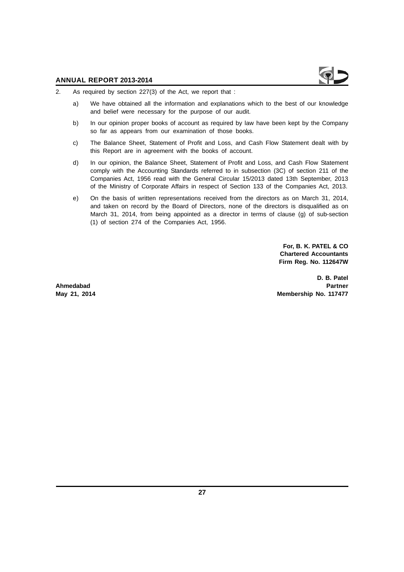

- 2. As required by section 227(3) of the Act, we report that :
	- a) We have obtained all the information and explanations which to the best of our knowledge and belief were necessary for the purpose of our audit.
	- b) In our opinion proper books of account as required by law have been kept by the Company so far as appears from our examination of those books.
	- c) The Balance Sheet, Statement of Profit and Loss, and Cash Flow Statement dealt with by this Report are in agreement with the books of account.
	- d) In our opinion, the Balance Sheet, Statement of Profit and Loss, and Cash Flow Statement comply with the Accounting Standards referred to in subsection (3C) of section 211 of the Companies Act, 1956 read with the General Circular 15/2013 dated 13th September, 2013 of the Ministry of Corporate Affairs in respect of Section 133 of the Companies Act, 2013.
	- e) On the basis of written representations received from the directors as on March 31, 2014, and taken on record by the Board of Directors, none of the directors is disqualified as on March 31, 2014, from being appointed as a director in terms of clause (g) of sub-section (1) of section 274 of the Companies Act, 1956.

**For, B. K. PATEL & CO Chartered Accountants Firm Reg. No. 112647W**

**D. B. Patel Ahmedabad Partner May 21, 2014 Membership No. 117477**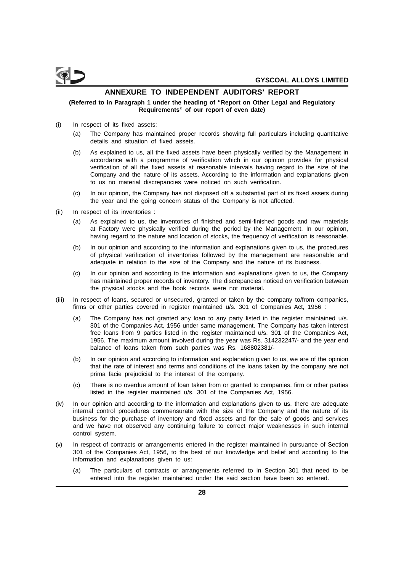

## **ANNEXURE TO INDEPENDENT AUDITORS' REPORT**

#### **(Referred to in Paragraph 1 under the heading of "Report on Other Legal and Regulatory Requirements" of our report of even date)**

- (i) In respect of its fixed assets:
	- (a) The Company has maintained proper records showing full particulars including quantitative details and situation of fixed assets.
	- (b) As explained to us, all the fixed assets have been physically verified by the Management in accordance with a programme of verification which in our opinion provides for physical verification of all the fixed assets at reasonable intervals having regard to the size of the Company and the nature of its assets. According to the information and explanations given to us no material discrepancies were noticed on such verification.
	- (c) In our opinion, the Company has not disposed off a substantial part of its fixed assets during the year and the going concern status of the Company is not affected.
- (ii) In respect of its inventories :
	- (a) As explained to us, the inventories of finished and semi-finished goods and raw materials at Factory were physically verified during the period by the Management. In our opinion, having regard to the nature and location of stocks, the frequency of verification is reasonable.
	- (b) In our opinion and according to the information and explanations given to us, the procedures of physical verification of inventories followed by the management are reasonable and adequate in relation to the size of the Company and the nature of its business.
	- (c) In our opinion and according to the information and explanations given to us, the Company has maintained proper records of inventory. The discrepancies noticed on verification between the physical stocks and the book records were not material.
- (iii) In respect of loans, secured or unsecured, granted or taken by the company to/from companies, firms or other parties covered in register maintained u/s. 301 of Companies Act, 1956 :
	- (a) The Company has not granted any loan to any party listed in the register maintained u/s. 301 of the Companies Act, 1956 under same management. The Company has taken interest free loans from 9 parties listed in the register maintained u/s. 301 of the Companies Act, 1956. The maximum amount involved during the year was Rs. 314232247/- and the year end balance of loans taken from such parties was Rs. 168802381/-
	- (b) In our opinion and according to information and explanation given to us, we are of the opinion that the rate of interest and terms and conditions of the loans taken by the company are not prima facie prejudicial to the interest of the company.
	- (c) There is no overdue amount of loan taken from or granted to companies, firm or other parties listed in the register maintained u/s. 301 of the Companies Act, 1956.
- (iv) In our opinion and according to the information and explanations given to us, there are adequate internal control procedures commensurate with the size of the Company and the nature of its business for the purchase of inventory and fixed assets and for the sale of goods and services and we have not observed any continuing failure to correct major weaknesses in such internal control system.
- (v) In respect of contracts or arrangements entered in the register maintained in pursuance of Section 301 of the Companies Act, 1956, to the best of our knowledge and belief and according to the information and explanations given to us:
	- (a) The particulars of contracts or arrangements referred to in Section 301 that need to be entered into the register maintained under the said section have been so entered.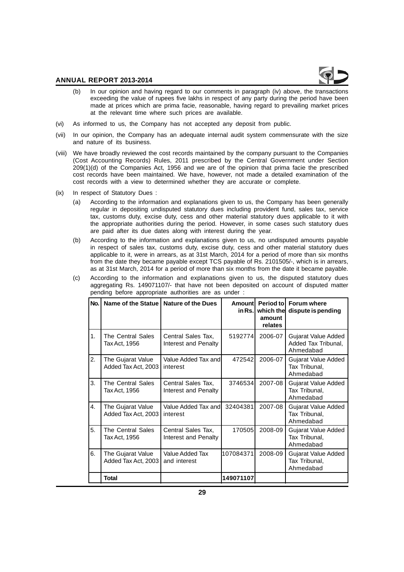

- (b) In our opinion and having regard to our comments in paragraph (iv) above, the transactions exceeding the value of rupees five lakhs in respect of any party during the period have been made at prices which are prima facie, reasonable, having regard to prevailing market prices at the relevant time where such prices are available.
- (vi) As informed to us, the Company has not accepted any deposit from public.
- (vii) In our opinion, the Company has an adequate internal audit system commensurate with the size and nature of its business.
- (viii) We have broadly reviewed the cost records maintained by the company pursuant to the Companies (Cost Accounting Records) Rules, 2011 prescribed by the Central Government under Section 209(1)(d) of the Companies Act, 1956 and we are of the opinion that prima facie the prescribed cost records have been maintained. We have, however, not made a detailed examination of the cost records with a view to determined whether they are accurate or complete.
- (ix) In respect of Statutory Dues :
	- (a) According to the information and explanations given to us, the Company has been generally regular in depositing undisputed statutory dues including provident fund, sales tax, service tax, customs duty, excise duty, cess and other material statutory dues applicable to it with the appropriate authorities during the period. However, in some cases such statutory dues are paid after its due dates along with interest during the year.
	- (b) According to the information and explanations given to us, no undisputed amounts payable in respect of sales tax, customs duty, excise duty, cess and other material statutory dues applicable to it, were in arrears, as at 31st March, 2014 for a period of more than six months from the date they became payable except TCS payable of Rs. 2101505/-, which is in arrears, as at 31st March, 2014 for a period of more than six months from the date it became payable.
	- (c) According to the information and explanations given to us, the disputed statutory dues aggregating Rs. 149071107/- that have not been deposited on account of disputed matter pending before appropriate authorities are as under :

| No. | Name of the Statue                       | <b>Nature of the Dues</b>                  | Amountl<br>in Rs.l | Period to<br>which the<br>amount<br>relates | <b>Forum where</b><br>dispute is pending                |
|-----|------------------------------------------|--------------------------------------------|--------------------|---------------------------------------------|---------------------------------------------------------|
| 1.  | The Central Sales<br>Tax Act, 1956       | Central Sales Tax,<br>Interest and Penalty | 5192774            | 2006-07                                     | Gujarat Value Added<br>Added Tax Tribunal,<br>Ahmedabad |
| 2.  | The Gujarat Value<br>Added Tax Act, 2003 | Value Added Tax and<br>interest            | 472542             | 2006-07                                     | Gujarat Value Added<br>Tax Tribunal,<br>Ahmedabad       |
| 3.  | The Central Sales<br>Tax Act, 1956       | Central Sales Tax,<br>Interest and Penalty | 3746534            | 2007-08                                     | Gujarat Value Added<br>Tax Tribunal,<br>Ahmedabad       |
| 4.  | The Gujarat Value<br>Added Tax Act, 2003 | Value Added Tax and<br>interest            | 32404381           | 2007-08                                     | Gujarat Value Added<br>Tax Tribunal,<br>Ahmedabad       |
| 5.  | The Central Sales<br>Tax Act, 1956       | Central Sales Tax,<br>Interest and Penalty | 170505             | 2008-09                                     | Gujarat Value Added<br>Tax Tribunal,<br>Ahmedabad       |
| 6.  | The Gujarat Value<br>Added Tax Act, 2003 | Value Added Tax<br>and interest            | 107084371          | 2008-09                                     | Gujarat Value Added<br>Tax Tribunal,<br>Ahmedabad       |
|     | <b>Total</b>                             |                                            | 149071107          |                                             |                                                         |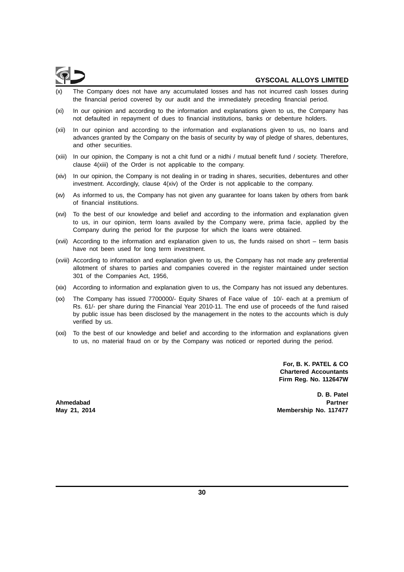

#### **GYSCOAL ALLOYS LIMITED**

- The Company does not have any accumulated losses and has not incurred cash losses during the financial period covered by our audit and the immediately preceding financial period.
- (xi) In our opinion and according to the information and explanations given to us, the Company has not defaulted in repayment of dues to financial institutions, banks or debenture holders.
- (xii) In our opinion and according to the information and explanations given to us, no loans and advances granted by the Company on the basis of security by way of pledge of shares, debentures, and other securities.
- (xiii) In our opinion, the Company is not a chit fund or a nidhi / mutual benefit fund / society. Therefore, clause 4(xiii) of the Order is not applicable to the company.
- (xiv) In our opinion, the Company is not dealing in or trading in shares, securities, debentures and other investment. Accordingly, clause 4(xiv) of the Order is not applicable to the company.
- (xv) As informed to us, the Company has not given any guarantee for loans taken by others from bank of financial institutions.
- (xvi) To the best of our knowledge and belief and according to the information and explanation given to us, in our opinion, term loans availed by the Company were, prima facie, applied by the Company during the period for the purpose for which the loans were obtained.
- (xvii) According to the information and explanation given to us, the funds raised on short term basis have not been used for long term investment.
- (xviii) According to information and explanation given to us, the Company has not made any preferential allotment of shares to parties and companies covered in the register maintained under section 301 of the Companies Act, 1956,
- (xix) According to information and explanation given to us, the Company has not issued any debentures.
- (xx) The Company has issued 7700000/- Equity Shares of Face value of 10/- each at a premium of Rs. 61/- per share during the Financial Year 2010-11. The end use of proceeds of the fund raised by public issue has been disclosed by the management in the notes to the accounts which is duly verified by us.
- (xxi) To the best of our knowledge and belief and according to the information and explanations given to us, no material fraud on or by the Company was noticed or reported during the period.

**For, B. K. PATEL & CO Chartered Accountants Firm Reg. No. 112647W**

**D. B. Patel Ahmedabad Partner May 21, 2014 Membership No. 117477**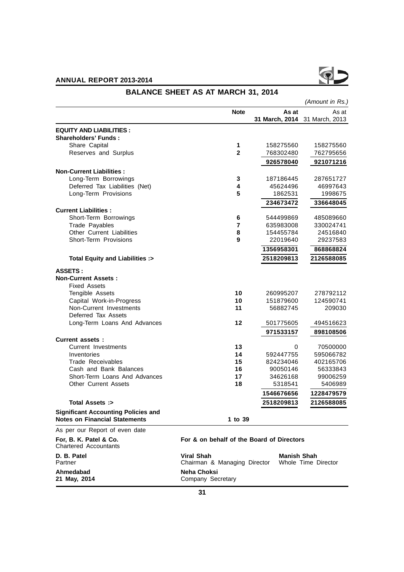

# **BALANCE SHEET AS AT MARCH 31, 2014**

|                                                                                                     |                                                   |                         | (Amount in Rs.)         |
|-----------------------------------------------------------------------------------------------------|---------------------------------------------------|-------------------------|-------------------------|
|                                                                                                     | <b>Note</b>                                       | As at<br>31 March, 2014 | As at<br>31 March, 2013 |
| <b>EQUITY AND LIABILITIES:</b>                                                                      |                                                   |                         |                         |
| <b>Shareholders' Funds:</b>                                                                         |                                                   |                         |                         |
| Share Capital                                                                                       | 1                                                 | 158275560               | 158275560               |
| Reserves and Surplus                                                                                | $\overline{2}$                                    | 768302480               | 762795656               |
|                                                                                                     |                                                   | 926578040               | 921071216               |
| <b>Non-Current Liabilities:</b>                                                                     |                                                   |                         |                         |
| Long-Term Borrowings                                                                                | 3                                                 | 187186445               | 287651727               |
| Deferred Tax Liabilities (Net)                                                                      | 4                                                 | 45624496                | 46997643                |
| Long-Term Provisions                                                                                | 5                                                 | 1862531                 | 1998675                 |
|                                                                                                     |                                                   | 234673472               | 336648045               |
| <b>Current Liabilities:</b><br>Short-Term Borrowings                                                | 6                                                 | 544499869               | 485089660               |
| Trade Payables                                                                                      | 7                                                 | 635983008               | 330024741               |
| Other Current Liabilities                                                                           | 8                                                 | 154455784               | 24516840                |
| Short-Term Provisions                                                                               | 9                                                 | 22019640                | 29237583                |
|                                                                                                     |                                                   | 1356958301              | 868868824               |
| Total Equity and Liabilities :>                                                                     |                                                   | 2518209813              | 2126588085              |
| <b>ASSETS:</b>                                                                                      |                                                   |                         |                         |
| <b>Non-Current Assets:</b>                                                                          |                                                   |                         |                         |
| <b>Fixed Assets</b>                                                                                 |                                                   |                         |                         |
| Tengible Assets                                                                                     | 10                                                | 260995207               | 278792112               |
| Capital Work-in-Progress                                                                            | 10                                                | 151879600               | 124590741               |
| Non-Current Investments                                                                             | 11                                                | 56882745                | 209030                  |
| Deferred Tax Assets                                                                                 |                                                   |                         |                         |
| Long-Term Loans And Advances                                                                        | 12                                                | 501775605               | 494516623               |
|                                                                                                     |                                                   | 971533157               | 898108506               |
| <b>Current assets:</b>                                                                              |                                                   |                         |                         |
| Current Investments                                                                                 | 13                                                | 0                       | 70500000                |
| Inventories<br><b>Trade Receivables</b>                                                             | 14<br>15                                          | 592447755<br>824234046  | 595066782<br>402165706  |
| Cash and Bank Balances                                                                              | 16                                                | 90050146                | 56333843                |
| Short-Term Loans And Advances                                                                       | 17                                                | 34626168                | 99006259                |
| <b>Other Current Assets</b>                                                                         | 18                                                | 5318541                 | 5406989                 |
|                                                                                                     |                                                   | 1546676656              | 1228479579              |
| Total Assets :>                                                                                     |                                                   | 2518209813              | 2126588085              |
| <b>Significant Accounting Policies and</b><br><b>Notes on Financial Statements</b>                  | 1 to 39                                           |                         |                         |
| As per our Report of even date                                                                      |                                                   |                         |                         |
| For & on behalf of the Board of Directors<br>For, B. K. Patel & Co.<br><b>Chartered Accountants</b> |                                                   |                         |                         |
| D. B. Patel<br>Partner                                                                              | <b>Viral Shah</b><br>Chairman & Managing Director | <b>Manish Shah</b>      | Whole Time Director     |
| Ahmedabad<br>21 May, 2014                                                                           | Neha Choksi<br>Company Secretary                  |                         |                         |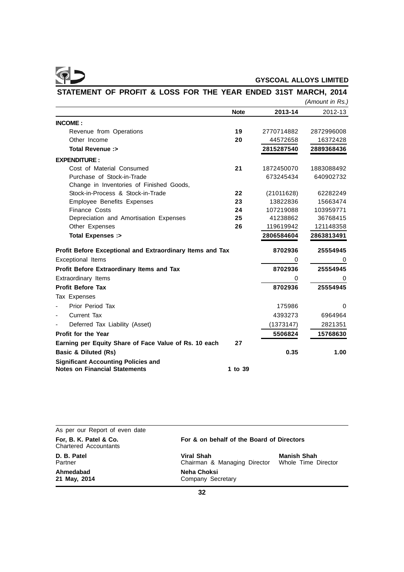# **GYSCOAL ALLOYS LIMITED**

**STATEMENT OF PROFIT & LOSS FOR THE YEAR ENDED 31ST MARCH, 2014**

|                                                                                    |             |            | (Amount in Rs.) |
|------------------------------------------------------------------------------------|-------------|------------|-----------------|
|                                                                                    | <b>Note</b> | 2013-14    | 2012-13         |
| <b>INCOME:</b>                                                                     |             |            |                 |
| Revenue from Operations                                                            | 19          | 2770714882 | 2872996008      |
| Other Income                                                                       | 20          | 44572658   | 16372428        |
| Total Revenue :>                                                                   |             | 2815287540 | 2889368436      |
| <b>EXPENDITURE:</b>                                                                |             |            |                 |
| Cost of Material Consumed                                                          | 21          | 1872450070 | 1883088492      |
| Purchase of Stock-in-Trade                                                         |             | 673245434  | 640902732       |
| Change in Inventories of Finished Goods,                                           |             |            |                 |
| Stock-in-Process & Stock-in-Trade                                                  | 22          | (21011628) | 62282249        |
| <b>Employee Benefits Expenses</b>                                                  | 23          | 13822836   | 15663474        |
| Finance Costs                                                                      | 24          | 107219088  | 103959771       |
| Depreciation and Amortisation Expenses                                             | 25          | 41238862   | 36768415        |
| Other Expenses                                                                     | 26          | 119619942  | 121148358       |
| Total Expenses :>                                                                  |             | 2806584604 | 2863813491      |
| Profit Before Exceptional and Extraordinary Items and Tax                          |             | 8702936    | 25554945        |
| Exceptional Items                                                                  |             | 0          | 0               |
| <b>Profit Before Extraordinary Items and Tax</b>                                   |             | 8702936    | 25554945        |
| Extraordinary Items                                                                |             | 0          | 0               |
| <b>Profit Before Tax</b>                                                           |             | 8702936    | 25554945        |
| Tax Expenses                                                                       |             |            |                 |
| Prior Period Tax                                                                   |             | 175986     | 0               |
| Current Tax                                                                        |             | 4393273    | 6964964         |
| Deferred Tax Liability (Asset)                                                     |             | (1373147)  | 2821351         |
| Profit for the Year                                                                |             | 5506824    | 15768630        |
| Earning per Equity Share of Face Value of Rs. 10 each                              | 27          |            |                 |
| <b>Basic &amp; Diluted (Rs)</b>                                                    |             | 0.35       | 1.00            |
| <b>Significant Accounting Policies and</b><br><b>Notes on Financial Statements</b> | 1 to 39     |            |                 |

| Ahmedabad<br>21 May, 2014                       | Neha Choksi<br>Company Secretary                  |                                    |
|-------------------------------------------------|---------------------------------------------------|------------------------------------|
| D. B. Patel<br>Partner                          | <b>Viral Shah</b><br>Chairman & Managing Director | Manish Shah<br>Whole Time Director |
| For, B. K. Patel & Co.<br>Chartered Accountants | For & on behalf of the Board of Directors         |                                    |
| As per our Report of even date                  |                                                   |                                    |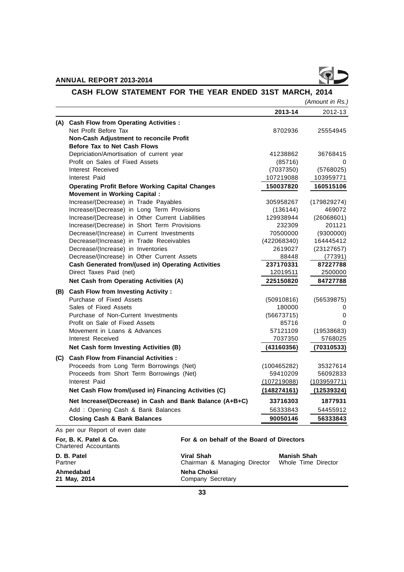

# **CASH FLOW STATEMENT FOR THE YEAR ENDED 31ST MARCH, 2014**

|  |                                                                     |                    | (Amount in Rs.)    |
|--|---------------------------------------------------------------------|--------------------|--------------------|
|  |                                                                     | 2013-14            | 2012-13            |
|  | (A) Cash Flow from Operating Activities :                           |                    |                    |
|  | Net Profit Before Tax                                               | 8702936            | 25554945           |
|  | <b>Non-Cash Adjustment to reconcile Profit</b>                      |                    |                    |
|  | <b>Before Tax to Net Cash Flows</b>                                 |                    |                    |
|  | Depriciation/Amortisation of current year                           | 41238862           | 36768415           |
|  | Profit on Sales of Fixed Assets                                     | (85716)            | 0                  |
|  | Interest Received                                                   | (7037350)          | (5768025)          |
|  | Interest Paid                                                       | 107219088          | 103959771          |
|  | <b>Operating Profit Before Working Capital Changes</b>              | 150037820          | 160515106          |
|  | <b>Movement in Working Capital:</b>                                 |                    |                    |
|  | Increase/(Decrease) in Trade Payables                               | 305958267          | (179829274)        |
|  | Increase/(Decrease) in Long Term Provisions                         | (136144)           | 469072             |
|  | Increase/(Decrease) in Other Current Liabilities                    | 129938944          | (26068601)         |
|  | Increase/(Decrease) in Short Term Provisions                        | 232309             | 201121             |
|  | Decrease/(Increase) in Current Investments                          | 70500000           | (9300000)          |
|  | Decrease/(Increase) in Trade Receivables                            | (422068340)        | 164445412          |
|  | Decrease/(Increase) in Inventories                                  | 2619027            | (23127657)         |
|  | Decrease/(Increase) in Other Current Assets                         | 88448              | (77391)            |
|  | Cash Generated from/(used in) Operating Activities                  | 237170331          | 87227788           |
|  | Direct Taxes Paid (net)                                             | 12019511           | 2500000            |
|  | Net Cash from Operating Activities (A)                              | 225150820          | 84727788           |
|  | (B) Cash Flow from Investing Activity:                              |                    |                    |
|  | Purchase of Fixed Assets                                            | (50910816)         | (56539875)         |
|  | Sales of Fixed Assets                                               | 180000             | 0                  |
|  | Purchase of Non-Current Investments                                 | (56673715)         | $\Omega$           |
|  | Profit on Sale of Fixed Assets                                      | 85716              | $\Omega$           |
|  | Movement in Loans & Advances                                        | 57121109           | (19538683)         |
|  | Interest Received                                                   | 7037350            | 5768025            |
|  | Net Cash form Investing Activities (B)                              | (43160356)         | (70310533)         |
|  | (C) Cash Flow from Financial Activities :                           |                    |                    |
|  | Proceeds from Long Term Borrowings (Net)                            | (100465282)        | 35327614           |
|  | Proceeds from Short Term Borrowings (Net)                           | 59410209           | 56092833           |
|  | Interest Paid                                                       | <u>(107219088)</u> | <u>(103959771)</u> |
|  | Net Cash Flow from/(used in) Financing Activities (C)               | (148274161)        | (12539324)         |
|  | Net Increase/(Decrease) in Cash and Bank Balance (A+B+C)            | 33716303           | 1877931            |
|  | Add: Opening Cash & Bank Balances                                   | 56333843           | 54455912           |
|  | <b>Closing Cash &amp; Bank Balances</b>                             | 90050146           | 56333843           |
|  | As per our Report of even date                                      |                    |                    |
|  | For, B. K. Patel & Co.<br>For & on behalf of the Board of Directors |                    |                    |
|  | <b>Chartered Accountants</b>                                        |                    |                    |

| D. B. Patel               | Viral Shah                       | Manish Shah         |
|---------------------------|----------------------------------|---------------------|
| Partner                   | Chairman & Managing Director     | Whole Time Director |
| Ahmedabad<br>21 May, 2014 | Neha Choksi<br>Company Secretary |                     |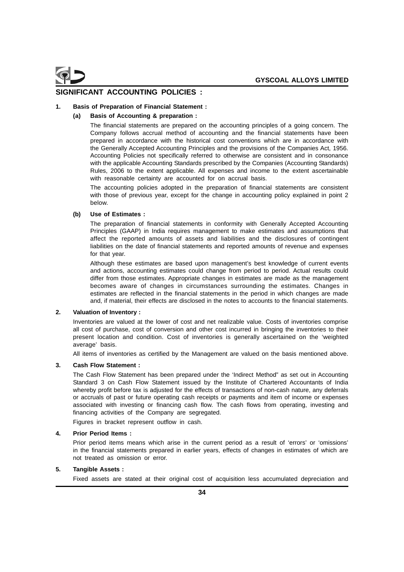

## **SIGNIFICANT ACCOUNTING POLICIES :**

#### **1. Basis of Preparation of Financial Statement :**

#### **(a) Basis of Accounting & preparation :**

The financial statements are prepared on the accounting principles of a going concern. The Company follows accrual method of accounting and the financial statements have been prepared in accordance with the historical cost conventions which are in accordance with the Generally Accepted Accounting Principles and the provisions of the Companies Act, 1956. Accounting Policies not specifically referred to otherwise are consistent and in consonance with the applicable Accounting Standards prescribed by the Companies (Accounting Standards) Rules, 2006 to the extent applicable. All expenses and income to the extent ascertainable with reasonable certainty are accounted for on accrual basis.

The accounting policies adopted in the preparation of financial statements are consistent with those of previous year, except for the change in accounting policy explained in point 2 below.

#### **(b) Use of Estimates :**

The preparation of financial statements in conformity with Generally Accepted Accounting Principles (GAAP) in India requires management to make estimates and assumptions that affect the reported amounts of assets and liabilities and the disclosures of contingent liabilities on the date of financial statements and reported amounts of revenue and expenses for that year.

Although these estimates are based upon management's best knowledge of current events and actions, accounting estimates could change from period to period. Actual results could differ from those estimates. Appropriate changes in estimates are made as the management becomes aware of changes in circumstances surrounding the estimates. Changes in estimates are reflected in the financial statements in the period in which changes are made and, if material, their effects are disclosed in the notes to accounts to the financial statements.

#### **2. Valuation of Inventory :**

Inventories are valued at the lower of cost and net realizable value. Costs of inventories comprise all cost of purchase, cost of conversion and other cost incurred in bringing the inventories to their present location and condition. Cost of inventories is generally ascertained on the 'weighted average' basis.

All items of inventories as certified by the Management are valued on the basis mentioned above.

#### **3. Cash Flow Statement :**

The Cash Flow Statement has been prepared under the 'Indirect Method" as set out in Accounting Standard 3 on Cash Flow Statement issued by the Institute of Chartered Accountants of India whereby profit before tax is adjusted for the effects of transactions of non-cash nature, any deferrals or accruals of past or future operating cash receipts or payments and item of income or expenses associated with investing or financing cash flow. The cash flows from operating, investing and financing activities of the Company are segregated.

Figures in bracket represent outflow in cash.

#### **4. Prior Period Items :**

Prior period items means which arise in the current period as a result of 'errors' or 'omissions' in the financial statements prepared in earlier years, effects of changes in estimates of which are not treated as omission or error.

#### **5. Tangible Assets :**

Fixed assets are stated at their original cost of acquisition less accumulated depreciation and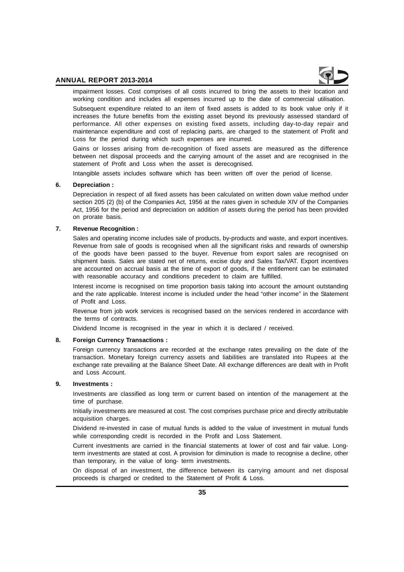

impairment losses. Cost comprises of all costs incurred to bring the assets to their location and working condition and includes all expenses incurred up to the date of commercial utilisation.

Subsequent expenditure related to an item of fixed assets is added to its book value only if it increases the future benefits from the existing asset beyond its previously assessed standard of performance. All other expenses on existing fixed assets, including day-to-day repair and maintenance expenditure and cost of replacing parts, are charged to the statement of Profit and Loss for the period during which such expenses are incurred.

Gains or losses arising from de-recognition of fixed assets are measured as the difference between net disposal proceeds and the carrying amount of the asset and are recognised in the statement of Profit and Loss when the asset is derecognised.

Intangible assets includes software which has been written off over the period of license.

#### **6. Depreciation :**

Depreciation in respect of all fixed assets has been calculated on written down value method under section 205 (2) (b) of the Companies Act, 1956 at the rates given in schedule XIV of the Companies Act, 1956 for the period and depreciation on addition of assets during the period has been provided on prorate basis.

#### **7. Revenue Recognition :**

Sales and operating income includes sale of products, by-products and waste, and export incentives. Revenue from sale of goods is recognised when all the significant risks and rewards of ownership of the goods have been passed to the buyer. Revenue from export sales are recognised on shipment basis. Sales are stated net of returns, excise duty and Sales Tax/VAT. Export incentives are accounted on accrual basis at the time of export of goods, if the entitlement can be estimated with reasonable accuracy and conditions precedent to claim are fulfilled.

Interest income is recognised on time proportion basis taking into account the amount outstanding and the rate applicable. Interest income is included under the head "other income" in the Statement of Profit and Loss.

Revenue from job work services is recognised based on the services rendered in accordance with the terms of contracts.

Dividend Income is recognised in the year in which it is declared / received.

#### **8. Foreign Currency Transactions :**

Foreign currency transactions are recorded at the exchange rates prevailing on the date of the transaction. Monetary foreign currency assets and liabilities are translated into Rupees at the exchange rate prevailing at the Balance Sheet Date. All exchange differences are dealt with in Profit and Loss Account.

#### **9. Investments :**

Investments are classified as long term or current based on intention of the management at the time of purchase.

Initially investments are measured at cost. The cost comprises purchase price and directly attributable acquisition charges.

Dividend re-invested in case of mutual funds is added to the value of investment in mutual funds while corresponding credit is recorded in the Profit and Loss Statement.

Current investments are carried in the financial statements at lower of cost and fair value. Longterm investments are stated at cost. A provision for diminution is made to recognise a decline, other than temporary, in the value of long- term investments.

On disposal of an investment, the difference between its carrying amount and net disposal proceeds is charged or credited to the Statement of Profit & Loss.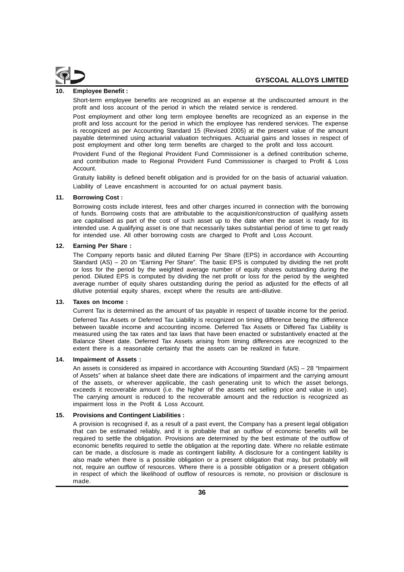

#### **10. Employee Benefit :**

Short-term employee benefits are recognized as an expense at the undiscounted amount in the profit and loss account of the period in which the related service is rendered.

Post employment and other long term employee benefits are recognized as an expense in the profit and loss account for the period in which the employee has rendered services. The expense is recognized as per Accounting Standard 15 (Revised 2005) at the present value of the amount payable determined using actuarial valuation techniques. Actuarial gains and losses in respect of post employment and other long term benefits are charged to the profit and loss account.

Provident Fund of the Regional Provident Fund Commissioner is a defined contribution scheme, and contribution made to Regional Provident Fund Commissioner is charged to Profit & Loss Account.

Gratuity liability is defined benefit obligation and is provided for on the basis of actuarial valuation. Liability of Leave encashment is accounted for on actual payment basis.

#### **11. Borrowing Cost :**

Borrowing costs include interest, fees and other charges incurred in connection with the borrowing of funds. Borrowing costs that are attributable to the acquisition/construction of qualifying assets are capitalised as part of the cost of such asset up to the date when the asset is ready for its intended use. A qualifying asset is one that necessarily takes substantial period of time to get ready for intended use. All other borrowing costs are charged to Profit and Loss Account.

#### **12. Earning Per Share :**

The Company reports basic and diluted Earning Per Share (EPS) in accordance with Accounting Standard (AS) – 20 on "Earning Per Share". The basic EPS is computed by dividing the net profit or loss for the period by the weighted average number of equity shares outstanding during the period. Diluted EPS is computed by dividing the net profit or loss for the period by the weighted average number of equity shares outstanding during the period as adjusted for the effects of all dilutive potential equity shares, except where the results are anti-dilutive.

### **13. Taxes on Income :**

Current Tax is determined as the amount of tax payable in respect of taxable income for the period.

Deferred Tax Assets or Deferred Tax Liability is recognized on timing difference being the difference between taxable income and accounting income. Deferred Tax Assets or Differed Tax Liability is measured using the tax rates and tax laws that have been enacted or substantively enacted at the Balance Sheet date. Deferred Tax Assets arising from timing differences are recognized to the extent there is a reasonable certainty that the assets can be realized in future.

### **14. Impairment of Assets :**

An assets is considered as impaired in accordance with Accounting Standard (AS) – 28 "Impairment of Assets" when at balance sheet date there are indications of impairment and the carrying amount of the assets, or wherever applicable, the cash generating unit to which the asset belongs, exceeds it recoverable amount (i.e. the higher of the assets net selling price and value in use). The carrying amount is reduced to the recoverable amount and the reduction is recognized as impairment loss in the Profit & Loss Account.

#### **15. Provisions and Contingent Liabilities :**

A provision is recognised if, as a result of a past event, the Company has a present legal obligation that can be estimated reliably, and it is probable that an outflow of economic benefits will be required to settle the obligation. Provisions are determined by the best estimate of the outflow of economic benefits required to settle the obligation at the reporting date. Where no reliable estimate can be made, a disclosure is made as contingent liability. A disclosure for a contingent liability is also made when there is a possible obligation or a present obligation that may, but probably will not, require an outflow of resources. Where there is a possible obligation or a present obligation in respect of which the likelihood of outflow of resources is remote, no provision or disclosure is made.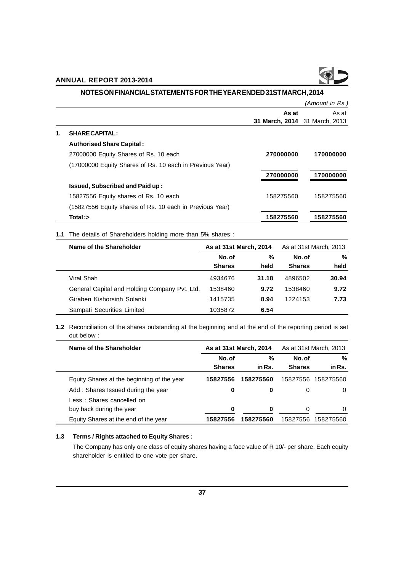

## **NOTES ON FINANCIAL STATEMENTS FOR THE YEAR ENDED 31ST MARCH, 2014**

|    |                                                          |           | (Amount in Rs.)               |
|----|----------------------------------------------------------|-----------|-------------------------------|
|    |                                                          | As at     | As at                         |
|    |                                                          |           | 31 March, 2014 31 March, 2013 |
| 1. | <b>SHARE CAPITAL:</b>                                    |           |                               |
|    | <b>Authorised Share Capital:</b>                         |           |                               |
|    | 27000000 Equity Shares of Rs. 10 each                    | 270000000 | 170000000                     |
|    | (17000000 Equity Shares of Rs. 10 each in Previous Year) |           |                               |
|    |                                                          | 270000000 | 170000000                     |
|    | Issued, Subscribed and Paid up:                          |           |                               |
|    | 15827556 Equity shares of Rs. 10 each                    | 158275560 | 158275560                     |
|    | (15827556 Equity shares of Rs. 10 each in Previous Year) |           |                               |
|    | Total:                                                   | 158275560 | 158275560                     |

## **1.1** The details of Shareholders holding more than 5% shares :

| Name of the Shareholder                       | As at 31st March, 2014 |       | As at 31st March, 2013 |       |  |
|-----------------------------------------------|------------------------|-------|------------------------|-------|--|
|                                               | $\%$<br>No.of          |       | No.of                  | $\%$  |  |
|                                               | <b>Shares</b>          | held  | <b>Shares</b>          | held  |  |
| Viral Shah                                    | 4934676                | 31.18 | 4896502                | 30.94 |  |
| General Capital and Holding Company Pvt. Ltd. | 1538460                | 9.72  | 1538460                | 9.72  |  |
| Giraben Kishorsinh Solanki                    | 1415735                | 8.94  | 1224153                | 7.73  |  |
| Sampati Securities Limited                    | 1035872                | 6.54  |                        |       |  |

## **1.2** Reconciliation of the shares outstanding at the beginning and at the end of the reporting period is set out below :

| Name of the Shareholder                               | As at 31st March, 2014  |             | As at 31st March, 2013  |             |  |  |
|-------------------------------------------------------|-------------------------|-------------|-------------------------|-------------|--|--|
|                                                       | No. of<br><b>Shares</b> | %<br>in Rs. | No. of<br><b>Shares</b> | %<br>in Rs. |  |  |
| Equity Shares at the beginning of the year            | 15827556                | 158275560   | 15827556                | 158275560   |  |  |
| Add: Shares Issued during the year                    | 0                       | 0           | O                       | 0           |  |  |
| Less: Shares cancelled on<br>buy back during the year | 0                       | 0           | 0                       | 0           |  |  |
| Equity Shares at the end of the year                  | 15827556                | 158275560   | 15827556                | 158275560   |  |  |

#### **1.3 Terms / Rights attached to Equity Shares :**

The Company has only one class of equity shares having a face value of R 10/- per share. Each equity shareholder is entitled to one vote per share.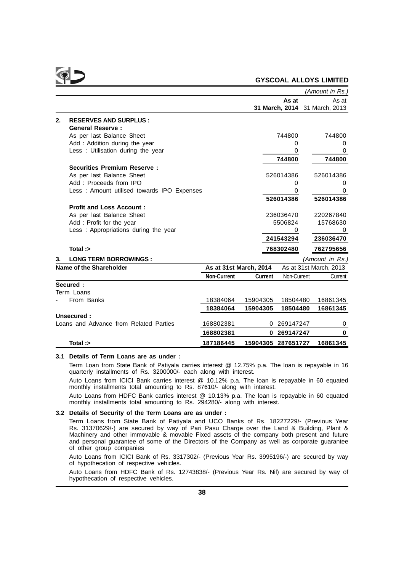

|    |                                             |                        |                    |             | (Amount in Rs.)               |
|----|---------------------------------------------|------------------------|--------------------|-------------|-------------------------------|
|    |                                             |                        |                    | As at       | As at                         |
|    |                                             |                        |                    |             | 31 March, 2014 31 March, 2013 |
| 2. | <b>RESERVES AND SURPLUS:</b>                |                        |                    |             |                               |
|    | <b>General Reserve:</b>                     |                        |                    |             |                               |
|    | As per last Balance Sheet                   |                        |                    | 744800      | 744800                        |
|    | Add: Addition during the year               |                        |                    | 0           | 0                             |
|    | Less: Utilisation during the year           |                        |                    | 0           | $\Omega$                      |
|    |                                             |                        |                    | 744800      | 744800                        |
|    | <b>Securities Premium Reserve:</b>          |                        |                    |             |                               |
|    | As per last Balance Sheet                   |                        |                    | 526014386   | 526014386                     |
|    | Add: Proceeds from IPO                      |                        |                    | 0           | 0                             |
|    | Less : Amount utilised towards IPO Expenses |                        |                    | 0           | 0                             |
|    |                                             |                        |                    | 526014386   | 526014386                     |
|    | <b>Profit and Loss Account:</b>             |                        |                    |             |                               |
|    | As per last Balance Sheet                   |                        |                    | 236036470   | 220267840                     |
|    | Add: Profit for the year                    |                        |                    | 5506824     | 15768630                      |
|    | Less: Appropriations during the year        |                        |                    | 0           | 0                             |
|    |                                             |                        |                    | 241543294   | 236036470                     |
|    | Total:>                                     |                        |                    | 768302480   | 762795656                     |
| 3. | <b>LONG TERM BORROWINGS:</b>                |                        |                    |             | (Amount in Rs.)               |
|    | Name of the Shareholder                     | As at 31st March, 2014 |                    |             | As at 31st March, 2013        |
|    |                                             | Non-Current            | Current            | Non-Current | Current                       |
|    | Secured:                                    |                        |                    |             |                               |
|    | Term Loans                                  |                        |                    |             |                               |
|    | From Banks                                  | 18384064               | 15904305           | 18504480    | 16861345                      |
|    |                                             | 18384064               | 15904305           | 18504480    | 16861345                      |
|    | Unsecured:                                  |                        |                    |             |                               |
|    | Loans and Advance from Related Parties      | 168802381              |                    | 0 269147247 | 0                             |
|    |                                             | 168802381              |                    | 0 269147247 | $\bf{0}$                      |
|    | Total:>                                     | 187186445              | 15904305 287651727 |             | 16861345                      |
|    |                                             |                        |                    |             |                               |

#### **3.1 Details of Term Loans are as under :**

Term Loan from State Bank of Patiyala carries interest @ 12.75% p.a. The loan is repayable in 16 quarterly installments of Rs. 3200000/- each along with interest.

Auto Loans from ICICI Bank carries interest @ 10.12% p.a. The loan is repayable in 60 equated monthly installments total amounting to Rs. 87610/- along with interest.

Auto Loans from HDFC Bank carries interest @ 10.13% p.a. The loan is repayable in 60 equated monthly installments total amounting to Rs. 294280/- along with interest.

#### **3.2 Details of Security of the Term Loans are as under :**

Term Loans from State Bank of Patiyala and UCO Banks of Rs. 18227229/- (Previous Year Rs. 31370629/-) are secured by way of Pari Pasu Charge over the Land & Building, Plant & Machinery and other immovable & movable Fixed assets of the company both present and future and personal guarantee of some of the Directors of the Company as well as corporate guarantee of other group companies

Auto Loans from ICICI Bank of Rs. 3317302/- (Previous Year Rs. 3995196/-) are secured by way of hypothecation of respective vehicles.

Auto Loans from HDFC Bank of Rs. 12743838/- (Previous Year Rs. Nil) are secured by way of hypothecation of respective vehicles.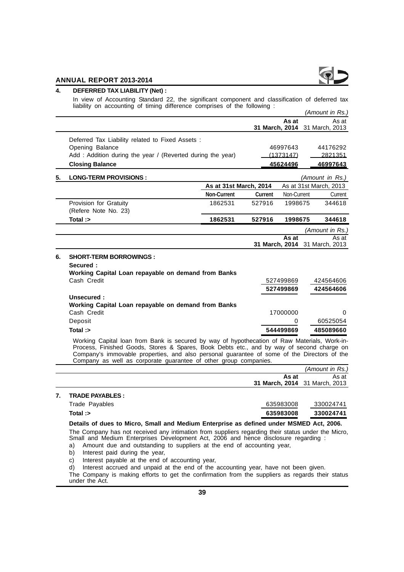

## **4. DEFERRED TAX LIABILITY (Net) :**

In view of Accounting Standard 22, the significant component and classification of deferred tax liability on accounting of timing difference comprises of the following :

|    |                                                                                                  |                        |                |             | (Amount in Rs.)                        |          |
|----|--------------------------------------------------------------------------------------------------|------------------------|----------------|-------------|----------------------------------------|----------|
|    |                                                                                                  |                        |                | As at       | As at<br>31 March, 2014 31 March, 2013 |          |
|    | Deferred Tax Liability related to Fixed Assets :                                                 |                        |                |             |                                        |          |
|    | Opening Balance                                                                                  |                        |                | 46997643    | 44176292                               |          |
|    | Add: Addition during the year / (Reverted during the year)                                       |                        |                | (1373147)   | 2821351                                |          |
|    | <b>Closing Balance</b>                                                                           |                        |                | 45624496    | 46997643                               |          |
| 5. | <b>LONG-TERM PROVISIONS:</b>                                                                     |                        |                |             | (Amount in Rs.)                        |          |
|    |                                                                                                  | As at 31st March, 2014 |                |             | As at 31st March, 2013                 |          |
|    |                                                                                                  | Non-Current            | Current        | Non-Current | Current                                |          |
|    | Provision for Gratuity<br>(Refere Note No. 23)                                                   | 1862531                | 527916         | 1998675     | 344618                                 |          |
|    | Total:>                                                                                          | 1862531                | 527916         | 1998675     | 344618                                 |          |
|    |                                                                                                  |                        |                |             | (Amount in Rs.)                        |          |
|    |                                                                                                  |                        | 31 March, 2014 | As at       | As at<br>31 March, 2013                |          |
| 6. | <b>SHORT-TERM BORROWINGS:</b><br>Secured:<br>Working Capital Loan repayable on demand from Banks |                        |                |             |                                        |          |
|    | Cash Credit                                                                                      |                        |                | 527499869   | 424564606                              |          |
|    |                                                                                                  |                        |                | 527499869   | 424564606                              |          |
|    | Unsecured:<br>Working Capital Loan repayable on demand from Banks                                |                        |                |             |                                        |          |
|    | Cash Credit                                                                                      |                        |                | 17000000    |                                        | $\Omega$ |
|    | Deposit                                                                                          |                        |                | 0           | 60525054                               |          |
|    | Total:>                                                                                          |                        |                | 544499869   | 485089660                              |          |
|    | Working Capital loan from Bank is secured by way of hypothecation of Raw Materials, Work-in-     |                        |                |             |                                        |          |

Process, Finished Goods, Stores & Spares, Book Debts etc., and by way of second charge on Company's immovable properties, and also personal guarantee of some of the Directors of the Company as well as corporate guarantee of other group companies.

|    |                         |                               | (Amount in Rs.) |
|----|-------------------------|-------------------------------|-----------------|
|    |                         | As at                         | As at           |
|    |                         | 31 March, 2014 31 March, 2013 |                 |
| 7. | <b>TRADE PAYABLES :</b> |                               |                 |
|    | Trade Payables          | 635983008                     | 330024741       |

| Total:                                                                                  |  | 635983008 | 330024741 |
|-----------------------------------------------------------------------------------------|--|-----------|-----------|
| Details of dues to Micro, Small and Medium Enterprise as defined under MSMED Act, 2006. |  |           |           |

The Company has not received any intimation from suppliers regarding their status under the Micro, Small and Medium Enterprises Development Act, 2006 and hence disclosure regarding : a) Amount due and outstanding to suppliers at the end of accounting year,

b) Interest paid during the year,

c) Interest payable at the end of accounting year,

d) Interest accrued and unpaid at the end of the accounting year, have not been given.

The Company is making efforts to get the confirmation from the suppliers as regards their status under the Act.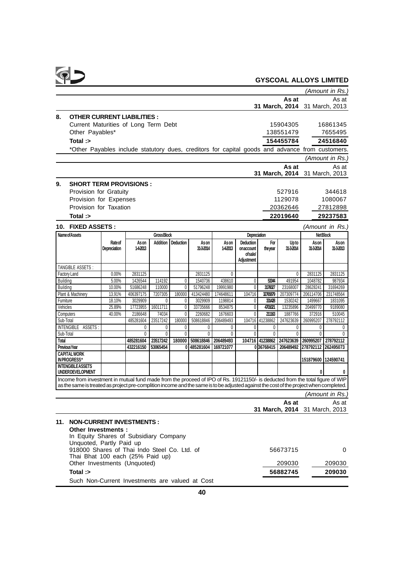

|                                         |                                                                                                 |                    |                            |              |                       |                                  |                |                 |             |                               | (Amount in Rs.)                        |
|-----------------------------------------|-------------------------------------------------------------------------------------------------|--------------------|----------------------------|--------------|-----------------------|----------------------------------|----------------|-----------------|-------------|-------------------------------|----------------------------------------|
|                                         |                                                                                                 |                    |                            |              |                       |                                  |                |                 | As at       |                               | As at                                  |
|                                         |                                                                                                 |                    |                            |              |                       |                                  |                |                 |             |                               | 31 March, 2014 31 March, 2013          |
| <b>OTHER CURRENT LIABILITIES:</b><br>8. |                                                                                                 |                    |                            |              |                       |                                  |                |                 |             |                               |                                        |
| Current Maturities of Long Term Debt    |                                                                                                 |                    |                            |              |                       |                                  |                |                 | 15904305    |                               | 16861345                               |
| Other Payables*                         |                                                                                                 |                    |                            |              |                       |                                  |                |                 | 138551479   |                               | 7655495                                |
| Total :>                                |                                                                                                 |                    |                            |              |                       |                                  |                |                 | 154455784   |                               | 24516840                               |
|                                         | *Other Payables include statutory dues, creditors for capital goods and advance from customers. |                    |                            |              |                       |                                  |                |                 |             |                               |                                        |
|                                         |                                                                                                 |                    |                            |              |                       |                                  |                |                 |             |                               | (Amount in Rs.)                        |
|                                         |                                                                                                 |                    |                            |              |                       |                                  |                |                 |             |                               |                                        |
|                                         |                                                                                                 |                    |                            |              |                       |                                  |                |                 | As at       |                               | As at<br>31 March, 2014 31 March, 2013 |
|                                         |                                                                                                 |                    |                            |              |                       |                                  |                |                 |             |                               |                                        |
| 9.<br><b>SHORT TERM PROVISIONS:</b>     |                                                                                                 |                    |                            |              |                       |                                  |                |                 |             |                               |                                        |
| Provision for Gratuity                  |                                                                                                 |                    |                            |              |                       |                                  |                |                 | 527916      |                               | 344618                                 |
| Provision for Expenses                  |                                                                                                 |                    |                            |              |                       |                                  |                |                 | 1129078     |                               | 1080067                                |
| Provision for Taxation                  |                                                                                                 |                    |                            |              |                       |                                  |                |                 | 20362646    | 27812898                      |                                        |
| Total:>                                 |                                                                                                 |                    |                            |              |                       |                                  |                |                 | 22019640    |                               | 29237583                               |
| 10. FIXED ASSETS:                       |                                                                                                 |                    |                            |              |                       |                                  |                |                 |             |                               | (Amount in Rs.)                        |
| <b>Name of Assets</b>                   |                                                                                                 | <b>GrossBlock</b>  |                            |              |                       | Depreciation                     |                |                 |             | <b>NetBlock</b>               |                                        |
|                                         | Rateof                                                                                          | Ason               | Addition Deduction<br>Ason |              |                       | Deduction<br>For<br>Ason<br>Upto |                |                 | Ason        | Ason                          |                                        |
|                                         | Depreciation                                                                                    | 142013             |                            |              | 31-3-2014             | 142013                           | onaccount      | theyear         | 31-3-2014   | 31-3-2014                     | 31-3-2013                              |
|                                         |                                                                                                 |                    |                            |              |                       |                                  | <b>ofsale/</b> |                 |             |                               |                                        |
|                                         |                                                                                                 |                    |                            |              |                       |                                  | Adjustment     |                 |             |                               |                                        |
| TANGIBLE ASSETS:                        |                                                                                                 |                    |                            |              |                       |                                  |                |                 |             |                               |                                        |
| Factory Land<br>Building                | 0.00%<br>5.00%                                                                                  | 2831125<br>1426544 | 114192                     | $\mathbf{0}$ | 2831125<br>1540736    | $\Omega$<br>438610               | $\theta$       | 53344           | 0<br>491954 | 2831125<br>1048782            | 2831125<br>987934                      |
| Building                                | 10.00%                                                                                          | 51686248           | 110000                     | $\theta$     | 51796248              | 19991980                         | $\theta$       | 3176027         | 23168007    | 28628241                      | 31694269                               |
| Plant & Machinery                       | 13.91%                                                                                          | 406397175          | 7207305                    | 180000       | 413424480             | 174648611                        | 104716         | 32765879        | 207309774   | 206114706                     | 231748564                              |
| Furniture                               | 18.10%                                                                                          | 3029909            | $\theta$                   | $\mathbf{0}$ | 3029909               | 1198814                          | 0              | 331428          | 1530242     | 1499667                       | 1831095                                |
| Vehicles                                | 25.89%                                                                                          | 17723955           | 16011711                   | $\mathbf{0}$ | 33735666              | 8534875                          | $\theta$       | 4701021         | 13235896    | 20499770                      | 9189080                                |
| Computers                               | 40.00%                                                                                          | 2186648            | 74034                      | $\mathbf{0}$ | 2260682               | 1676603                          | 0              | 21163           | 1887766     | 372916                        | 510045                                 |
| Sub-Total                               |                                                                                                 | 485281604          | 23517242                   | 180000       | 508618846             | 206489493                        |                | 104716 41238862 | 247623639   | 260995207                     | 278792112                              |
| INTENGIBLE ASSETS:                      |                                                                                                 | 0                  | $\mathbf{0}$               | 0            | 0                     | $\theta$                         | 0              | $\theta$        | $\theta$    | 0                             | 0                                      |
| Sub-Total                               |                                                                                                 | $\mathbf{0}$       | $\theta$                   | $\mathbf{0}$ | $\mathbf{0}$          | $\Omega$                         | $\theta$       | $\Omega$        | $\theta$    | $\theta$                      | 0                                      |
| Total                                   |                                                                                                 | 485281604          | 23517242                   | 180000       | 508618846             | 206489493                        |                | 104716 41238862 | 247623639   | 260995207 278792112           |                                        |
| <b>Previous Year</b>                    |                                                                                                 | 432216150 53065454 |                            |              | 0 485281604 169721077 |                                  |                | 036768415       |             | 206489492 278792112 262495073 |                                        |

**CAPITAL WORK**<br> **INPROGRESS\* IN PROGRESS \* 151879600 124590741 INTENGIBLE ASSETS UNDER DEVELOPMENT 0 0** Income from investment in mutual fund made from the proceed of IPO of Rs. 19121150/- is deducted from the total figure of WIP as the same is treated as project pre-complition income and the same is to be adjusted against the cost of the project when completed.

*(Amount in Rs.)*

**As at** As at **31 March, 2014** 31 March, 2013

| 11. | <b>NON-CURRENT INVESTMENTS:</b>                 |          |          |
|-----|-------------------------------------------------|----------|----------|
|     | Other Investments:                              |          |          |
|     | In Equity Shares of Subsidiary Company          |          |          |
|     | Unquoted, Partly Paid up                        |          |          |
|     | 918000 Shares of Thai Indo Steel Co. Ltd. of    | 56673715 | $\Omega$ |
|     | Thai Bhat 100 each (25% Paid up)                |          |          |
|     | Other Investments (Unquoted)                    | 209030   | 209030   |
|     | Total:                                          | 56882745 | 209030   |
|     | Such Non-Current Investments are valued at Cost |          |          |
|     |                                                 |          |          |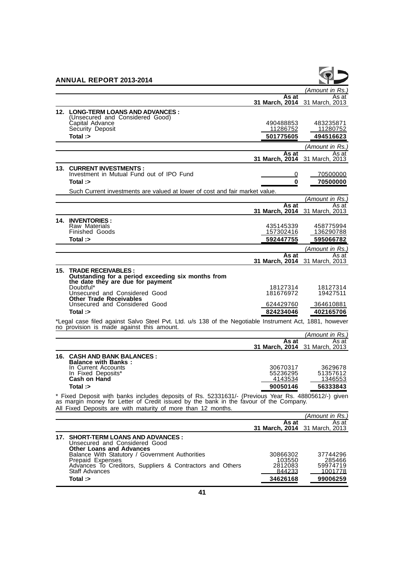| ANNUAL REPORT 2013-2014                                                                                                                              |                         |                         |
|------------------------------------------------------------------------------------------------------------------------------------------------------|-------------------------|-------------------------|
|                                                                                                                                                      |                         | (Amount in Rs.          |
|                                                                                                                                                      | As at<br>31 March, 2014 | As at<br>31 March, 2013 |
| 12. LONG-TERM LOANS AND ADVANCES :                                                                                                                   |                         |                         |
| (Unsecured and Considered Good)                                                                                                                      |                         |                         |
| Capital Advance<br>Security Deposit                                                                                                                  | 490488853<br>11286752   | 483235871<br>11280752   |
| Total:>                                                                                                                                              | 501775605               | 494516623               |
|                                                                                                                                                      |                         | (Amount in Rs.)         |
|                                                                                                                                                      | As at<br>31 March, 2014 | As at<br>31 March, 2013 |
|                                                                                                                                                      |                         |                         |
| 13. CURRENT INVESTMENTS :<br>Investment in Mutual Fund out of IPO Fund                                                                               | 0                       | 70500000                |
| Total:>                                                                                                                                              | 0                       | 70500000                |
| Such Current investments are valued at lower of cost and fair market value.                                                                          |                         |                         |
|                                                                                                                                                      |                         | (Amount in Rs.)         |
|                                                                                                                                                      | As at<br>31 March, 2014 | As at<br>31 March, 2013 |
| <b>14. INVENTORIES:</b>                                                                                                                              |                         |                         |
| Raw Materials                                                                                                                                        | 435145339               | 458775994               |
| <b>Finished Goods</b>                                                                                                                                | 157302416               | 136290788               |
| Total :>                                                                                                                                             | 592447755               | 595066782               |
|                                                                                                                                                      |                         | (Amount in Rs.)         |
|                                                                                                                                                      | As at<br>31 March, 2014 | As at<br>31 March, 2013 |
| <b>15. TRADE RECEIVABLES:</b><br>Outstanding for a period exceeding six months from<br>the date they are due for payment                             |                         |                         |
| Doubtful*                                                                                                                                            | 18127314                | 18127314                |
| Unsecured and Considered Good<br><b>Other Trade Receivables</b>                                                                                      | 181676972               | 19427511                |
| Unsecured and Considered Good                                                                                                                        | 624429760               | 364610881               |
| Total:                                                                                                                                               | 824234046               | 402165706               |
| *Legal case filed against Salvo Steel Pvt. Ltd. u/s 138 of the Negotiable Instrument Act, 1881, however<br>no provision is made against this amount. |                         |                         |
|                                                                                                                                                      |                         | (Amount in Rs.)         |
|                                                                                                                                                      | As at<br>31 March, 2014 | As at<br>31 March, 2013 |
| 16. CASH AND BANK BALANCES:                                                                                                                          |                         |                         |
| <b>Balance with Banks:</b><br>In Current Accounts                                                                                                    | 30670317                | 3629678                 |
| In Fixed Deposits*                                                                                                                                   | 55236295                | 51357612                |
| <b>Cash on Hand</b>                                                                                                                                  | 4143534                 | 1346553                 |
| Total :>                                                                                                                                             | 90050146                | 56333843                |

\* Fixed Deposit with banks includes deposits of Rs. 52331631/- (Previous Year Rs. 48805612/-) given as margin money for Letter of Credit issued by the bank in the favour of the Company. All Fixed Deposits are with maturity of more than 12 months.

|                                                                                                                                                                                                                                                                                |                                                     | (Amount in Rs.)                                       |
|--------------------------------------------------------------------------------------------------------------------------------------------------------------------------------------------------------------------------------------------------------------------------------|-----------------------------------------------------|-------------------------------------------------------|
|                                                                                                                                                                                                                                                                                | As at<br>31 March, 2014 31 March, 2013              | As at                                                 |
| 17. SHORT-TERM LOANS AND ADVANCES :<br>Unsecured and Considered Good<br><b>Other Loans and Advances</b><br>Balance With Statutory / Government Authorities<br>Prepaid Expenses<br>Advances To Creditors, Suppliers & Contractors and Others<br><b>Staff Advances</b><br>Total: | 30866302<br>103550<br>2812083<br>844233<br>34626168 | 37744296<br>285466<br>59974719<br>1001778<br>99006259 |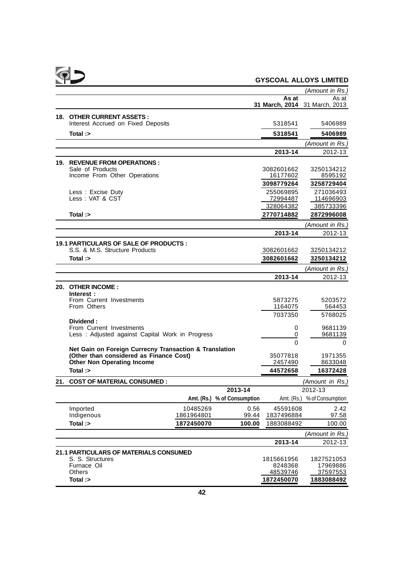

|                                                                                |                        |                  |                               | (Amount in Rs.)            |
|--------------------------------------------------------------------------------|------------------------|------------------|-------------------------------|----------------------------|
|                                                                                |                        |                  | As at<br>31 March, 2014       | As at<br>31 March, 2013    |
| 18. OTHER CURRENT ASSETS:                                                      |                        |                  |                               |                            |
| Interest Accrued on Fixed Deposits                                             |                        |                  | 5318541                       | 5406989                    |
| Total:>                                                                        |                        |                  | 5318541                       | 5406989                    |
|                                                                                |                        |                  |                               | (Amount in Rs.)            |
|                                                                                |                        |                  | 2013-14                       | 2012-13                    |
| 19. REVENUE FROM OPERATIONS:                                                   |                        |                  |                               |                            |
| Sale of Products<br>Income From Other Operations                               |                        |                  | 3082601662<br>16177602        | 3250134212<br>8595192      |
|                                                                                |                        |                  | 3098779264                    | 3258729404                 |
| Less: Excise Duty                                                              |                        |                  | 255069895                     | 271036493                  |
| Less: VAT & CST                                                                |                        |                  | 72994487                      | <u>114696903</u>           |
|                                                                                |                        |                  | 328064382                     | 385733396                  |
| Total:>                                                                        |                        |                  | 2770714882                    | 2872996008                 |
|                                                                                |                        |                  |                               | (Amount in Rs.)            |
|                                                                                |                        |                  | 2013-14                       | 2012-13                    |
| <b>19.1 PARTICULARS OF SALE OF PRODUCTS:</b><br>S.S. & M.S. Structure Products |                        |                  |                               |                            |
| Total :>                                                                       |                        |                  | 3082601662<br>3082601662      | 3250134212<br>3250134212   |
|                                                                                |                        |                  |                               |                            |
|                                                                                |                        |                  | 2013-14                       | (Amount in Rs.)<br>2012-13 |
| 20. OTHER INCOME:                                                              |                        |                  |                               |                            |
| Interest:                                                                      |                        |                  |                               |                            |
| From Current Investments                                                       |                        |                  | 5873275                       | 5203572                    |
| From Others                                                                    |                        |                  | 1164075<br>7037350            | 564453<br>5768025          |
| Dividend:                                                                      |                        |                  |                               |                            |
| From Current Investments                                                       |                        |                  | 0                             | 9681139                    |
| Less: Adjusted against Capital Work in Progress                                |                        |                  | 0<br>$\Omega$                 | 9681139<br>0               |
| Net Gain on Foreign Currecny Transaction & Translation                         |                        |                  |                               |                            |
| (Other than considered as Finance Cost)                                        |                        |                  | 35077818                      | 1971355                    |
| <b>Other Non Operating Income</b>                                              |                        |                  | 2457490                       | 8633048                    |
| Total :>                                                                       |                        |                  | 44572658                      | 16372428                   |
| 21. COST OF MATERIAL CONSUMED :                                                |                        |                  |                               | (Amount in Rs.)            |
|                                                                                |                        | 2013-14          |                               | 2012-13                    |
|                                                                                | Amt. (Rs.)             | % of Consumption | Amt. (Rs.)                    | % of Consumption           |
| Imported<br>Indigenous                                                         | 10485269<br>1861964801 | 0.56<br>99.44    | 45591608<br>1837496884        | 2.42<br>97.58              |
| Total:>                                                                        | 1872450070             | 100.00           | 1883088492                    | 100.00                     |
|                                                                                |                        |                  |                               | (Amount in Rs.)            |
|                                                                                |                        |                  | 2013-14                       | 2012-13                    |
| <b>21.1 PARTICULARS OF MATERIALS CONSUMED</b>                                  |                        |                  |                               |                            |
| S. S. Structures                                                               |                        |                  | 1815661956                    | 1827521053                 |
| Furnace Oil                                                                    |                        |                  | 8248368                       | 17969886                   |
| Others<br>Total :>                                                             |                        |                  | <u>48539746</u><br>1872450070 | 37597553<br>1883088492     |
|                                                                                |                        |                  |                               |                            |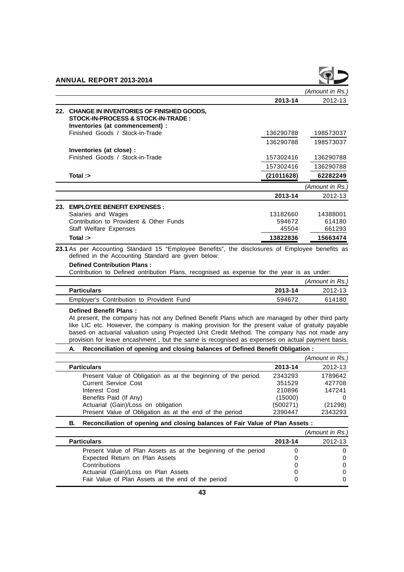|     | ANNUAL NLFUNT ZUIJ-ZUIT                                                            |            |                 |
|-----|------------------------------------------------------------------------------------|------------|-----------------|
|     |                                                                                    |            | (Amount in Rs.) |
|     |                                                                                    | 2013-14    | 2012-13         |
|     | 22. CHANGE IN INVENTORIES OF FINISHED GOODS,<br>STOCK-IN-PROCESS & STOCK-IN-TRADE: |            |                 |
|     | Inventories (at commencement) :                                                    |            |                 |
|     | Finished Goods / Stock-in-Trade                                                    | 136290788  | 198573037       |
|     |                                                                                    | 136290788  | 198573037       |
|     | Inventories (at close) :                                                           |            |                 |
|     | Finished Goods / Stock-in-Trade                                                    | 157302416  | 136290788       |
|     |                                                                                    | 157302416  | 136290788       |
|     | Total:                                                                             | (21011628) | 62282249        |
|     |                                                                                    |            | (Amount in Rs.) |
|     |                                                                                    | 2013-14    | 2012-13         |
| 23. | <b>EMPLOYEE BENEFIT EXPENSES:</b>                                                  |            |                 |
|     | Salaries and Wages                                                                 | 13182660   | 14388001        |
|     | Contribution to Provident & Other Funds                                            | 594672     | 614180          |
|     | Staff Welfare Expenses                                                             | 45504      | 661293          |
|     | Total:>                                                                            | 13822836   | 15663474        |

 $\odot$ 

**23.1** As per Accounting Standard 15 "Employee Benefits", the disclosures of Employee benefits as defined in the Accounting Standard are given below:

#### **Defined Contribution Plans :**

Contribution to Defined ontribution Plans, recognised as expense for the year is as under:

|                                           |         | (Amount in Rs.) |
|-------------------------------------------|---------|-----------------|
| <b>Particulars</b>                        | 2013-14 | 2012-13         |
| Employer's Contribution to Provident Fund | 594672  | 614180          |

#### **Defined Benefit Plans :**

At present, the company has not any Defined Benefit Plans which are managed by other third party like LIC etc. However, the company is making provision for the present value of gratuity payable based on actuarial valuation using Projected Unit Credit Method. The company has not made any provision for leave encashment , but the same is recognised as expenses on actual payment basis.

#### **A. Reconciliation of opening and closing balances of Defined Benefit Obligation :**

|                                                                |          | (Amount in Rs.) |
|----------------------------------------------------------------|----------|-----------------|
| <b>Particulars</b>                                             | 2013-14  | 2012-13         |
| Present Value of Obligation as at the beginning of the period. | 2343293  | 1789642         |
| Current Service Cost                                           | 351529   | 427708          |
| Interest Cost                                                  | 210896   | 147241          |
| Benefits Paid (If Any)                                         | (15000)  |                 |
| Actuarial (Gain)/Loss on obligation                            | (500271) | (21298)         |
| Present Value of Obligation as at the end of the period        | 2390447  | 2343293         |

#### **B. Reconciliation of opening and closing balances of Fair Value of Plan Assets :**

|                                                                |         | (Amount in Rs.) |
|----------------------------------------------------------------|---------|-----------------|
| <b>Particulars</b>                                             | 2013-14 | 2012-13         |
| Present Value of Plan Assets as at the beginning of the period |         |                 |
| Expected Return on Plan Assets                                 |         | $\Omega$        |
| Contributions                                                  |         | 0               |
| Actuarial (Gain)/Loss on Plan Assets                           |         | 0               |
| Fair Value of Plan Assets at the end of the period             |         |                 |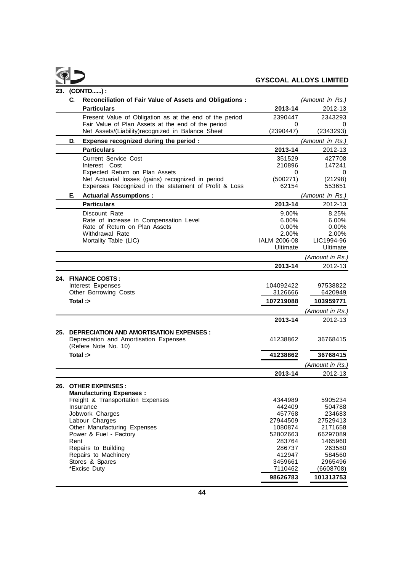**PD** 

# **GYSCOAL ALLOYS LIMITED**

|      | 23. (CONTD):                                                                                               |                   |                   |
|------|------------------------------------------------------------------------------------------------------------|-------------------|-------------------|
| С.   | Reconciliation of Fair Value of Assets and Obligations :                                                   |                   | (Amount in Rs.)   |
|      | <b>Particulars</b>                                                                                         | 2013-14           | 2012-13           |
|      | Present Value of Obligation as at the end of the period                                                    | 2390447           | 2343293           |
|      | Fair Value of Plan Assets at the end of the period                                                         | 0                 | 0                 |
|      | Net Assets/(Liability)recognized in Balance Sheet                                                          | (2390447)         | (2343293)         |
| D.   | Expense recognized during the period :                                                                     |                   | (Amount in Rs.)   |
|      | <b>Particulars</b>                                                                                         | 2013-14           | 2012-13           |
|      | <b>Current Service Cost</b>                                                                                | 351529            | 427708            |
|      | Interest Cost                                                                                              | 210896            | 147241            |
|      | Expected Return on Plan Assets                                                                             | 0                 | 0                 |
|      | Net Actuarial losses (gains) recognized in period<br>Expenses Recognized in the statement of Profit & Loss | (500271)<br>62154 | (21298)<br>553651 |
| Е.   | <b>Actuarial Assumptions:</b>                                                                              |                   |                   |
|      | <b>Particulars</b>                                                                                         |                   | (Amount in Rs.)   |
|      |                                                                                                            | 2013-14           | 2012-13           |
|      | Discount Rate<br>Rate of increase in Compensation Level                                                    | 9.00%<br>6.00%    | 8.25%<br>6.00%    |
|      | Rate of Return on Plan Assets                                                                              | 0.00%             | 0.00%             |
|      | Withdrawal Rate                                                                                            | 2.00%             | 2.00%             |
|      | Mortality Table (LIC)                                                                                      | IALM 2006-08      | LIC1994-96        |
|      |                                                                                                            | Ultimate          | Ultimate          |
|      |                                                                                                            |                   | (Amount in Rs.)   |
|      |                                                                                                            | 2013-14           | 2012-13           |
|      | 24. FINANCE COSTS:                                                                                         |                   |                   |
|      | Interest Expenses                                                                                          | 104092422         | 97538822          |
|      | Other Borrowing Costs                                                                                      | 3126666           | 6420949           |
|      | Total:>                                                                                                    | 107219088         | 103959771         |
|      |                                                                                                            |                   | (Amount in Rs.)   |
|      |                                                                                                            | 2013-14           | 2012-13           |
|      |                                                                                                            |                   |                   |
|      | 25. DEPRECIATION AND AMORTISATION EXPENSES :<br>Depreciation and Amortisation Expenses                     | 41238862          | 36768415          |
|      | (Refere Note No. 10)                                                                                       |                   |                   |
|      | Total:                                                                                                     | 41238862          | 36768415          |
|      |                                                                                                            |                   | (Amount in Rs.)   |
|      |                                                                                                            | 2013-14           | 2012-13           |
|      |                                                                                                            |                   |                   |
|      | 26. OTHER EXPENSES :<br><b>Manufacturing Expenses:</b>                                                     |                   |                   |
|      | Freight & Transportation Expenses                                                                          | 4344989           | 5905234           |
|      | Insurance                                                                                                  | 442409            | 504788            |
|      | Jobwork Charges                                                                                            | 457768            | 234683            |
|      | Labour Charges                                                                                             | 27944509          | 27529413          |
|      | Other Manufacturing Expenses                                                                               | 1080874           | 2171658           |
|      | Power & Fuel - Factory                                                                                     | 52802663          | 66297089          |
| Rent |                                                                                                            | 283764            | 1465960           |
|      | Repairs to Building                                                                                        | 286737            | 263580            |
|      | Repairs to Machinery                                                                                       | 412947            | 584560            |
|      | Stores & Spares                                                                                            | 3459661           | 2965496           |
|      | *Excise Duty                                                                                               | 7110462           | (6608708)         |
|      |                                                                                                            | 98626783          | 101313753         |
|      |                                                                                                            |                   |                   |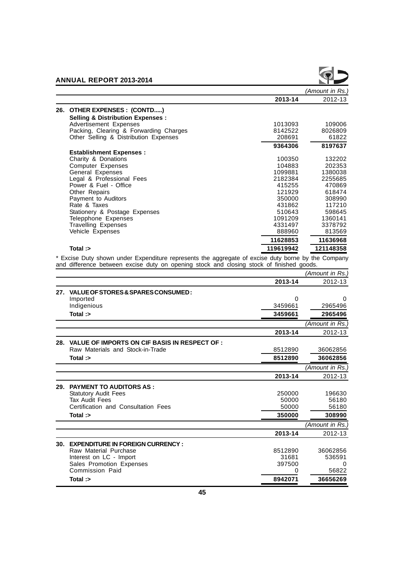|                                             |           | (Amount in Rs.) |
|---------------------------------------------|-----------|-----------------|
|                                             | 2013-14   | 2012-13         |
| 26.   OTHER EXPENSES :  (CONTD)             |           |                 |
| <b>Selling &amp; Distribution Expenses:</b> |           |                 |
| <b>Advertisement Expenses</b>               | 1013093   | 109006          |
| Packing, Clearing & Forwarding Charges      | 8142522   | 8026809         |
| Other Selling & Distribution Expenses       | 208691    | 61822           |
|                                             | 9364306   | 8197637         |
| <b>Establishment Expenses:</b>              |           |                 |
| Charity & Donations                         | 100350    | 132202          |
| Computer Expenses                           | 104883    | 202353          |
| General Expenses                            | 1099881   | 1380038         |
| Legal & Professional Fees                   | 2182384   | 2255685         |
| Power & Fuel - Office                       | 415255    | 470869          |
| Other Repairs                               | 121929    | 618474          |
| Payment to Auditors                         | 350000    | 308990          |
| Rate & Taxes                                | 431862    | 117210          |
| Stationery & Postage Expenses               | 510643    | 598645          |
| Telepphone Expenses                         | 1091209   | 1360141         |
| <b>Travelling Expenses</b>                  | 4331497   | 3378792         |
| Vehicle Expenses                            | 888960    | 813569          |
|                                             | 11628853  | 11636968        |
| Total :>                                    | 119619942 | 121148358       |

\* Excise Duty shown under Expenditure represents the aggregate of excise duty borne by the Company and difference between excise duty on opening stock and closing stock of finished goods.

*(Amount in Rs.)*

|     |                                                   | 2013-14  | 2012-13         |
|-----|---------------------------------------------------|----------|-----------------|
| 27. | VALUE OF STORES & SPARES CONSUMED:                |          |                 |
|     | Imported                                          | $\Omega$ | $\Omega$        |
|     | Indigenious                                       | 3459661  | 2965496         |
|     | Total :>                                          | 3459661  | 2965496         |
|     |                                                   |          | (Amount in Rs.) |
|     |                                                   | 2013-14  | 2012-13         |
|     | 28. VALUE OF IMPORTS ON CIF BASIS IN RESPECT OF : |          |                 |
|     | Raw Materials and Stock-in-Trade                  | 8512890  | 36062856        |
|     | Total:>                                           | 8512890  | 36062856        |
|     |                                                   |          | (Amount in Rs.) |
|     |                                                   | 2013-14  | 2012-13         |
| 29. | <b>PAYMENT TO AUDITORS AS:</b>                    |          |                 |
|     | <b>Statutory Audit Fees</b>                       | 250000   | 196630          |
|     | <b>Tax Audit Fees</b>                             | 50000    | 56180           |
|     | Certification and Consultation Fees               | 50000    | 56180           |
|     | Total :>                                          | 350000   | 308990          |
|     |                                                   |          | (Amount in Rs.) |
|     |                                                   | 2013-14  | 2012-13         |
|     | 30. EXPENDITURE IN FOREIGN CURRENCY:              |          |                 |
|     | Raw Material Purchase                             | 8512890  | 36062856        |
|     | Interest on LC - Import                           | 31681    | 536591          |
|     | Sales Promotion Expenses                          | 397500   | $\Omega$        |
|     | Commission Paid                                   |          | 56822           |
|     | Total:>                                           | 8942071  | 36656269        |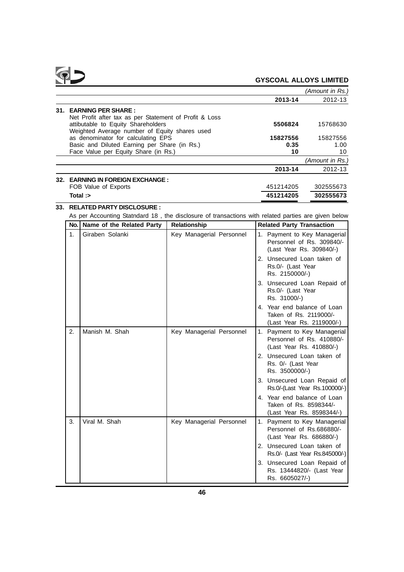

|                                                                                     |           | (Amount in Rs.) |
|-------------------------------------------------------------------------------------|-----------|-----------------|
|                                                                                     | 2013-14   | 2012-13         |
| 31. EARNING PER SHARE:<br>Net Profit after tax as per Statement of Profit & Loss    |           |                 |
| attibutable to Equity Shareholders<br>Weighted Average number of Equity shares used | 5506824   | 15768630        |
| as denominator for calculating EPS                                                  | 15827556  | 15827556        |
| Basic and Diluted Earning per Share (in Rs.)                                        | 0.35      | 1.00            |
| Face Value per Equity Share (in Rs.)                                                | 10        | 10              |
|                                                                                     |           | (Amount in Rs.) |
|                                                                                     | 2013-14   | 2012-13         |
| 32. EARNING IN FOREIGN EXCHANGE:                                                    |           |                 |
| FOB Value of Exports                                                                | 451214205 | 302555673       |
| Total :>                                                                            | 451214205 | 302555673       |

## **33. RELATED PARTY DISCLOSURE :**

As per Accounting Statndard 18 , the disclosure of transactions with related parties are given below

| No.            | Name of the Related Party | <b>Relationship</b>      | <b>Related Party Transaction</b>                                                         |
|----------------|---------------------------|--------------------------|------------------------------------------------------------------------------------------|
| 1 <sub>1</sub> | Giraben Solanki           | Key Managerial Personnel | 1. Payment to Key Managerial<br>Personnel of Rs. 309840/-<br>(Last Year Rs. 309840/-)    |
|                |                           |                          | 2. Unsecured Loan taken of<br>Rs.0/- (Last Year<br>Rs. 2150000/-)                        |
|                |                           |                          | 3. Unsecured Loan Repaid of<br>Rs.0/- (Last Year<br>Rs. 31000/-)                         |
|                |                           |                          | 4. Year end balance of Loan<br>Taken of Rs. 2119000/-<br>(Last Year Rs. 2119000/-)       |
| 2 <sub>1</sub> | Manish M. Shah            | Key Managerial Personnel | Payment to Key Managerial<br>1.<br>Personnel of Rs. 410880/-<br>(Last Year Rs. 410880/-) |
|                |                           |                          | 2. Unsecured Loan taken of<br>Rs. 0/- (Last Year<br>Rs. 3500000/-)                       |
|                |                           |                          | 3. Unsecured Loan Repaid of<br>Rs.0/-(Last Year Rs.100000/-)                             |
|                |                           |                          | 4. Year end balance of Loan<br>Taken of Rs. 8598344/-<br>(Last Year Rs. 8598344/-)       |
| 3.             | Viral M. Shah             | Key Managerial Personnel | 1. Payment to Key Managerial<br>Personnel of Rs.686880/-<br>(Last Year Rs. 686880/-)     |
|                |                           |                          | 2. Unsecured Loan taken of<br>Rs.0/- (Last Year Rs.845000/-)                             |
|                |                           |                          | 3. Unsecured Loan Repaid of<br>Rs. 13444820/- (Last Year<br>Rs. 6605027/-)               |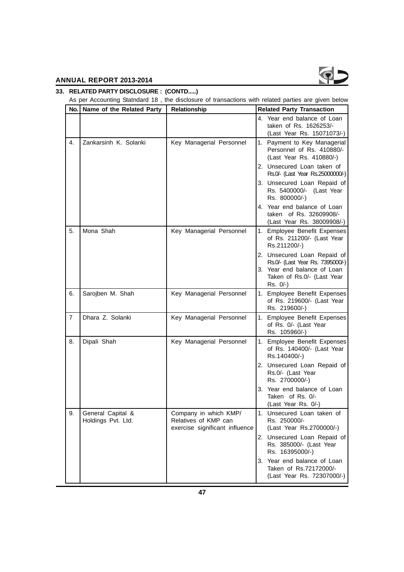

# **33. RELATED PARTY DISCLOSURE : (CONTD.....)**

| No. I          | Name of the Related Party               | Relationship                                                                    | of recogniting claimana to find alcolocate of indicactions min related parties are given solen<br><b>Related Party Transaction</b> |
|----------------|-----------------------------------------|---------------------------------------------------------------------------------|------------------------------------------------------------------------------------------------------------------------------------|
|                |                                         |                                                                                 | 4. Year end balance of Loan<br>taken of Rs. 1626253/-<br>(Last Year Rs. 15071073/-)                                                |
| 4.             | Zankarsinh K. Solanki                   | Key Managerial Personnel                                                        | 1. Payment to Key Managerial<br>Personnel of Rs. 410880/-<br>(Last Year Rs. 410880/-)                                              |
|                |                                         |                                                                                 | 2. Unsecured Loan taken of<br>Rs.0/- (Last Year Rs.25000000/-)                                                                     |
|                |                                         |                                                                                 | 3. Unsecured Loan Repaid of<br>Rs. 5400000/- (Last Year<br>Rs. 800000/-)                                                           |
|                |                                         |                                                                                 | 4. Year end balance of Loan<br>taken of Rs. 32609908/-<br>(Last Year Rs. 38009908/-)                                               |
| 5.             | Mona Shah                               | Key Managerial Personnel                                                        | 1. Employee Benefit Expenses<br>of Rs. 211200/- (Last Year<br>Rs.211200/-)                                                         |
|                |                                         |                                                                                 | 2. Unsecured Loan Repaid of<br>Rs.0/- (Last Year Rs. 7395000/-)                                                                    |
|                |                                         |                                                                                 | 3. Year end balance of Loan<br>Taken of Rs.0/- (Last Year<br>$Rs. 0/-)$                                                            |
| 6.             | Sarojben M. Shah                        | Key Managerial Personnel                                                        | 1. Employee Benefit Expenses<br>of Rs. 219600/- (Last Year<br>Rs. 219600/-)                                                        |
| $\overline{7}$ | Dhara Z. Solanki                        | Key Managerial Personnel                                                        | 1. Employee Benefit Expenses<br>of Rs. 0/- (Last Year<br>Rs. 105960/-)                                                             |
| 8.             | Dipali Shah                             | Key Managerial Personnel                                                        | 1. Employee Benefit Expenses<br>of Rs. 140400/- (Last Year<br>Rs.140400/-)                                                         |
|                |                                         |                                                                                 | 2. Unsecured Loan Repaid of<br>Rs.0/- (Last Year<br>Rs. 2700000/-)                                                                 |
|                |                                         |                                                                                 | 3. Year end balance of Loan<br>Taken of Rs. 0/-<br>(Last Year Rs. 0/-)                                                             |
| 9.             | General Capital &<br>Holdings Pvt. Ltd. | Company in which KMP/<br>Relatives of KMP can<br>exercise significant influence | 1. Unsecured Loan taken of<br>Rs. 250000/-<br>(Last Year Rs.2700000/-)                                                             |
|                |                                         |                                                                                 | 2. Unsecured Loan Repaid of<br>Rs. 385000/- (Last Year<br>Rs. 16395000/-)                                                          |
|                |                                         |                                                                                 | 3. Year end balance of Loan<br>Taken of Rs.72172000/-<br>(Last Year Rs. 72307000/-)                                                |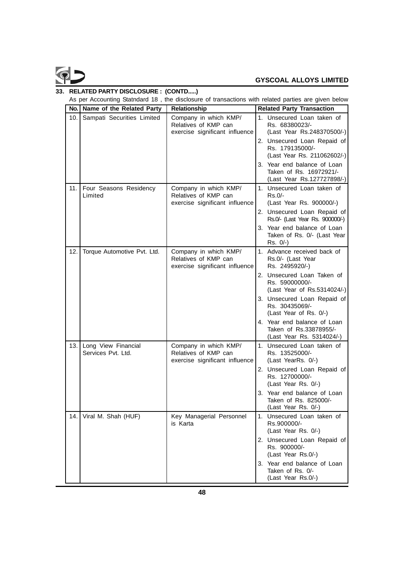

## **33. RELATED PARTY DISCLOSURE : (CONTD.....)**

As per Accounting Statndard 18 , the disclosure of transactions with related parties are given below

|       | No.   Name of the Related Party           | <b>Relationship</b>                                                             | <b>Related Party Transaction</b>                                                     |
|-------|-------------------------------------------|---------------------------------------------------------------------------------|--------------------------------------------------------------------------------------|
| 10.1  | Sampati Securities Limited                | Company in which KMP/<br>Relatives of KMP can<br>exercise significant influence | 1. Unsecured Loan taken of<br>Rs. 68380023/-<br>(Last Year Rs.248370500/-)           |
|       |                                           |                                                                                 | 2. Unsecured Loan Repaid of<br>Rs. 179135000/-<br>(Last Year Rs. 211062602/-)        |
|       |                                           |                                                                                 | 3. Year end balance of Loan<br>Taken of Rs. 16972921/-<br>(Last Year Rs.127727898/-) |
| 11.   | Four Seasons Residency<br>Limited         | Company in which KMP/<br>Relatives of KMP can<br>exercise significant influence | 1. Unsecured Loan taken of<br>Rs.0/-<br>(Last Year Rs. 900000/-)                     |
|       |                                           |                                                                                 | 2. Unsecured Loan Repaid of<br>Rs.0/- (Last Year Rs. 900000/-)                       |
|       |                                           |                                                                                 | 3. Year end balance of Loan<br>Taken of Rs. 0/- (Last Year<br>$Rs. 0/-)$             |
| 12.   | Torque Automotive Pvt. Ltd.               | Company in which KMP/<br>Relatives of KMP can<br>exercise significant influence | 1. Advance received back of<br>Rs.0/- (Last Year<br>Rs. 2495920/-)                   |
|       |                                           |                                                                                 | 2. Unsecured Loan Taken of<br>Rs. 59000000/-<br>(Last Year of Rs.5314024/-)          |
|       |                                           |                                                                                 | 3. Unsecured Loan Repaid of<br>Rs. 30435069/-<br>(Last Year of Rs. 0/-)              |
|       |                                           |                                                                                 | 4. Year end balance of Loan<br>Taken of Rs.33878955/-<br>(Last Year Rs. 5314024/-)   |
| 13.1  | Long View Financial<br>Services Pyt. Ltd. | Company in which KMP/<br>Relatives of KMP can<br>exercise significant influence | 1. Unsecured Loan taken of<br>Rs. 13525000/-<br>(Last YearRs. 0/-)                   |
|       |                                           |                                                                                 | 2. Unsecured Loan Repaid of<br>Rs. 12700000/-<br>(Last Year Rs. 0/-)                 |
|       |                                           |                                                                                 | 3. Year end balance of Loan<br>Taken of Rs. 825000/-<br>(Last Year Rs. 0/-)          |
| 14. l | Viral M. Shah (HUF)                       | Key Managerial Personnel<br>is Karta                                            | 1. Unsecured Loan taken of<br>Rs.900000/-<br>(Last Year Rs. 0/-)                     |
|       |                                           |                                                                                 | 2. Unsecured Loan Repaid of<br>Rs. 900000/-<br>(Last Year Rs.0/-)                    |
|       |                                           |                                                                                 | 3. Year end balance of Loan<br>Taken of Rs. 0/-<br>(Last Year Rs.0/-)                |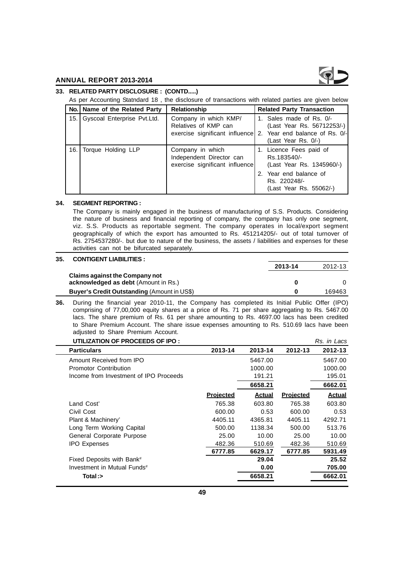

#### **33. RELATED PARTY DISCLOSURE : (CONTD.....)**

As per Accounting Statndard 18 , the disclosure of transactions with related parties are given below

|       | No.   Name of the Related Party | Relationship                                                                    | <b>Related Party Transaction</b>                                                                                                         |
|-------|---------------------------------|---------------------------------------------------------------------------------|------------------------------------------------------------------------------------------------------------------------------------------|
| 15. I | Gyscoal Enterprise Pvt.Ltd.     | Company in which KMP/<br>Relatives of KMP can<br>exercise significant influence | 1. Sales made of Rs. 0/-<br>(Last Year Rs. 56712253/-)<br>2. Year end balance of Rs. 0/-<br>$(Last Year Rs. 0/-)$                        |
| 16. l | Torque Holding LLP              | Company in which<br>Independent Director can<br>exercise significant influence  | 1. Licence Fees paid of<br>Rs.183540/-<br>(Last Year Rs. 1345960/-)<br>2. Year end balance of<br>Rs. 220248/-<br>(Last Year Rs. 55062/-) |

#### **34. SEGMENT REPORTING :**

The Company is mainly engaged in the business of manufacturing of S.S. Products. Considering the nature of business and financial reporting of company, the company has only one segment, viz. S.S. Products as reportable segment. The company operates in local/export segment geographically of which the export has amounted to Rs. 451214205/- out of total turnover of Rs. 2754537280/-. but due to nature of the business, the assets / liabilities and expenses for these activities can not be bifurcated separately.

### **35. CONTIGENT LIABILITIES : 2013-14** 2012-13 **Claims against the Company not acknowledged as debt** (Amount in Rs.) **0** 0 **Buyer's Credit Outstanding** (Amount in US\$) **0** 169463

**36.** During the financial year 2010-11, the Company has completed its Initial Public Offer (IPO) comprising of 77,00,000 equity shares at a price of Rs. 71 per share aggregating to Rs. 5467.00 lacs. The share premium of Rs. 61 per share amounting to Rs. 4697.00 lacs has been credited to Share Premium Account. The share issue expenses amounting to Rs. 510.69 lacs have been adjusted to Share Premium Account.

#### UTILIZATION OF PROCEEDS OF IPO :<br> **UTILIZATION OF PROCEEDS OF IPO :**

| <b>Particulars</b>                      | 2013-14          | 2013-14 | 2012-13          | 2012-13       |
|-----------------------------------------|------------------|---------|------------------|---------------|
| Amount Received from IPO                |                  | 5467.00 |                  | 5467.00       |
| <b>Promotor Contribution</b>            |                  | 1000.00 |                  | 1000.00       |
| Income from Investment of IPO Proceeds  |                  | 191.21  |                  | 195.01        |
|                                         |                  | 6658.21 |                  | 6662.01       |
|                                         | <b>Projected</b> | Actual  | <b>Projected</b> | <b>Actual</b> |
| Land Cost <sup>*</sup>                  | 765.38           | 603.80  | 765.38           | 603.80        |
| Civil Cost                              | 600.00           | 0.53    | 600.00           | 0.53          |
| Plant & Machinery*                      | 4405.11          | 4365.81 | 4405.11          | 4292.71       |
| Long Term Working Capital               | 500.00           | 1138.34 | 500.00           | 513.76        |
| General Corporate Purpose               | 25.00            | 10.00   | 25.00            | 10.00         |
| <b>IPO Expenses</b>                     | 482.36           | 510.69  | 482.36           | 510.69        |
|                                         | 6777.85          | 6629.17 | 6777.85          | 5931.49       |
| Fixed Deposits with Bank <sup>#</sup>   |                  | 29.04   |                  | 25.52         |
| Investment in Mutual Funds <sup>#</sup> |                  | 0.00    |                  | 705.00        |
| Total:>                                 |                  | 6658.21 |                  | 6662.01       |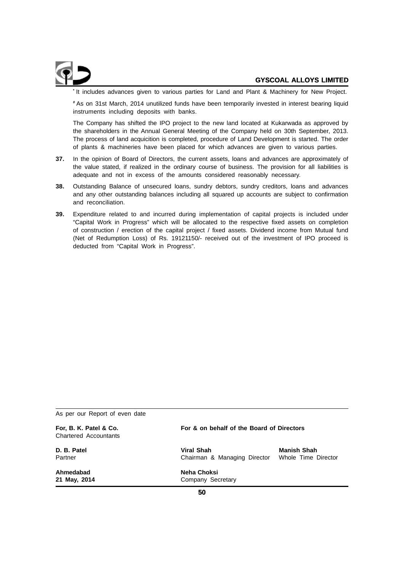

**\*** It includes advances given to various parties for Land and Plant & Machinery for New Project.

**#** As on 31st March, 2014 unutilized funds have been temporarily invested in interest bearing liquid instruments including deposits with banks.

The Company has shifted the IPO project to the new land located at Kukarwada as approved by the shareholders in the Annual General Meeting of the Company held on 30th September, 2013. The process of land acquicition is completed, procedure of Land Development is started. The order of plants & machineries have been placed for which advances are given to various parties.

- **37.** In the opinion of Board of Directors, the current assets, loans and advances are approximately of the value stated, if realized in the ordinary course of business. The provision for all liabilities is adequate and not in excess of the amounts considered reasonably necessary.
- **38.** Outstanding Balance of unsecured loans, sundry debtors, sundry creditors, loans and advances and any other outstanding balances including all squared up accounts are subject to confirmation and reconciliation.
- **39.** Expenditure related to and incurred during implementation of capital projects is included under "Capital Work in Progress" which will be allocated to the respective fixed assets on completion of construction / erection of the capital project / fixed assets. Dividend income from Mutual fund (Net of Redumption Loss) of Rs. 19121150/- received out of the investment of IPO proceed is deducted from "Capital Work in Progress".

|  | As per our Report of even date |  |  |
|--|--------------------------------|--|--|
|  |                                |  |  |

| For, B. K. Patel & Co.<br><b>Chartered Accountants</b> | For & on behalf of the Board of Directors         |                                           |  |
|--------------------------------------------------------|---------------------------------------------------|-------------------------------------------|--|
| D. B. Patel<br>Partner                                 | <b>Viral Shah</b><br>Chairman & Managing Director | <b>Manish Shah</b><br>Whole Time Director |  |
| Ahmedabad<br>21 May, 2014                              | Neha Choksi<br>Company Secretary                  |                                           |  |
|                                                        | 50                                                |                                           |  |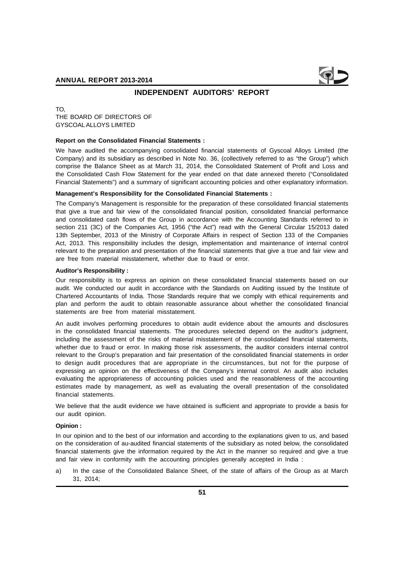

## **INDEPENDENT AUDITORS' REPORT**

TO, THE BOARD OF DIRECTORS OF GYSCOAL ALLOYS LIMITED

#### **Report on the Consolidated Financial Statements :**

We have audited the accompanying consolidated financial statements of Gyscoal Alloys Limited (the Company) and its subsidiary as described in Note No. 36, (collectively referred to as "the Group") which comprise the Balance Sheet as at March 31, 2014, the Consolidated Statement of Profit and Loss and the Consolidated Cash Flow Statement for the year ended on that date annexed thereto ("Consolidated Financial Statements") and a summary of significant accounting policies and other explanatory information.

#### **Management's Responsibility for the Consolidated Financial Statements :**

The Company's Management is responsible for the preparation of these consolidated financial statements that give a true and fair view of the consolidated financial position, consolidated financial performance and consolidated cash flows of the Group in accordance with the Accounting Standards referred to in section 211 (3C) of the Companies Act, 1956 ("the Act") read with the General Circular 15/2013 dated 13th September, 2013 of the Ministry of Corporate Affairs in respect of Section 133 of the Companies Act, 2013. This responsibility includes the design, implementation and maintenance of internal control relevant to the preparation and presentation of the financial statements that give a true and fair view and are free from material misstatement, whether due to fraud or error.

#### **Auditor's Responsibility :**

Our responsibility is to express an opinion on these consolidated financial statements based on our audit. We conducted our audit in accordance with the Standards on Auditing issued by the Institute of Chartered Accountants of India. Those Standards require that we comply with ethical requirements and plan and perform the audit to obtain reasonable assurance about whether the consolidated financial statements are free from material misstatement.

An audit involves performing procedures to obtain audit evidence about the amounts and disclosures in the consolidated financial statements. The procedures selected depend on the auditor's judgment, including the assessment of the risks of material misstatement of the consolidated financial statements, whether due to fraud or error. In making those risk assessments, the auditor considers internal control relevant to the Group's preparation and fair presentation of the consolidated financial statements in order to design audit procedures that are appropriate in the circumstances, but not for the purpose of expressing an opinion on the effectiveness of the Company's internal control. An audit also includes evaluating the appropriateness of accounting policies used and the reasonableness of the accounting estimates made by management, as well as evaluating the overall presentation of the consolidated financial statements.

We believe that the audit evidence we have obtained is sufficient and appropriate to provide a basis for our audit opinion.

#### **Opinion :**

In our opinion and to the best of our information and according to the explanations given to us, and based on the consideration of au-audited financial statements of the subsidiary as noted below, the consolidated financial statements give the information required by the Act in the manner so required and give a true and fair view in conformity with the accounting principles generally accepted in India :

a) In the case of the Consolidated Balance Sheet, of the state of affairs of the Group as at March 31, 2014;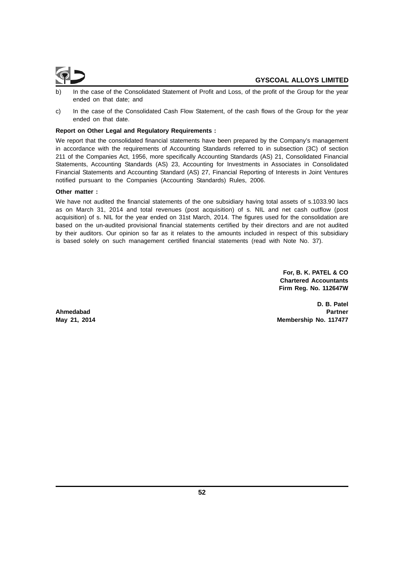

- In the case of the Consolidated Statement of Profit and Loss, of the profit of the Group for the year ended on that date; and
- c) In the case of the Consolidated Cash Flow Statement, of the cash flows of the Group for the year ended on that date.

#### **Report on Other Legal and Regulatory Requirements :**

We report that the consolidated financial statements have been prepared by the Company's management in accordance with the requirements of Accounting Standards referred to in subsection (3C) of section 211 of the Companies Act, 1956, more specifically Accounting Standards (AS) 21, Consolidated Financial Statements, Accounting Standards (AS) 23, Accounting for Investments in Associates in Consolidated Financial Statements and Accounting Standard (AS) 27, Financial Reporting of Interests in Joint Ventures notified pursuant to the Companies (Accounting Standards) Rules, 2006.

#### **Other matter :**

We have not audited the financial statements of the one subsidiary having total assets of s.1033.90 lacs as on March 31, 2014 and total revenues (post acquisition) of s. NIL and net cash outflow (post acquisition) of s. NIL for the year ended on 31st March, 2014. The figures used for the consolidation are based on the un-audited provisional financial statements certified by their directors and are not audited by their auditors. Our opinion so far as it relates to the amounts included in respect of this subsidiary is based solely on such management certified financial statements (read with Note No. 37).

> **For, B. K. PATEL & CO Chartered Accountants Firm Reg. No. 112647W**

**D. B. Patel Ahmedabad Partner May 21, 2014 Membership No. 117477**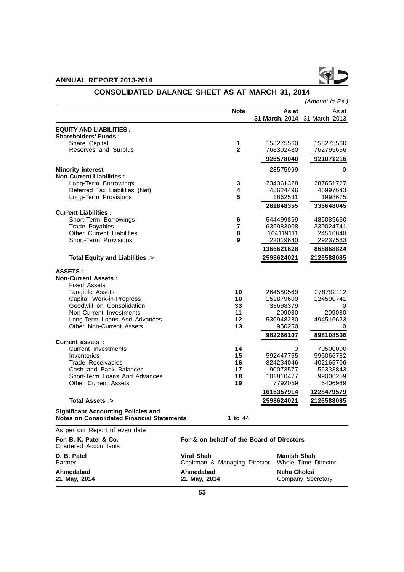

| <b>CONSOLIDATED BALANCE SHEET AS AT MARCH 31, 2014</b>                                          |                                           |                         |                         |  |
|-------------------------------------------------------------------------------------------------|-------------------------------------------|-------------------------|-------------------------|--|
|                                                                                                 |                                           |                         | (Amount in Rs.)         |  |
|                                                                                                 | <b>Note</b>                               | As at<br>31 March, 2014 | As at<br>31 March, 2013 |  |
| <b>EQUITY AND LIABILITIES:</b>                                                                  |                                           |                         |                         |  |
| <b>Shareholders' Funds:</b>                                                                     |                                           |                         |                         |  |
| Share Capital                                                                                   | 1                                         | 158275560               | 158275560               |  |
| Reserves and Surplus                                                                            | $\mathbf{2}$                              | 768302480               | 762795656               |  |
|                                                                                                 |                                           | 926578040               | 921071216               |  |
| <b>Minority interest</b>                                                                        |                                           | 23575999                | 0                       |  |
| <b>Non-Current Liabilities:</b>                                                                 |                                           |                         |                         |  |
| Long-Term Borrowings                                                                            | 3                                         | 234361328               | 287651727               |  |
| Deferred Tax Liabilities (Net)                                                                  | 4                                         | 45624496                | 46997643                |  |
| Long-Term Provisions                                                                            | 5                                         | 1862531                 | 1998675                 |  |
|                                                                                                 |                                           | 281848355               | 336648045               |  |
| <b>Current Liabilities:</b>                                                                     |                                           |                         |                         |  |
| Short-Term Borrowings                                                                           | 6                                         | 544499869               | 485089660               |  |
| Trade Payables                                                                                  | $\overline{7}$                            | 635983008               | 330024741               |  |
| Other Current Liabilities                                                                       | 8                                         | 164119111               | 24516840                |  |
| Short-Term Provisions                                                                           | 9                                         | 22019640                | 29237583                |  |
|                                                                                                 |                                           | 1366621628              | 868868824               |  |
| Total Equity and Liabilities :>                                                                 |                                           | 2598624021              | 2126588085              |  |
| <b>ASSETS:</b>                                                                                  |                                           |                         |                         |  |
| <b>Non-Current Assets:</b>                                                                      |                                           |                         |                         |  |
| <b>Fixed Assets</b>                                                                             |                                           |                         |                         |  |
| Tangible Assets                                                                                 | 10                                        | 264580569               | 278792112               |  |
| Capital Work-in-Progress                                                                        | 10                                        | 151879600               | 124590741               |  |
| Goodwill on Consolidation                                                                       | 33                                        | 33698379                | 0                       |  |
| Non-Current Investments                                                                         | 11                                        | 209030                  | 209030                  |  |
| Long-Term Loans And Advances                                                                    | 12                                        | 530948280               | 494516623               |  |
| <b>Other Non-Current Assets</b>                                                                 | 13                                        | 950250                  | 0                       |  |
|                                                                                                 |                                           | 982266107               | 898108506               |  |
| <b>Current assets:</b>                                                                          |                                           |                         |                         |  |
| Current Investments                                                                             | 14                                        | 0                       | 70500000                |  |
| Inventories                                                                                     | 15                                        | 592447755               | 595066782               |  |
| Trade Receivables                                                                               | 16                                        | 824234046               | 402165706               |  |
| Cash and Bank Balances                                                                          | 17                                        | 90073577                | 56333843                |  |
| Short-Term Loans And Advances                                                                   | 18                                        | 101810477               | 99006259                |  |
| <b>Other Current Assets</b>                                                                     | 19                                        | 7792059                 | 5406989                 |  |
|                                                                                                 |                                           | 1616357914              | 1228479579              |  |
| Total Assets :>                                                                                 |                                           | 2598624021              | 2126588085              |  |
| <b>Significant Accounting Policies and</b><br><b>Notes on Consolidated Financial Statements</b> | 1 to 44                                   |                         |                         |  |
| As per our Report of even date                                                                  |                                           |                         |                         |  |
| For, B. K. Patel & Co.<br><b>Chartered Accountants</b>                                          | For & on behalf of the Board of Directors |                         |                         |  |
| D. B. Patel                                                                                     | <b>Viral Shah</b>                         | Manish Shah             |                         |  |
| Partner                                                                                         | Chairman & Managing Director              |                         | Whole Time Director     |  |
| Ahmedabad                                                                                       | Ahmedabad                                 | Neha Choksi             |                         |  |
| 21 May, 2014                                                                                    | 21 May, 2014                              |                         | Company Secretary       |  |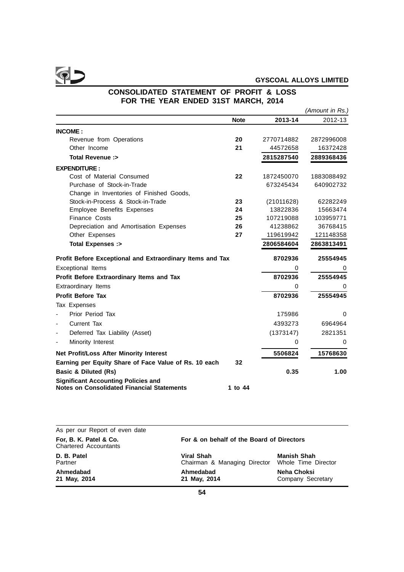

**CONSOLIDATED STATEMENT OF PROFIT & LOSS FOR THE YEAR ENDED 31ST MARCH, 2014**

|                                                                                                 |             |            | (Amount in Rs.) |
|-------------------------------------------------------------------------------------------------|-------------|------------|-----------------|
|                                                                                                 | <b>Note</b> | 2013-14    | 2012-13         |
| <b>INCOME:</b>                                                                                  |             |            |                 |
| Revenue from Operations                                                                         | 20          | 2770714882 | 2872996008      |
| Other Income                                                                                    | 21          | 44572658   | 16372428        |
| Total Revenue :>                                                                                |             | 2815287540 | 2889368436      |
| <b>EXPENDITURE:</b>                                                                             |             |            |                 |
| Cost of Material Consumed                                                                       | 22          | 1872450070 | 1883088492      |
| Purchase of Stock-in-Trade                                                                      |             | 673245434  | 640902732       |
| Change in Inventories of Finished Goods,                                                        |             |            |                 |
| Stock-in-Process & Stock-in-Trade                                                               | 23          | (21011628) | 62282249        |
| <b>Employee Benefits Expenses</b>                                                               | 24          | 13822836   | 15663474        |
| Finance Costs                                                                                   | 25          | 107219088  | 103959771       |
| Depreciation and Amortisation Expenses                                                          | 26          | 41238862   | 36768415        |
| Other Expenses                                                                                  | 27          | 119619942  | 121148358       |
| Total Expenses :>                                                                               |             | 2806584604 | 2863813491      |
| Profit Before Exceptional and Extraordinary Items and Tax                                       |             | 8702936    | 25554945        |
| <b>Exceptional Items</b>                                                                        |             | 0          | 0               |
| Profit Before Extraordinary Items and Tax                                                       |             | 8702936    | 25554945        |
| Extraordinary Items                                                                             |             | 0          | <sup>0</sup>    |
| <b>Profit Before Tax</b>                                                                        |             | 8702936    | 25554945        |
| Tax Expenses                                                                                    |             |            |                 |
| Prior Period Tax                                                                                |             | 175986     | 0               |
| Current Tax                                                                                     |             | 4393273    | 6964964         |
| Deferred Tax Liability (Asset)<br>$\overline{\phantom{a}}$                                      |             | (1373147)  | 2821351         |
| Minority Interest                                                                               |             | 0          | 0               |
| <b>Net Profit/Loss After Minority Interest</b>                                                  |             | 5506824    | 15768630        |
| Earning per Equity Share of Face Value of Rs. 10 each                                           | 32          |            |                 |
| <b>Basic &amp; Diluted (Rs)</b>                                                                 |             | 0.35       | 1.00            |
| <b>Significant Accounting Policies and</b><br><b>Notes on Consolidated Financial Statements</b> | 1 to 44     |            |                 |

| Ahmedabad<br>21 May, 2014                       | Ahmedabad<br>21 May, 2014                         | Neha Choksi<br>Company Secretary          |
|-------------------------------------------------|---------------------------------------------------|-------------------------------------------|
| D. B. Patel<br>Partner                          | <b>Viral Shah</b><br>Chairman & Managing Director | <b>Manish Shah</b><br>Whole Time Director |
| For, B. K. Patel & Co.<br>Chartered Accountants | For & on behalf of the Board of Directors         |                                           |
| As per our Report of even date                  |                                                   |                                           |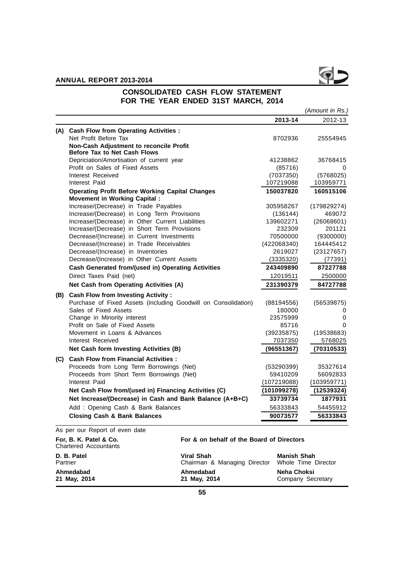

## **CONSOLIDATED CASH FLOW STATEMENT FOR THE YEAR ENDED 31ST MARCH, 2014**

|     |                                                                                               |             | (Amount in Rs.) |
|-----|-----------------------------------------------------------------------------------------------|-------------|-----------------|
|     |                                                                                               | 2013-14     | 2012-13         |
|     | (A) Cash Flow from Operating Activities :                                                     |             |                 |
|     | Net Profit Before Tax                                                                         | 8702936     | 25554945        |
|     | Non-Cash Adjustment to reconcile Profit<br>Before Tax to Net Cash Flows                       |             |                 |
|     | Depriciation/Amortisation of current year                                                     | 41238862    | 36768415        |
|     | Profit on Sales of Fixed Assets                                                               | (85716)     | $\Omega$        |
|     | Interest Received                                                                             | (7037350)   | (5768025)       |
|     | Interest Paid                                                                                 | 107219088   | 103959771       |
|     | <b>Operating Profit Before Working Capital Changes</b><br><b>Movement in Working Capital:</b> | 150037820   | 160515106       |
|     | Increase/(Decrease) in Trade Payables                                                         | 305958267   | (179829274)     |
|     | Increase/(Decrease) in Long Term Provisions                                                   | (136144)    | 469072          |
|     | Increase/(Decrease) in Other Current Liabilities                                              | 139602271   | (26068601)      |
|     | Increase/(Decrease) in Short Term Provisions                                                  | 232309      | 201121          |
|     | Decrease/(Increase) in Current Investments                                                    | 70500000    | (9300000)       |
|     | Decrease/(Increase) in Trade Receivables                                                      | (422068340) | 164445412       |
|     | Decrease/(Increase) in Inventories                                                            | 2619027     | (23127657)      |
|     | Decrease/(Increase) in Other Current Assets                                                   | (3335320)   | (77391)         |
|     | Cash Generated from/(used in) Operating Activities                                            | 243409890   | 87227788        |
|     | Direct Taxes Paid (net)                                                                       | 12019511    | 2500000         |
|     | Net Cash from Operating Activities (A)                                                        | 231390379   | 84727788        |
|     | (B) Cash Flow from Investing Activity :                                                       |             |                 |
|     | Purchase of Fixed Assets (including Goodwill on Consolidation)                                | (88194556)  | (56539875)      |
|     | Sales of Fixed Assets                                                                         | 180000      | 0               |
|     | Change in Minority interest                                                                   | 23575999    | 0               |
|     | Profit on Sale of Fixed Assets                                                                | 85716       | $\Omega$        |
|     | Movement in Loans & Advances                                                                  | (39235875)  | (19538683)      |
|     | Interest Received                                                                             | 7037350     | 5768025         |
|     | Net Cash form Investing Activities (B)                                                        | (96551367)  | (70310533)      |
| (C) | <b>Cash Flow from Financial Activities:</b>                                                   |             |                 |
|     | Proceeds from Long Term Borrowings (Net)                                                      | (53290399)  | 35327614        |
|     | Proceeds from Short Term Borrowings (Net)                                                     | 59410209    | 56092833        |
|     | Interest Paid                                                                                 | (107219088) | (103959771)     |
|     | Net Cash Flow from/(used in) Financing Activities (C)                                         | (101099278) | (12539324)      |
|     | Net Increase/(Decrease) in Cash and Bank Balance (A+B+C)                                      | 33739734    | 1877931         |
|     | Add: Opening Cash & Bank Balances                                                             | 56333843    | 54455912        |
|     | <b>Closing Cash &amp; Bank Balances</b>                                                       | 90073577    | 56333843        |
|     | $\Lambda$ o nor que Donort of quan dota                                                       |             |                 |

As per our Report of even date

| For, B. K. Patel & Co.<br><b>Chartered Accountants</b> | For & on behalf of the Board of Directors |                     |  |  |
|--------------------------------------------------------|-------------------------------------------|---------------------|--|--|
| D. B. Patel                                            | Viral Shah                                | <b>Manish Shah</b>  |  |  |
| Partner                                                | Chairman & Managing Director              | Whole Time Director |  |  |
| Ahmedabad                                              | Ahmedabad                                 | Neha Choksi         |  |  |
| 21 May, 2014                                           | 21 May, 2014                              | Company Secretary   |  |  |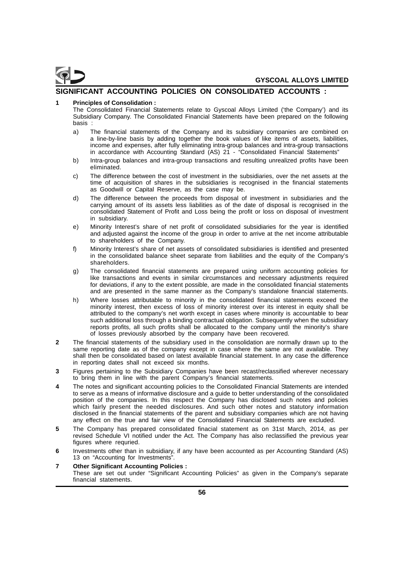

## **SIGNIFICANT ACCOUNTING POLICIES ON CONSOLIDATED ACCOUNTS :**

#### **1 Principles of Consolidation :**

The Consolidated Financial Statements relate to Gyscoal Alloys Limited ('the Company') and its Subsidiary Company. The Consolidated Financial Statements have been prepared on the following basis :

- a) The financial statements of the Company and its subsidiary companies are combined on a line-by-line basis by adding together the book values of like items of assets, liabilities, income and expenses, after fully eliminating intra-group balances and intra-group transactions in accordance with Accounting Standard (AS) 21 - "Consolidated Financial Statements"
- b) Intra-group balances and intra-group transactions and resulting unrealized profits have been eliminated.
- c) The difference between the cost of investment in the subsidiaries, over the net assets at the time of acquisition of shares in the subsidiaries is recognised in the financial statements as Goodwill or Capital Reserve, as the case may be.
- d) The difference between the proceeds from disposal of investment in subsidiaries and the carrying amount of its assets less liabilities as of the date of disposal is recognised in the consolidated Statement of Profit and Loss being the profit or loss on disposal of investment in subsidiary.
- e) Minority Interest's share of net profit of consolidated subsidiaries for the year is identified and adjusted against the income of the group in order to arrive at the net income attributable to shareholders of the Company.
- f) Minority Interest's share of net assets of consolidated subsidiaries is identified and presented in the consolidated balance sheet separate from liabilities and the equity of the Company's shareholders.
- g) The consolidated financial statements are prepared using uniform accounting policies for like transactions and events in similar circumstances and necessary adjustments required for deviations, if any to the extent possible, are made in the consolidated financial statements and are presented in the same manner as the Company's standalone financial statements.
- h) Where losses attributable to minority in the consolidated financial statements exceed the minority interest, then excess of loss of minority interest over its interest in equity shall be attributed to the company's net worth except in cases where minority is accountable to bear such additional loss through a binding contractual obligation. Subsequently when the subsidiary reports profits, all such profits shall be allocated to the company until the minority's share of losses previously absorbed by the company have been recovered.
- **2** The financial statements of the subsidiary used in the consolidation are normally drawn up to the same reporting date as of the company except in case where the same are not available. They shall then be consolidated based on latest available financial statement. In any case the difference in reporting dates shall not exceed six months.
- **3** Figures pertaining to the Subsidiary Companies have been recast/reclassified wherever necessary to bring them in line with the parent Company's financial statements.
- **4** The notes and significant accounting policies to the Consolidated Financial Statements are intended to serve as a means of informative disclosure and a guide to better understanding of the consolidated position of the companies. In this respect the Company has disclosed such notes and policies which fairly present the needed disclosures. And such other notes and statutory information disclosed in the financial statements of the parent and subsidiary companies which are not having any effect on the true and fair view of the Consolidated Financial Statements are excluded.
- **5** The Company has prepared consolidated finacial statement as on 31st March, 2014, as per revised Schedule VI notified under the Act. The Company has also reclassified the previous year figures where requried.
- **6** Investments other than in subsidiary, if any have been accounted as per Accounting Standard (AS) 13 on "Accounting for Investments".

#### **7 Other Significant Accounting Policies :**

These are set out under "Significant Accounting Policies" as given in the Company's separate financial statements.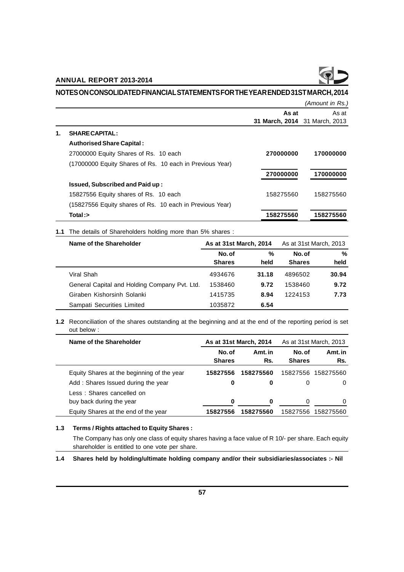

 $\overline{a}$ 

## **NOTES ON CONSOLIDATED FINANCIAL STATEMENTS FOR THE YEAR ENDED 31ST MARCH, 2014**

|    |                                                          |           | (Amount in Rs.)               |
|----|----------------------------------------------------------|-----------|-------------------------------|
|    |                                                          | As at     | As at                         |
|    |                                                          |           | 31 March, 2014 31 March, 2013 |
| 1. | <b>SHARE CAPITAL:</b>                                    |           |                               |
|    | <b>Authorised Share Capital:</b>                         |           |                               |
|    | 27000000 Equity Shares of Rs. 10 each                    | 270000000 | 170000000                     |
|    | (17000000 Equity Shares of Rs. 10 each in Previous Year) |           |                               |
|    |                                                          | 270000000 | 170000000                     |
|    | Issued, Subscribed and Paid up:                          |           |                               |
|    | 15827556 Equity shares of Rs. 10 each                    | 158275560 | 158275560                     |
|    | (15827556 Equity shares of Rs. 10 each in Previous Year) |           |                               |
|    | Total:                                                   | 158275560 | 158275560                     |

#### **1.1** The details of Shareholders holding more than 5% shares :

| Name of the Shareholder                       | As at 31st March, 2014 |           | As at 31st March, 2013  |           |
|-----------------------------------------------|------------------------|-----------|-------------------------|-----------|
|                                               | No.of<br><b>Shares</b> | %<br>held | No. of<br><b>Shares</b> | %<br>held |
| Viral Shah                                    | 4934676                | 31.18     | 4896502                 | 30.94     |
| General Capital and Holding Company Pvt. Ltd. | 1538460                | 9.72      | 1538460                 | 9.72      |
| Giraben Kishorsinh Solanki                    | 1415735                | 8.94      | 1224153                 | 7.73      |
| Sampati Securities Limited                    | 1035872                | 6.54      |                         |           |

#### **1.2** Reconciliation of the shares outstanding at the beginning and at the end of the reporting period is set out below :

| Name of the Shareholder                               | As at 31st March, 2014                    |           | As at 31st March, 2013 |                |  |
|-------------------------------------------------------|-------------------------------------------|-----------|------------------------|----------------|--|
|                                                       | No. of<br>Amt. in<br><b>Shares</b><br>Rs. |           | No.of<br><b>Shares</b> | Amt. in<br>Rs. |  |
| Equity Shares at the beginning of the year            | 15827556                                  | 158275560 | 15827556               | 158275560      |  |
| Add: Shares Issued during the year                    | 0                                         | 0         | 0                      | 0              |  |
| Less: Shares cancelled on<br>buy back during the year | n                                         |           | 0                      | 0              |  |
| Equity Shares at the end of the year                  | 15827556                                  | 158275560 | 15827556               | 158275560      |  |

## **1.3 Terms / Rights attached to Equity Shares :**

The Company has only one class of equity shares having a face value of R 10/- per share. Each equity shareholder is entitled to one vote per share.

**1.4 Shares held by holding/ultimate holding company and/or their subsidiaries/associates :- Nil**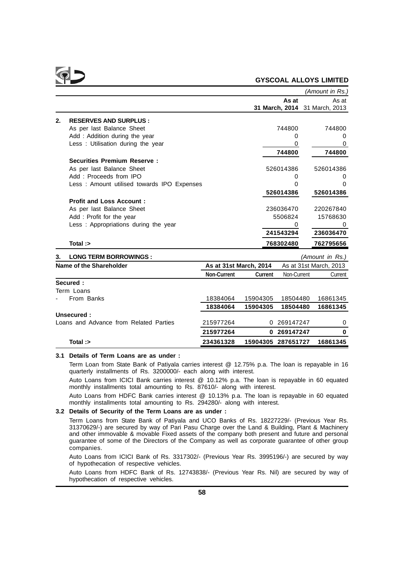

|    |                                            |             |                        |             | (Amount in Rs.)               |
|----|--------------------------------------------|-------------|------------------------|-------------|-------------------------------|
|    |                                            |             |                        | As at       | As at                         |
|    |                                            |             |                        |             | 31 March, 2014 31 March, 2013 |
| 2. | <b>RESERVES AND SURPLUS:</b>               |             |                        |             |                               |
|    | As per last Balance Sheet                  |             |                        | 744800      | 744800                        |
|    | Add: Addition during the year              |             |                        | 0           | 0                             |
|    | Less: Utilisation during the year          |             |                        | 0           | 0                             |
|    |                                            |             |                        | 744800      | 744800                        |
|    | <b>Securities Premium Reserve:</b>         |             |                        |             |                               |
|    | As per last Balance Sheet                  |             |                        | 526014386   | 526014386                     |
|    | Add: Proceeds from IPO                     |             |                        | 0           | 0                             |
|    | Less: Amount utilised towards IPO Expenses |             |                        | $\Omega$    | 0                             |
|    |                                            |             |                        | 526014386   | 526014386                     |
|    | <b>Profit and Loss Account:</b>            |             |                        |             |                               |
|    | As per last Balance Sheet                  |             |                        | 236036470   | 220267840                     |
|    | Add: Profit for the year                   |             |                        | 5506824     | 15768630                      |
|    | Less: Appropriations during the year       |             |                        | $\Omega$    | 0                             |
|    |                                            |             |                        | 241543294   | 236036470                     |
|    | Total:>                                    |             |                        | 768302480   | 762795656                     |
| 3. | <b>LONG TERM BORROWINGS:</b>               |             |                        |             | (Amount in Rs.)               |
|    | Name of the Shareholder                    |             | As at 31st March, 2014 |             | As at 31st March, 2013        |
|    |                                            | Non-Current | Current                | Non-Current | Current                       |
|    | Secured:                                   |             |                        |             |                               |
|    | Term Loans                                 |             |                        |             |                               |
|    | From Banks                                 | 18384064    | 15904305               | 18504480    | 16861345                      |
|    |                                            | 18384064    | 15904305               | 18504480    | 16861345                      |
|    | Unsecured:                                 |             |                        |             |                               |
|    | Loans and Advance from Related Parties     | 215977264   |                        | 0 269147247 | 0                             |
|    |                                            | 215977264   |                        | 0 269147247 | 0                             |
|    | Total:>                                    | 234361328   | 15904305 287651727     |             | 16861345                      |

#### **3.1 Details of Term Loans are as under :**

Term Loan from State Bank of Patiyala carries interest @ 12.75% p.a. The loan is repayable in 16 quarterly installments of Rs. 3200000/- each along with interest.

Auto Loans from ICICI Bank carries interest @ 10.12% p.a. The loan is repayable in 60 equated monthly installments total amounting to Rs. 87610/- along with interest.

Auto Loans from HDFC Bank carries interest @ 10.13% p.a. The loan is repayable in 60 equated monthly installments total amounting to Rs. 294280/- along with interest.

#### **3.2 Details of Security of the Term Loans are as under :**

Term Loans from State Bank of Patiyala and UCO Banks of Rs. 18227229/- (Previous Year Rs. 31370629/-) are secured by way of Pari Pasu Charge over the Land & Building, Plant & Machinery and other immovable & movable Fixed assets of the company both present and future and personal guarantee of some of the Directors of the Company as well as corporate guarantee of other group companies.

Auto Loans from ICICI Bank of Rs. 3317302/- (Previous Year Rs. 3995196/-) are secured by way of hypothecation of respective vehicles.

Auto Loans from HDFC Bank of Rs. 12743838/- (Previous Year Rs. Nil) are secured by way of hypothecation of respective vehicles.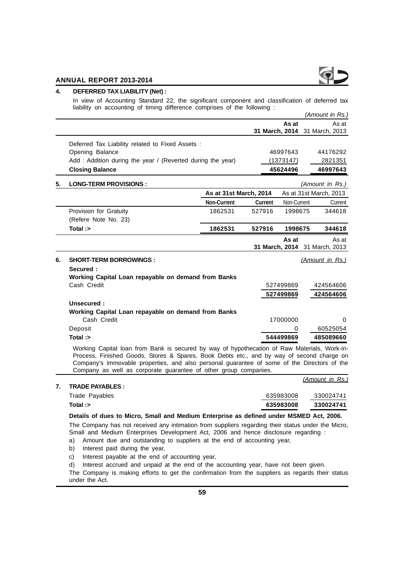

## **4. DEFERRED TAX LIABILITY (Net) :**

In view of Accounting Standard 22, the significant component and classification of deferred tax liability on accounting of timing difference comprises of the following : *(Amount in Rs.)*

|    |                                                                                             |                        |         |             | (AIIIOUIIL III RS.)           |
|----|---------------------------------------------------------------------------------------------|------------------------|---------|-------------|-------------------------------|
|    |                                                                                             |                        |         | As at       | As at                         |
|    |                                                                                             |                        |         |             | 31 March, 2014 31 March, 2013 |
|    | Deferred Tax Liability related to Fixed Assets :                                            |                        |         |             |                               |
|    | Opening Balance                                                                             |                        |         | 46997643    | 44176292                      |
|    | Add: Addition during the year / (Reverted during the year)                                  |                        |         | (1373147)   | 2821351                       |
|    | <b>Closing Balance</b>                                                                      |                        |         | 45624496    | 46997643                      |
| 5. | <b>LONG-TERM PROVISIONS:</b>                                                                |                        |         |             | (Amount in Rs.)               |
|    |                                                                                             | As at 31st March, 2014 |         |             | As at 31st March, 2013        |
|    |                                                                                             | Non-Current            | Current | Non-Current | Current                       |
|    | Provision for Gratuity                                                                      | 1862531                | 527916  | 1998675     | 344618                        |
|    | (Refere Note No. 23)                                                                        |                        |         |             |                               |
|    | Total:                                                                                      | 1862531                | 527916  | 1998675     | 344618                        |
|    |                                                                                             |                        |         | As at       | As at                         |
|    |                                                                                             |                        |         |             | 31 March, 2014 31 March, 2013 |
| 6. | <b>SHORT-TERM BORROWINGS:</b>                                                               |                        |         |             | <u>(Amount in Rs.)</u>        |
|    | Secured:                                                                                    |                        |         |             |                               |
|    | Working Capital Loan repayable on demand from Banks                                         |                        |         |             |                               |
|    | Cash Credit                                                                                 |                        |         | 527499869   | 424564606                     |
|    |                                                                                             |                        |         | 527499869   | 424564606                     |
|    | Unsecured:                                                                                  |                        |         |             |                               |
|    | Working Capital Loan repayable on demand from Banks                                         |                        |         |             |                               |
|    | Cash Credit                                                                                 |                        |         | 17000000    | 0                             |
|    | Deposit                                                                                     |                        |         | 0           | 60525054                      |
|    | Total:                                                                                      |                        |         | 544499869   | 485089660                     |
|    | Working Capital Joan from Bank is secured by way of bypothecation of Raw Materials Work-in- |                        |         |             |                               |

Working Capital loan from Bank is secured by way of hypothecation of Raw Materials, Work-in-Process, Finished Goods, Stores & Spares, Book Debts etc., and by way of second charge on Company's immovable properties, and also personal guarantee of some of the Directors of the Company as well as corporate guarantee of other group companies.

|    | Total :>                | 635983008 | 330024741       |
|----|-------------------------|-----------|-----------------|
|    | Trade Payables          | 635983008 | 330024741       |
| 7. | <b>TRADE PAYABLES :</b> |           | (Amount in Rs.) |

**Details of dues to Micro, Small and Medium Enterprise as defined under MSMED Act, 2006.**

The Company has not received any intimation from suppliers regarding their status under the Micro, Small and Medium Enterprises Development Act, 2006 and hence disclosure regarding :

a) Amount due and outstanding to suppliers at the end of accounting year,

b) Interest paid during the year,

c) Interest payable at the end of accounting year,

d) Interest accrued and unpaid at the end of the accounting year, have not been given. The Company is making efforts to get the confirmation from the suppliers as regards their status under the Act.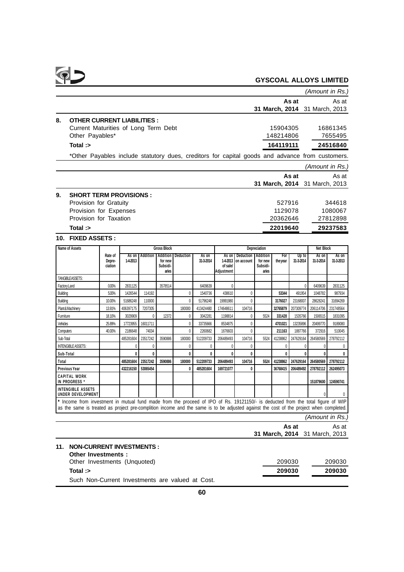

|                             |                                                                                                                                                                                                                                                                           |                              |                     |                            |                              |                                         |                     |                                             |                             |                                          |                                           |                     |                     | (Amount in Rs.)                           |
|-----------------------------|---------------------------------------------------------------------------------------------------------------------------------------------------------------------------------------------------------------------------------------------------------------------------|------------------------------|---------------------|----------------------------|------------------------------|-----------------------------------------|---------------------|---------------------------------------------|-----------------------------|------------------------------------------|-------------------------------------------|---------------------|---------------------|-------------------------------------------|
|                             |                                                                                                                                                                                                                                                                           |                              |                     |                            |                              |                                         |                     |                                             |                             |                                          |                                           | As at               |                     | As at                                     |
|                             |                                                                                                                                                                                                                                                                           |                              |                     |                            |                              |                                         |                     |                                             |                             |                                          | 31 March, 2014                            |                     |                     | 31 March, 2013                            |
| 8.                          | <b>OTHER CURRENT LIABILITIES:</b><br>Current Maturities of Long Term Debt<br>Other Payables*                                                                                                                                                                              |                              |                     |                            |                              |                                         |                     |                                             |                             |                                          | 15904305<br>148214806                     |                     |                     | 16861345<br>7655495                       |
|                             | Total:>                                                                                                                                                                                                                                                                   |                              |                     |                            |                              |                                         |                     |                                             |                             |                                          | 164119111                                 |                     |                     | 24516840                                  |
|                             | *Other Payables include statutory dues, creditors for capital goods and advance from customers.                                                                                                                                                                           |                              |                     |                            |                              |                                         |                     |                                             |                             |                                          |                                           |                     |                     |                                           |
|                             |                                                                                                                                                                                                                                                                           |                              |                     |                            |                              |                                         |                     |                                             |                             |                                          |                                           |                     |                     | (Amount in Rs.)                           |
|                             |                                                                                                                                                                                                                                                                           |                              |                     |                            |                              |                                         |                     |                                             |                             |                                          |                                           | As at               |                     | As at                                     |
|                             |                                                                                                                                                                                                                                                                           |                              |                     |                            |                              |                                         |                     |                                             |                             |                                          | 31 March, 2014                            |                     |                     | 31 March, 2013                            |
| 9.<br>10 <sub>1</sub>       | <b>SHORT TERM PROVISIONS:</b><br>Provision for Gratuity<br>Provision for Expenses<br>Provision for Taxation<br>Total:><br><b>FIXED ASSETS:</b>                                                                                                                            |                              |                     |                            |                              |                                         |                     |                                             |                             |                                          | 527916<br>1129078<br>20362646<br>22019640 |                     |                     | 344618<br>1080067<br>27812898<br>29237583 |
|                             | Name of Assets                                                                                                                                                                                                                                                            |                              |                     |                            | <b>Gross Block</b>           |                                         |                     |                                             |                             | Depreciation                             |                                           |                     | Net Block           |                                           |
|                             |                                                                                                                                                                                                                                                                           | Rate of<br>Depre-<br>ciation | 1-4-2013            |                            | for new<br>Subsidi-<br>aries | As on   Addition   Addition   Deduction | As on<br>31-3-2014  | As on<br>1-4-2013<br>of sale/<br>Adjustment | Deduction<br>on account     | Addition<br>for new<br>Subsidi-<br>aries | For<br>the year                           | Up to<br>31-3-2014  | As on<br>31-3-2014  | As on<br>31-3-2013                        |
|                             | TANGIBLEASSETS:                                                                                                                                                                                                                                                           |                              |                     |                            |                              |                                         |                     |                                             |                             |                                          |                                           |                     |                     |                                           |
|                             | FactoryLand                                                                                                                                                                                                                                                               | 0.00%                        | 2831125             |                            | 3578514                      |                                         | 6409639             | $\theta$                                    |                             |                                          |                                           | $\theta$            | 6409639             | 2831125                                   |
| Building                    |                                                                                                                                                                                                                                                                           | 5.00%                        | 1426544             | 114192                     |                              | $\theta$                                | 1540736             | 438610                                      | $\mathbf 0$                 |                                          | 53344                                     | 491954              | 1048782             | 987934                                    |
| Building                    |                                                                                                                                                                                                                                                                           | 10.00%                       | 51686248            | 110000                     |                              | $\theta$                                | 51796248            | 19991980                                    | $\mathbf{0}$                |                                          | 3176027                                   | 23168007            | 28628241            | 31694269                                  |
|                             | Plant&Machinery                                                                                                                                                                                                                                                           | 13.91%                       | 406397175           | 7207305                    |                              | 180000                                  | 413424480           | 174648611                                   | 104716                      |                                          | 32765879                                  | 207309774           | 206114706           | 231748564                                 |
| Furniture<br><b>Vehides</b> |                                                                                                                                                                                                                                                                           | 18.10%<br>25.89%             | 3029909             | $\overline{0}$<br>16011711 | 12372                        | $\mathbf{0}$<br>$\theta$                | 3042281             | 1198814                                     | $\mathbf 0$<br>$\mathbf{0}$ | 5524                                     | 331428<br>4701021                         | 1535766<br>13235896 | 1506515<br>20499770 | 1831095<br>9189080                        |
| Computers                   |                                                                                                                                                                                                                                                                           | 40.00%                       | 17723955<br>2186648 | 74034                      |                              | $\theta$                                | 33735666<br>2260682 | 8534875<br>1676603                          | $\mathbf{0}$                |                                          | 211163                                    | 1887766             | 372916              | 510045                                    |
| Sub-Total                   |                                                                                                                                                                                                                                                                           |                              | 485281604           | 23517242                   | 3590886                      | 180000                                  | 512209733           | 206489493                                   | 104716                      | 5524                                     | 41238862                                  | 247629164           | 264580569           | 278792112                                 |
|                             | <b>INTENGIBLE ASSETS:</b>                                                                                                                                                                                                                                                 |                              | $\pmb{0}$           | $\pmb{0}$                  |                              | $\pmb{0}$                               | $\mathbf{0}$        | $\pmb{0}$                                   | $\pmb{0}$                   |                                          | $\mathbf 0$                               | $\pmb{0}$           | $\pmb{0}$           | 0                                         |
|                             | Sub-Total                                                                                                                                                                                                                                                                 |                              | $\mathbf{0}$        | $\mathbf{0}$               |                              | $\mathbf{0}$                            | $\mathbf{0}$        | $\mathbf{0}$                                | $\mathbf 0$                 |                                          | $\mathbf{0}$                              | $\mathbf{0}$        | $\mathbf{0}$        | $\mathbf{0}$                              |
| Total                       |                                                                                                                                                                                                                                                                           |                              | 485281604           | 23517242                   | 3590886                      | 180000                                  | 512209733           | 206489493                                   | 104716                      | 5524                                     | 41238862                                  | 247629164           | 264580569           | 278792112                                 |
|                             | Previous Year                                                                                                                                                                                                                                                             |                              | 432216150           | 53065454                   |                              | $\bf{0}$                                | 485281604           | 169721077                                   | 0                           |                                          | 36768415                                  | 206489492           | 278792112           | 262495073                                 |
|                             | <b>CAPITAL WORK</b><br><b>IN PROGRESS</b>                                                                                                                                                                                                                                 |                              |                     |                            |                              |                                         |                     |                                             |                             |                                          |                                           |                     | 151879600           | 124590741                                 |
|                             | <b>INTENGIBLE ASSETS</b><br>UNDER DEVELOPMENT                                                                                                                                                                                                                             |                              |                     |                            |                              |                                         |                     |                                             |                             |                                          |                                           |                     |                     | $\mathbf{0}$                              |
|                             | * Income from investment in mutual fund made from the proceed of IPO of Rs. 19121150/- is deducted from the total figure of WIP<br>as the same is treated as project pre-complition income and the same is to be adjusted against the cost of the project when completed. |                              |                     |                            |                              |                                         |                     |                                             |                             |                                          |                                           |                     |                     |                                           |
|                             |                                                                                                                                                                                                                                                                           |                              |                     |                            |                              |                                         |                     |                                             |                             |                                          |                                           |                     |                     | (Amount in Rs.)                           |
|                             |                                                                                                                                                                                                                                                                           |                              |                     |                            |                              |                                         |                     |                                             |                             |                                          | 31 March, 2014                            | As at               |                     | As at<br>31 March, 2013                   |

| 11. NON-CURRENT INVESTMENTS :<br>Other Investments: |        |        |  |  |  |  |  |
|-----------------------------------------------------|--------|--------|--|--|--|--|--|
| Other Investments (Unquoted)                        | 209030 | 209030 |  |  |  |  |  |
| Total:                                              | 209030 | 209030 |  |  |  |  |  |
| Such Non-Current Investments are valued at Cost.    |        |        |  |  |  |  |  |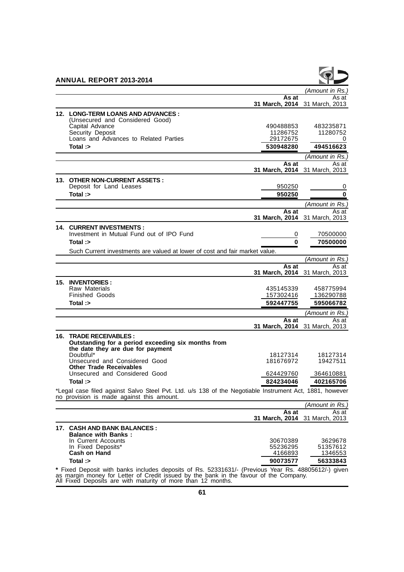| <b>ANNUAL REPORT 2013-2014</b>                                                                                                                       |                         |                                                     |
|------------------------------------------------------------------------------------------------------------------------------------------------------|-------------------------|-----------------------------------------------------|
|                                                                                                                                                      |                         | (Amount in Rs.)                                     |
|                                                                                                                                                      | As at                   | $\overline{As}$ at<br>31 March, 2014 31 March, 2013 |
| 12. LONG-TERM LOANS AND ADVANCES:                                                                                                                    |                         |                                                     |
| (Unsecured and Considered Good)<br>Capital Advance                                                                                                   | 490488853               | 483235871                                           |
| Security Deposit                                                                                                                                     | 11286752                | 11280752                                            |
| Loans and Advances to Related Parties                                                                                                                | 29172675                | 0                                                   |
| Total:>                                                                                                                                              | 530948280               | 494516623                                           |
|                                                                                                                                                      |                         | (Amount in Rs.)                                     |
|                                                                                                                                                      | As at                   | As at<br>31 March, 2014 31 March, 2013              |
| 13. OTHER NON-CURRENT ASSETS:                                                                                                                        |                         |                                                     |
| Deposit for Land Leases                                                                                                                              | 950250                  | 0                                                   |
| Total:>                                                                                                                                              | 950250                  | 0                                                   |
|                                                                                                                                                      |                         | (Amount in Rs.)                                     |
|                                                                                                                                                      | As at                   | As at<br>31 March, 2014 31 March, 2013              |
| <b>14. CURRENT INVESTMENTS:</b>                                                                                                                      |                         |                                                     |
| Investment in Mutual Fund out of IPO Fund                                                                                                            | 0                       | 70500000                                            |
| Total :>                                                                                                                                             | 0                       | 70500000                                            |
| Such Current investments are valued at lower of cost and fair market value.                                                                          |                         |                                                     |
|                                                                                                                                                      |                         | (Amount in Rs.)                                     |
|                                                                                                                                                      | As at                   | As at<br>31 March, 2014 31 March, 2013              |
| 15. INVENTORIES:                                                                                                                                     |                         |                                                     |
| Raw Materials                                                                                                                                        | 435145339               | 458775994                                           |
| <b>Finished Goods</b><br>Total :>                                                                                                                    | 157302416<br>592447755  | 136290788<br>595066782                              |
|                                                                                                                                                      |                         |                                                     |
|                                                                                                                                                      | As at                   | 'Amount in Rs.)<br>As at                            |
|                                                                                                                                                      |                         | 31 March, 2014 31 March, 2013                       |
| 16. TRADE RECEIVABLES:<br>Outstanding for a period exceeding six months from                                                                         |                         |                                                     |
| the date they are due for payment<br>Doubtful*                                                                                                       | 18127314                | 18127314                                            |
| Unsecured and Considered Good                                                                                                                        | 181676972               | 19427511                                            |
| Other Trade Receivables                                                                                                                              |                         |                                                     |
| Unsecured and Considered Good                                                                                                                        | 624429760               | 364610881                                           |
| Total:>                                                                                                                                              | 824234046               | 402165706                                           |
| *Legal case filed against Salvo Steel Pvt. Ltd. u/s 138 of the Negotiable Instrument Act, 1881, however<br>no provision is made against this amount. |                         |                                                     |
|                                                                                                                                                      |                         | (Amount in Rs.)                                     |
|                                                                                                                                                      | As at<br>31 March, 2014 | As at<br>31 March, 2013                             |
| 17. CASH AND BANK BALANCES:                                                                                                                          |                         |                                                     |
|                                                                                                                                                      |                         |                                                     |

| <b>Balance with Banks:</b> |                                                                              |            |
|----------------------------|------------------------------------------------------------------------------|------------|
| In Current Accounts        | 30670389                                                                     | 3629678    |
| In Fixed Deposits*         | 55236295                                                                     | 51357612   |
| <b>Cash on Hand</b>        | 4166893                                                                      | 1346553    |
| Total:                     | 90073577                                                                     | 56333843   |
| .                          | $\sim$ $\sim$ $\sim$ $\sim$ $\sim$ $\sim$ $\sim$ $\sim$<br>$\cdot$<br>$\sim$ | $\sqrt{2}$ |

**\*** Fixed Deposit with banks includes deposits of Rs. 52331631/- (Previous Year Rs. 48805612/-) given as margin money for Letter of Credit issued by the bank in the favour of the Company. All Fixed Deposits are with maturity of more than 12 months.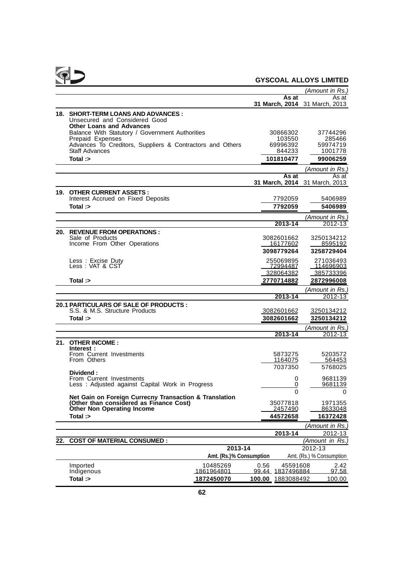

|     |                                                                                                   |                         |      |                         | (Amount in Rs.)                |
|-----|---------------------------------------------------------------------------------------------------|-------------------------|------|-------------------------|--------------------------------|
|     |                                                                                                   |                         |      | As at<br>31 March, 2014 | As at<br>31 March, 2013        |
|     | 18. SHORT-TERM LOANS AND ADVANCES :                                                               |                         |      |                         |                                |
|     | Unsecured and Considered Good                                                                     |                         |      |                         |                                |
|     | <b>Other Loans and Advances</b><br>Balance With Statutory / Government Authorities                |                         |      | 30866302                | 37744296                       |
|     | Prepaid Expenses                                                                                  |                         |      | 103550                  | 285466                         |
|     | Advances To Creditors, Suppliers & Contractors and Others                                         |                         |      | 69996392                | 59974719                       |
|     | <b>Staff Advances</b>                                                                             |                         |      | 844233                  | 1001778                        |
|     | Total:>                                                                                           |                         |      | 101810477               | 99006259                       |
|     |                                                                                                   |                         |      |                         | (Amount in Rs.)                |
|     |                                                                                                   |                         |      | As at                   | As at                          |
|     |                                                                                                   |                         |      | 31 March, 2014          | 31 March, 2013                 |
|     | 19. OTHER CURRENT ASSETS:                                                                         |                         |      |                         |                                |
|     | Interest Accrued on Fixed Deposits                                                                |                         |      | 7792059                 | 5406989                        |
|     | Total :>                                                                                          |                         |      | 7792059                 | 5406989                        |
|     |                                                                                                   |                         |      |                         | (Amount in Rs.)                |
|     |                                                                                                   |                         |      | 2013-14                 | 2012-13                        |
|     | 20. REVENUE FROM OPERATIONS:                                                                      |                         |      |                         |                                |
|     | Sale of Products<br>Income From Other Operations                                                  |                         |      | 3082601662              | 3250134212<br>8595192          |
|     |                                                                                                   |                         |      | 16177602                |                                |
|     |                                                                                                   |                         |      | 3098779264              | 3258729404                     |
|     | Less : Excise Duty<br>Less: VAT & CST                                                             |                         |      | 255069895               | 271036493                      |
|     |                                                                                                   |                         |      | 72994487<br>328064382   | <u> 114696903</u><br>385733396 |
|     | Total :>                                                                                          |                         |      | 2770714882              | 2872996008                     |
|     |                                                                                                   |                         |      |                         |                                |
|     |                                                                                                   |                         |      |                         | (Amount in Rs.)                |
|     |                                                                                                   |                         |      | 2013-14                 | 2012-13                        |
|     | <b>20.1 PARTICULARS OF SALE OF PRODUCTS:</b><br>S.S. & M.S. Structure Products                    |                         |      | 3082601662              | 3250134212                     |
|     | Total:>                                                                                           |                         |      | 3082601662              | 3250134212                     |
|     |                                                                                                   |                         |      |                         |                                |
|     |                                                                                                   |                         |      | 2013-14                 | (Amount in Rs.)<br>2012-13     |
|     | 21. OTHER INCOME:                                                                                 |                         |      |                         |                                |
|     | Interest:                                                                                         |                         |      |                         |                                |
|     | From Current Investments                                                                          |                         |      | 5873275                 | 5203572                        |
|     | From Others                                                                                       |                         |      | 1164075                 | 564453                         |
|     | Dividend:                                                                                         |                         |      | 7037350                 | 5768025                        |
|     | From Current Investments                                                                          |                         |      | 0                       | 9681139                        |
|     | Less: Adjusted against Capital Work in Progress                                                   |                         |      | 0                       | 9681139                        |
|     |                                                                                                   |                         |      | 0                       | 0                              |
|     | Net Gain on Foreign Currecny Transaction & Translation<br>(Other than considered as Finance Cost) |                         |      | 35077818                | 1971355                        |
|     | Other Non Operating Income                                                                        |                         |      | 2457490                 | 8633048                        |
|     | Total:>                                                                                           |                         |      | 44572658                | 16372428                       |
|     |                                                                                                   |                         |      |                         | (Amount in Rs.)                |
|     |                                                                                                   |                         |      | 2013-14                 | 2012-13                        |
| 22. | <b>COST OF MATERIAL CONSUMED :</b>                                                                |                         |      |                         | (Amount in Rs.)                |
|     |                                                                                                   | 2013-14                 |      |                         | 2012-13                        |
|     |                                                                                                   | Amt. (Rs.)% Consumption |      |                         | Amt. (Rs.) % Consumption       |
|     | Imported                                                                                          | 10485269                | 0.56 | 45591608                | 2.42                           |
|     | Indigenous                                                                                        | 1861964801              |      | 99.44 1837496884        | 97.58                          |
|     | Total :>                                                                                          | 1872450070              |      | 100.00 1883088492       | 100.00                         |
|     |                                                                                                   |                         |      |                         |                                |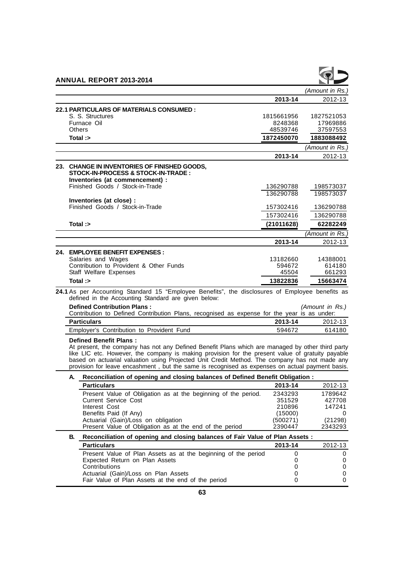| <b>ANNUAL REPORT 2013-2014</b>                                                                                                                         |            |                 |
|--------------------------------------------------------------------------------------------------------------------------------------------------------|------------|-----------------|
|                                                                                                                                                        |            | (Amount in Rs.) |
|                                                                                                                                                        | 2013-14    | 2012-13         |
| <b>22.1 PARTICULARS OF MATERIALS CONSUMED:</b>                                                                                                         |            |                 |
| S. S. Structures                                                                                                                                       | 1815661956 | 1827521053      |
| Furnace Oil                                                                                                                                            | 8248368    | 17969886        |
| Others                                                                                                                                                 | 48539746   | 37597553        |
| Total :>                                                                                                                                               | 1872450070 | 1883088492      |
|                                                                                                                                                        |            | (Amount in Rs.) |
|                                                                                                                                                        | 2013-14    | 2012-13         |
| 23. CHANGE IN INVENTORIES OF FINISHED GOODS,<br>STOCK-IN-PROCESS & STOCK-IN-TRADE:<br>Inventories (at commencement) :                                  |            |                 |
| Finished Goods / Stock-in-Trade                                                                                                                        | 136290788  | 198573037       |
|                                                                                                                                                        | 136290788  | 198573037       |
| Inventories (at close) :                                                                                                                               |            |                 |
| Finished Goods / Stock-in-Trade                                                                                                                        | 157302416  | 136290788       |
|                                                                                                                                                        | 157302416  | 136290788       |
| Total :>                                                                                                                                               | (21011628) | 62282249        |
|                                                                                                                                                        |            | (Amount in Rs.) |
|                                                                                                                                                        | 2013-14    | 2012-13         |
| 24. EMPLOYEE BENEFIT EXPENSES :                                                                                                                        |            |                 |
| Salaries and Wages                                                                                                                                     | 13182660   | 14388001        |
| Contribution to Provident & Other Funds                                                                                                                | 594672     | 614180          |
| Staff Welfare Expenses                                                                                                                                 | 45504      | 661293          |
| Total:                                                                                                                                                 | 13822836   | 15663474        |
| 24.1 As per Accounting Standard 15 "Employee Benefits", the disclosures of Employee benefits as<br>defined in the Accounting Standard are given below: |            |                 |
| <b>Defined Contribution Plans:</b>                                                                                                                     |            | (Amount in Rs.) |
| Contribution to Defined Contribution Plans, recognised as expense for the year is as under:                                                            |            |                 |
| <b>Particulars</b>                                                                                                                                     | 2013-14    | 2012-13         |
| Employer's Contribution to Provident Fund                                                                                                              | 594672     | 614180          |
| <b>Defined Benefit Plans:</b>                                                                                                                          |            |                 |

At present, the company has not any Defined Benefit Plans which are managed by other third party like LIC etc. However, the company is making provision for the present value of gratuity payable based on actuarial valuation using Projected Unit Credit Method. The company has not made any provision for leave encashment , but the same is recognised as expenses on actual payment basis.

| А. | Reconciliation of opening and closing balances of Defined Benefit Obligation : |          |         |  |  |  |  |
|----|--------------------------------------------------------------------------------|----------|---------|--|--|--|--|
|    | <b>Particulars</b>                                                             | 2013-14  | 2012-13 |  |  |  |  |
|    | Present Value of Obligation as at the beginning of the period.                 | 2343293  | 1789642 |  |  |  |  |
|    | Current Service Cost                                                           | 351529   | 427708  |  |  |  |  |
|    | Interest Cost                                                                  | 210896   | 147241  |  |  |  |  |
|    | Benefits Paid (If Any)                                                         | (15000)  |         |  |  |  |  |
|    | Actuarial (Gain)/Loss on obligation                                            | (500271) | (21298) |  |  |  |  |
|    | Present Value of Obligation as at the end of the period                        | 2390447  | 2343293 |  |  |  |  |
|    |                                                                                |          |         |  |  |  |  |
| В. | Reconciliation of opening and closing balances of Fair Value of Plan Assets :  |          |         |  |  |  |  |
|    | <b>Particulars</b>                                                             | 2013-14  | 2012-13 |  |  |  |  |
|    | Present Value of Plan Assets as at the beginning of the period                 |          |         |  |  |  |  |
|    | Expected Return on Plan Assets                                                 |          |         |  |  |  |  |
|    | Contributions                                                                  |          |         |  |  |  |  |
|    | Actuarial (Gain)/Loss on Plan Assets                                           |          |         |  |  |  |  |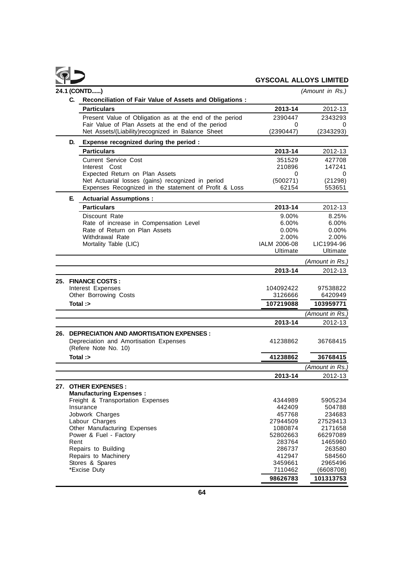**PD** 

## **GYSCOAL ALLOYS LIMITED**

|      | 24.1 (CONTD)                                                |                       | (Amount in Rs.)     |
|------|-------------------------------------------------------------|-----------------------|---------------------|
|      | C. Reconciliation of Fair Value of Assets and Obligations : |                       |                     |
|      | <b>Particulars</b>                                          | 2013-14               | 2012-13             |
|      | Present Value of Obligation as at the end of the period     | 2390447               | 2343293             |
|      | Fair Value of Plan Assets at the end of the period          | 0                     |                     |
|      | Net Assets/(Liability)recognized in Balance Sheet           | (2390447)             | (2343293)           |
| D.   | Expense recognized during the period :                      |                       |                     |
|      | <b>Particulars</b>                                          | 2013-14               | 2012-13             |
|      | <b>Current Service Cost</b>                                 | 351529                | 427708              |
|      | Interest Cost                                               | 210896                | 147241              |
|      | Expected Return on Plan Assets                              | 0                     | 0                   |
|      | Net Actuarial losses (gains) recognized in period           | (500271)<br>62154     | (21298)             |
|      | Expenses Recognized in the statement of Profit & Loss       |                       | 553651              |
| Е.   | <b>Actuarial Assumptions:</b>                               |                       |                     |
|      | <b>Particulars</b>                                          | 2013-14               | 2012-13             |
|      | Discount Rate                                               | 9.00%                 | 8.25%               |
|      | Rate of increase in Compensation Level                      | 6.00%                 | 6.00%               |
|      | Rate of Return on Plan Assets                               | $0.00\%$              | 0.00%               |
|      | Withdrawal Rate<br>Mortality Table (LIC)                    | 2.00%<br>IALM 2006-08 | 2.00%<br>LIC1994-96 |
|      |                                                             | Ultimate              | <b>Ultimate</b>     |
|      |                                                             |                       |                     |
|      |                                                             |                       | (Amount in Rs.)     |
|      |                                                             | 2013-14               | 2012-13             |
|      | 25. FINANCE COSTS:                                          |                       |                     |
|      | Interest Expenses                                           | 104092422             | 97538822            |
|      | Other Borrowing Costs                                       | 3126666               | 6420949             |
|      | Total:>                                                     | 107219088             | 103959771           |
|      |                                                             |                       | (Amount in Rs.)     |
|      |                                                             | 2013-14               | 2012-13             |
|      | 26. DEPRECIATION AND AMORTISATION EXPENSES :                |                       |                     |
|      | Depreciation and Amortisation Expenses                      | 41238862              | 36768415            |
|      | (Refere Note No. 10)                                        |                       |                     |
|      | Total:>                                                     | 41238862              | 36768415            |
|      |                                                             |                       | (Amount in Rs.)     |
|      |                                                             | 2013-14               | 2012-13             |
|      | 27. OTHER EXPENSES :                                        |                       |                     |
|      | <b>Manufacturing Expenses:</b>                              |                       |                     |
|      | Freight & Transportation Expenses                           | 4344989               | 5905234             |
|      | Insurance                                                   | 442409                | 504788              |
|      | Jobwork Charges                                             | 457768                | 234683              |
|      | Labour Charges                                              | 27944509              | 27529413            |
|      | Other Manufacturing Expenses                                | 1080874               | 2171658             |
|      | Power & Fuel - Factory                                      | 52802663              | 66297089            |
| Rent |                                                             | 283764                | 1465960             |
|      | Repairs to Building                                         | 286737                | 263580              |
|      | Repairs to Machinery                                        | 412947                | 584560              |
|      | Stores & Spares                                             | 3459661               | 2965496             |
|      | *Excise Duty                                                | 7110462               | (6608708)           |
|      |                                                             | 98626783              | 101313753           |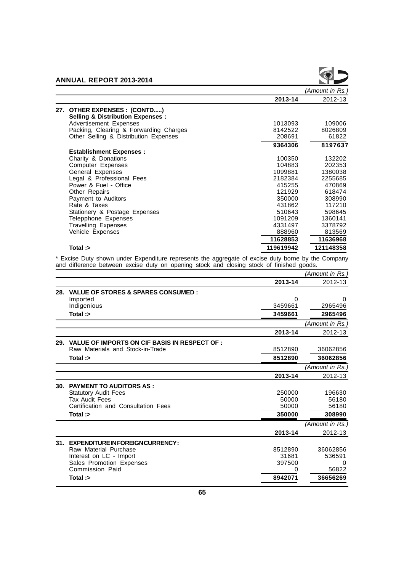| $Anount$ in $De$ |  |
|------------------|--|

*(Amount in Rs.)*

|                                             |           | (Amount in Rs.) |
|---------------------------------------------|-----------|-----------------|
|                                             | 2013-14   | 2012-13         |
| 27. OTHER EXPENSES : (CONTD)                |           |                 |
| <b>Selling &amp; Distribution Expenses:</b> |           |                 |
| <b>Advertisement Expenses</b>               | 1013093   | 109006          |
| Packing, Clearing & Forwarding Charges      | 8142522   | 8026809         |
| Other Selling & Distribution Expenses       | 208691    | 61822           |
|                                             | 9364306   | 8197637         |
| <b>Establishment Expenses:</b>              |           |                 |
| Charity & Donations                         | 100350    | 132202          |
| Computer Expenses                           | 104883    | 202353          |
| General Expenses                            | 1099881   | 1380038         |
| Legal & Professional Fees                   | 2182384   | 2255685         |
| Power & Fuel - Office                       | 415255    | 470869          |
| Other Repairs                               | 121929    | 618474          |
| Payment to Auditors                         | 350000    | 308990          |
| Rate & Taxes                                | 431862    | 117210          |
| Stationery & Postage Expenses               | 510643    | 598645          |
| Telepphone Expenses                         | 1091209   | 1360141         |
| <b>Travelling Expenses</b>                  | 4331497   | 3378792         |
| Vehicle Expenses                            | 888960    | 813569          |
|                                             | 11628853  | 11636968        |
| Total:>                                     | 119619942 | 121148358       |

\* Excise Duty shown under Expenditure represents the aggregate of excise duty borne by the Company and difference between excise duty on opening stock and closing stock of finished goods.

|     |                                                   | 2013-14 | 2012-13         |
|-----|---------------------------------------------------|---------|-----------------|
|     | 28. VALUE OF STORES & SPARES CONSUMED :           |         |                 |
|     | Imported                                          | 0       | $\Omega$        |
|     | Indigenious                                       | 3459661 | 2965496         |
|     | Total :>                                          | 3459661 | 2965496         |
|     |                                                   |         | (Amount in Rs.) |
|     |                                                   | 2013-14 | 2012-13         |
|     | 29. VALUE OF IMPORTS ON CIF BASIS IN RESPECT OF : |         |                 |
|     | Raw Materials and Stock-in-Trade                  | 8512890 | 36062856        |
|     | Total:>                                           | 8512890 | 36062856        |
|     |                                                   |         | (Amount in Rs.) |
|     |                                                   | 2013-14 | 2012-13         |
| 30. | <b>PAYMENT TO AUDITORS AS:</b>                    |         |                 |
|     | <b>Statutory Audit Fees</b>                       | 250000  | 196630          |
|     | <b>Tax Audit Fees</b>                             | 50000   | 56180           |
|     | Certification and Consultation Fees               | 50000   | 56180           |
|     | Total:>                                           | 350000  | 308990          |
|     |                                                   |         | (Amount in Rs.) |
|     |                                                   | 2013-14 | 2012-13         |
| 31. | <b>EXPENDITURE IN FOREIGN CURRENCY:</b>           |         |                 |
|     | Raw Material Purchase                             | 8512890 | 36062856        |
|     | Interest on LC - Import                           | 31681   | 536591          |
|     | Sales Promotion Expenses                          | 397500  |                 |
|     | Commission Paid                                   |         | 56822           |
|     | Total:>                                           | 8942071 | 36656269        |
|     |                                                   |         |                 |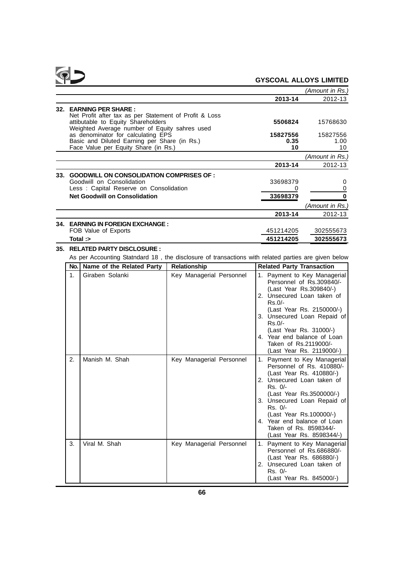

### **GYSCOAL ALLOYS LIMITED** *(Amount in Rs.)*

|                                                                                                                                                                                                                                                                                                        |                                                                                                       |                                   |                                               | (Amount in Rs.)                                                                                                                                                                                                                                                                                 |
|--------------------------------------------------------------------------------------------------------------------------------------------------------------------------------------------------------------------------------------------------------------------------------------------------------|-------------------------------------------------------------------------------------------------------|-----------------------------------|-----------------------------------------------|-------------------------------------------------------------------------------------------------------------------------------------------------------------------------------------------------------------------------------------------------------------------------------------------------|
|                                                                                                                                                                                                                                                                                                        |                                                                                                       |                                   | 2013-14                                       | 2012-13                                                                                                                                                                                                                                                                                         |
| 32. EARNING PER SHARE :<br>Net Profit after tax as per Statement of Profit & Loss<br>attibutable to Equity Shareholders<br>Weighted Average number of Equity sahres used<br>as denominator for calculating EPS<br>Basic and Diluted Earning per Share (in Rs.)<br>Face Value per Equity Share (in Rs.) |                                                                                                       | 5506824<br>15827556<br>0.35<br>10 | 15768630<br>15827556<br>1.00<br>10            |                                                                                                                                                                                                                                                                                                 |
|                                                                                                                                                                                                                                                                                                        |                                                                                                       |                                   |                                               |                                                                                                                                                                                                                                                                                                 |
|                                                                                                                                                                                                                                                                                                        |                                                                                                       |                                   | 2013-14                                       | (Amount in Rs.)<br>2012-13                                                                                                                                                                                                                                                                      |
| 33. GOODWILL ON CONSOLIDATION COMPRISES OF :<br>Goodwill on Consolidation<br>Less: Capital Reserve on Consolidation                                                                                                                                                                                    |                                                                                                       |                                   | 33698379<br>0                                 | 0<br>0                                                                                                                                                                                                                                                                                          |
|                                                                                                                                                                                                                                                                                                        | <b>Net Goodwill on Consolidation</b>                                                                  |                                   | 33698379                                      | 0                                                                                                                                                                                                                                                                                               |
|                                                                                                                                                                                                                                                                                                        |                                                                                                       |                                   |                                               | (Amount in Rs.)                                                                                                                                                                                                                                                                                 |
|                                                                                                                                                                                                                                                                                                        |                                                                                                       |                                   | 2013-14                                       | 2012-13                                                                                                                                                                                                                                                                                         |
|                                                                                                                                                                                                                                                                                                        | 34. EARNING IN FOREIGN EXCHANGE :<br>FOB Value of Exports<br>Total:><br>35. RELATED PARTY DISCLOSURE: |                                   | 451214205<br>451214205                        | 302555673<br>302555673                                                                                                                                                                                                                                                                          |
|                                                                                                                                                                                                                                                                                                        | As per Accounting Statndard 18, the disclosure of transactions with related parties are given below   |                                   |                                               |                                                                                                                                                                                                                                                                                                 |
|                                                                                                                                                                                                                                                                                                        | No. Name of the Related Party                                                                         | Relationship                      | <b>Related Party Transaction</b>              |                                                                                                                                                                                                                                                                                                 |
| 1.                                                                                                                                                                                                                                                                                                     | Giraben Solanki                                                                                       | Key Managerial Personnel          | $Rs.0/-$<br>$Rs.0/-$<br>Taken of Rs.2119000/- | 1. Payment to Key Managerial<br>Personnel of Rs.309840/-<br>(Last Year Rs.309840/-)<br>2. Unsecured Loan taken of<br>(Last Year Rs. 2150000/-)<br>3. Unsecured Loan Repaid of<br>(Last Year Rs. 31000/-)<br>4. Year end balance of Loan<br>(Last Year Rs. 2119000/-)                            |
| 2.                                                                                                                                                                                                                                                                                                     | Manish M. Shah                                                                                        | Key Managerial Personnel          | Rs. 0/-<br>Rs. 0/-                            | 1. Payment to Key Managerial<br>Personnel of Rs. 410880/-<br>(Last Year Rs. 410880/-)<br>2. Unsecured Loan taken of<br>(Last Year Rs.3500000/-)<br>3. Unsecured Loan Repaid of<br>(Last Year Rs.100000/-)<br>4. Year end balance of Loan<br>Taken of Rs. 8598344/-<br>(Last Year Rs. 8598344/-) |
| 3.                                                                                                                                                                                                                                                                                                     | Viral M. Shah                                                                                         | Key Managerial Personnel          | Rs. 0/-                                       | 1. Payment to Key Managerial<br>Personnel of Rs.686880/-<br>(Last Year Rs. 686880/-)<br>2. Unsecured Loan taken of<br>(Last Year Rs. 845000/-)                                                                                                                                                  |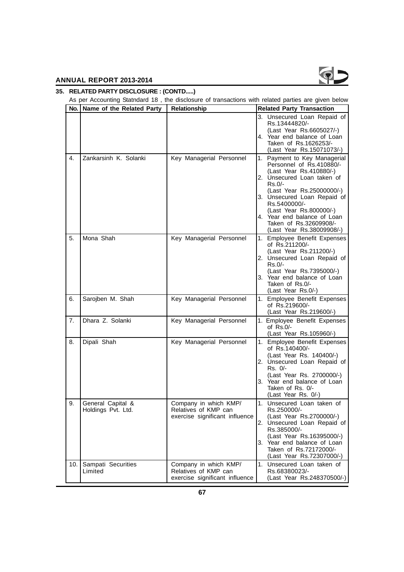

# **35. RELATED PARTY DISCLOSURE : (CONTD.....)**

| No. | Name of the Related Party               | <b>Relationship</b>                                                             | <b>Related Party Transaction</b>                                                                                                                                                                                                                                                                                                      |  |  |
|-----|-----------------------------------------|---------------------------------------------------------------------------------|---------------------------------------------------------------------------------------------------------------------------------------------------------------------------------------------------------------------------------------------------------------------------------------------------------------------------------------|--|--|
|     |                                         |                                                                                 | 3. Unsecured Loan Repaid of<br>Rs.13444820/-<br>(Last Year Rs.6605027/-)<br>4. Year end balance of Loan<br>Taken of Rs.1626253/-<br>(Last Year Rs.15071073/-)                                                                                                                                                                         |  |  |
| 4.  | Zankarsinh K. Solanki                   | Key Managerial Personnel                                                        | 1. Payment to Key Managerial<br>Personnel of Rs.410880/-<br>(Last Year Rs.410880/-)<br>2. Unsecured Loan taken of<br>Rs. <sub>0</sub> /-<br>(Last Year Rs.25000000/-)<br>3. Unsecured Loan Repaid of<br>Rs.5400000/-<br>(Last Year Rs.800000/-)<br>4. Year end balance of Loan<br>Taken of Rs.32609908/-<br>(Last Year Rs.38009908/-) |  |  |
| 5.  | Mona Shah                               | Key Managerial Personnel                                                        | 1. Employee Benefit Expenses<br>of Rs.211200/-<br>(Last Year Rs.211200/-)<br>2. Unsecured Loan Repaid of<br>$Rs.0/-$<br>(Last Year Rs.7395000/-)<br>3. Year end balance of Loan<br>Taken of Rs.0/-<br>(Last Year Rs.0/-)                                                                                                              |  |  |
| 6.  | Sarojben M. Shah                        | Key Managerial Personnel                                                        | 1. Employee Benefit Expenses<br>of Rs.219600/-<br>(Last Year Rs.219600/-)                                                                                                                                                                                                                                                             |  |  |
| 7.  | Dhara Z. Solanki                        | Key Managerial Personnel                                                        | 1. Employee Benefit Expenses<br>of $Rs.0/-$<br>(Last Year Rs.105960/-)                                                                                                                                                                                                                                                                |  |  |
| 8.  | Dipali Shah                             | Key Managerial Personnel                                                        | 1. Employee Benefit Expenses<br>of Rs.140400/-<br>(Last Year Rs. 140400/-)<br>2. Unsecured Loan Repaid of<br>Rs. 0/-<br>(Last Year Rs. 2700000/-)<br>3. Year end balance of Loan<br>Taken of Rs. 0/-<br>(Last Year Rs. 0/-)                                                                                                           |  |  |
| 9.  | General Capital &<br>Holdings Pvt. Ltd. | Company in which KMP/<br>Relatives of KMP can<br>exercise significant influence | 1. Unsecured Loan taken of<br>Rs.250000/-<br>(Last Year Rs.2700000/-)<br>2. Unsecured Loan Repaid of<br>Rs.385000/-<br>(Last Year Rs.16395000/-)<br>3. Year end balance of Loan<br>Taken of Rs.72172000/-<br>(Last Year Rs.72307000/-)                                                                                                |  |  |
| 10. | Sampati Securities<br>Limited           | Company in which KMP/<br>Relatives of KMP can<br>exercise significant influence | 1. Unsecured Loan taken of<br>Rs.68380023/-<br>(Last Year Rs.248370500/-)                                                                                                                                                                                                                                                             |  |  |

As per Accounting Statndard 18 , the disclosure of transactions with related parties are given below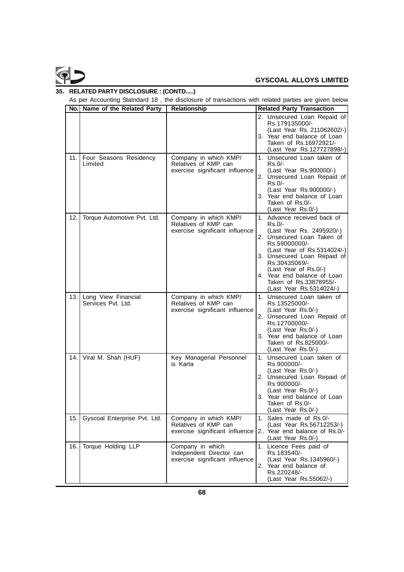

# **35. RELATED PARTY DISCLOSURE : (CONTD.....)**

| No. I       | Name of the Related Party                 | no per noodining diamaara to , are disclosure or nansacions with related parties are given below<br>Relationship |        | <b>Related Party Transaction</b>                                                                                   |
|-------------|-------------------------------------------|------------------------------------------------------------------------------------------------------------------|--------|--------------------------------------------------------------------------------------------------------------------|
|             |                                           |                                                                                                                  |        | 2. Unsecured Loan Repaid of<br>Rs.179135000/-                                                                      |
|             |                                           |                                                                                                                  |        | (Last Year Rs. 211062602/-)<br>3. Year end balance of Loan<br>Taken of Rs.16972921/-<br>(Last Year Rs.127727898/-) |
| 11. $\vert$ | Four Seasons Residency<br>Limited         | Company in which KMP/<br>Relatives of KMP can                                                                    | Rs.0/- | 1. Unsecured Loan taken of                                                                                         |
|             |                                           | exercise significant influence                                                                                   | Rs.0/- | (Last Year Rs.900000/-)<br>2. Unsecured Loan Repaid of                                                             |
|             |                                           |                                                                                                                  |        | (Last Year Rs.900000/-)<br>3. Year end balance of Loan<br>Taken of Rs.0/-<br>(Last Year Rs.0/-)                    |
| 12.         | Torque Automotive Pvt. Ltd.               | Company in which KMP/<br>Relatives of KMP can                                                                    | Rs.0/- | 1. Advance received back of                                                                                        |
|             |                                           | exercise significant influence                                                                                   |        | (Last Year Rs. 2495920/-)<br>2. Unsecured Loan Taken of<br>Rs.59000000/-                                           |
|             |                                           |                                                                                                                  |        | (Last Year of Rs.5314024/-)<br>3. Unsecured Loan Repaid of<br>Rs.30435069/-                                        |
|             |                                           |                                                                                                                  |        | (Last Year of Rs.0/-)<br>4. Year end balance of Loan<br>Taken of Rs.33878955/-<br>(Last Year Rs.5314024/-)         |
| 13.1        | Long View Financial<br>Services Pvt. Ltd. | Company in which KMP/<br>Relatives of KMP can                                                                    |        | 1. Unsecured Loan taken of<br>Rs.13525000/-                                                                        |
|             |                                           | exercise significant influence                                                                                   |        | (Last Year Rs.0/-)<br>2. Unsecured Loan Repaid of<br>Rs.12700000/-                                                 |
|             |                                           |                                                                                                                  |        | (Last Year Rs.0/-)<br>3. Year end balance of Loan<br>Taken of Rs.825000/-<br>(Last Year Rs.0/-)                    |
| 14. I       | Viral M. Shah (HUF)                       | Key Managerial Personnel<br>is Karta                                                                             |        | 1. Unsecured Loan taken of<br>Rs.900000/-                                                                          |
|             |                                           |                                                                                                                  |        | (Last Year Rs.0/-)<br>2. Unsecured Loan Repaid of<br>Rs.900000/-                                                   |
|             |                                           |                                                                                                                  |        | (Last Year Rs.0/-)<br>3. Year end balance of Loan<br>Taken of Rs.0/-<br>(Last Year Rs.0/-)                         |
| 15.1        | Gyscoal Enterprise Pvt. Ltd.              | Company in which KMP/<br>Relatives of KMP can<br>exercise significant influence                                  |        | 1. Sales made of Rs.0/-<br>(Last Year Rs.56712253/-)<br>2 Year end balance of Rs.0/-<br>(Last Year Rs.0/-)         |
| 16.         | Torque Holding LLP                        | Company in which<br>Independent Director can<br>exercise significant influence                                   |        | 1. Licence Fees paid of<br>Rs.183540/-<br>(Last Year Rs.1345960/-)                                                 |
|             |                                           |                                                                                                                  |        | 2. Year end balance of<br>Rs.220248/-<br>(Last Year Rs.55062/-)                                                    |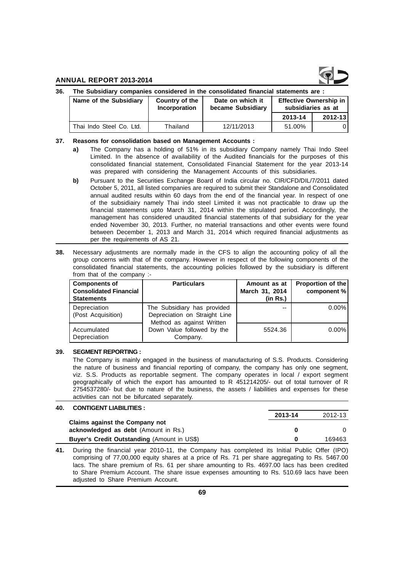

## **ANNUAL REPORT 2013-2014**

| 36. | The Subsidiary companies considered in the consolidated financial statements are : |                                 |                                       |                                                     |         |  |
|-----|------------------------------------------------------------------------------------|---------------------------------|---------------------------------------|-----------------------------------------------------|---------|--|
|     | Name of the Subsidiary                                                             | Country of the<br>Incorporation | Date on which it<br>became Subsidiary | <b>Effective Ownership in</b><br>subsidiaries as at |         |  |
|     |                                                                                    |                                 |                                       | 2013-14                                             | 2012-13 |  |
|     | Thai Indo Steel Co. Ltd.                                                           | Thailand                        | 12/11/2013                            | 51.00%                                              |         |  |

#### **37. Reasons for consolidation based on Management Accounts :**

- **a)** The Company has a holding of 51% in its subsidiary Company namely Thai Indo Steel Limited. In the absence of availability of the Audited financials for the purposes of this consolidated financial statement, Consolidated Financial Statement for the year 2013-14 was prepared with considering the Management Accounts of this subsidiaries.
- **b)** Pursuant to the Securities Exchange Board of India circular no. CIR/CFD/DIL/7/2011 dated October 5, 2011, all listed companies are required to submit their Standalone and Consolidated annual audited results within 60 days from the end of the financial year. In respect of one of the subsidiairy namely Thai indo steel Limited it was not practicable to draw up the financial statements upto March 31, 2014 within the stipulated period. Accordingly, the management has considered unaudited financial statements of that subsidiary for the year ended November 30, 2013. Further, no material transactions and other events were found between December 1, 2013 and March 31, 2014 which required financial adjustments as per the requirements of AS 21.
- **38.** Necessary adjustments are normally made in the CFS to align the accounting policy of all the group concerns with that of the company. However in respect of the following components of the consolidated financial statements, the accounting policies followed by the subsidiary is different from that of the company :-

| <b>Components of</b><br><b>Consolidated Financial</b><br><b>Statements</b> | <b>Particulars</b>                                                                        | Amount as at<br>March 31, 2014<br>(in Rs.) | Proportion of the<br>component % |
|----------------------------------------------------------------------------|-------------------------------------------------------------------------------------------|--------------------------------------------|----------------------------------|
| Depreciation<br>(Post Acquisition)                                         | The Subsidiary has provided<br>Depreciation on Straight Line<br>Method as against Written | $- -$                                      | $0.00\%$                         |
| Accumulated<br>Depreciation                                                | Down Value followed by the<br>Company.                                                    | 5524.36                                    | $0.00\%$                         |

#### **39. SEGMENT REPORTING :**

The Company is mainly engaged in the business of manufacturing of S.S. Products. Considering the nature of business and financial reporting of company, the company has only one segment, viz. S.S. Products as reportable segment. The company operates in local / export segment geographically of which the export has amounted to R 451214205/- out of total turnover of R 2754537280/- but due to nature of the business, the assets / liabilities and expenses for these activities can not be bifurcated separately.

| IO. | <b>CONTIGENT LIABILITIES:</b>                      |         |         |
|-----|----------------------------------------------------|---------|---------|
|     |                                                    | 2013-14 | 2012-13 |
|     | Claims against the Company not                     |         |         |
|     | <b>acknowledged as debt</b> (Amount in Rs.)        | n       |         |
|     | <b>Buyer's Credit Outstanding (Amount in US\$)</b> |         | 169463  |

#### **41.** During the financial year 2010-11, the Company has completed its Initial Public Offer (IPO) comprising of 77,00,000 equity shares at a price of Rs. 71 per share aggregating to Rs. 5467.00 lacs. The share premium of Rs. 61 per share amounting to Rs. 4697.00 lacs has been credited to Share Premium Account. The share issue expenses amounting to Rs. 510.69 lacs have been adjusted to Share Premium Account.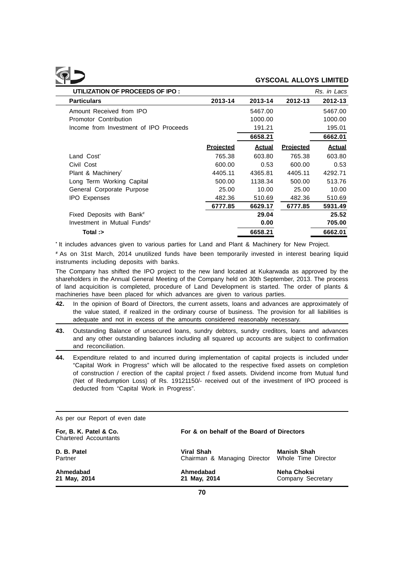

### **GYSCOAL ALLOYS LIMITED**

|                  |               |                  | Rs. in Lacs   |
|------------------|---------------|------------------|---------------|
| 2013-14          | 2013-14       | 2012-13          | 2012-13       |
|                  | 5467.00       |                  | 5467.00       |
|                  | 1000.00       |                  | 1000.00       |
|                  | 191.21        |                  | 195.01        |
|                  | 6658.21       |                  | 6662.01       |
| <b>Projected</b> | <b>Actual</b> | <b>Projected</b> | <b>Actual</b> |
| 765.38           | 603.80        | 765.38           | 603.80        |
| 600.00           | 0.53          | 600.00           | 0.53          |
| 4405.11          | 4365.81       | 4405.11          | 4292.71       |
| 500.00           | 1138.34       | 500.00           | 513.76        |
| 25.00            | 10.00         | 25.00            | 10.00         |
| 482.36           | 510.69        | 482.36           | 510.69        |
| 6777.85          | 6629.17       | 6777.85          | 5931.49       |
|                  | 29.04         |                  | 25.52         |
|                  | 0.00          |                  | 705.00        |
|                  | 6658.21       |                  | 6662.01       |
|                  |               |                  |               |

**\*** It includes advances given to various parties for Land and Plant & Machinery for New Project.

**#** As on 31st March, 2014 unutilized funds have been temporarily invested in interest bearing liquid instruments including deposits with banks.

The Company has shifted the IPO project to the new land located at Kukarwada as approved by the shareholders in the Annual General Meeting of the Company held on 30th September, 2013. The process of land acquicition is completed, procedure of Land Development is started. The order of plants & machineries have been placed for which advances are given to various parties.

- **42.** In the opinion of Board of Directors, the current assets, loans and advances are approximately of the value stated, if realized in the ordinary course of business. The provision for all liabilities is adequate and not in excess of the amounts considered reasonably necessary.
- **43.** Outstanding Balance of unsecured loans, sundry debtors, sundry creditors, loans and advances and any other outstanding balances including all squared up accounts are subject to confirmation and reconciliation.
- **44.** Expenditure related to and incurred during implementation of capital projects is included under "Capital Work in Progress" which will be allocated to the respective fixed assets on completion of construction / erection of the capital project / fixed assets. Dividend income from Mutual fund (Net of Redumption Loss) of Rs. 19121150/- received out of the investment of IPO proceed is deducted from "Capital Work in Progress".

| Ahmedabad<br>21 May, 2014                              | Ahmedabad<br>21 May, 2014                                      | Neha Choksi<br>Company Secretary |
|--------------------------------------------------------|----------------------------------------------------------------|----------------------------------|
| D. B. Patel<br>Partner                                 | Viral Shah<br>Chairman & Managing Director Whole Time Director | <b>Manish Shah</b>               |
| For, B. K. Patel & Co.<br><b>Chartered Accountants</b> | For & on behalf of the Board of Directors                      |                                  |
| As per our Report of even date                         |                                                                |                                  |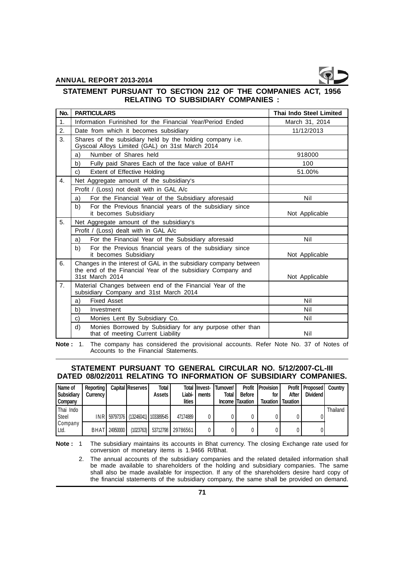

### **ANNUAL REPORT 2013-2014**

## **STATEMENT PURSUANT TO SECTION 212 OF THE COMPANIES ACT, 1956 RELATING TO SUBSIDIARY COMPANIES :**

| No.            | <b>PARTICULARS</b>                                                                                                                                 | <b>Thai Indo Steel Limited</b> |
|----------------|----------------------------------------------------------------------------------------------------------------------------------------------------|--------------------------------|
| 1.             | Information Furinished for the Financial Year/Period Ended                                                                                         | March 31, 2014                 |
| 2.             | Date from which it becomes subsidiary                                                                                                              | 11/12/2013                     |
| 3.             | Shares of the subsidiary held by the holding company i.e.<br>Gyscoal Alloys Limited (GAL) on 31st March 2014                                       |                                |
|                | Number of Shares held<br>a)                                                                                                                        | 918000                         |
|                | Fully paid Shares Each of the face value of BAHT<br>b)                                                                                             | 100                            |
|                | Extent of Effective Holding<br>c)                                                                                                                  | 51.00%                         |
| $\mathbf{4}$ . | Net Aggregate amount of the subsidiary's                                                                                                           |                                |
|                | Profit / (Loss) not dealt with in GAL A/c                                                                                                          |                                |
|                | For the Financial Year of the Subsidiary aforesaid<br>a)                                                                                           | Nil                            |
|                | For the Previous financial years of the subsidiary since<br>b)<br>it becomes Subsidiary                                                            | Not Applicable                 |
| 5.             | Net Aggregate amount of the subsidiary's                                                                                                           |                                |
|                | Profit / (Loss) dealt with in GAL A/c                                                                                                              |                                |
|                | For the Financial Year of the Subsidiary aforesaid<br>a)                                                                                           | Nil                            |
|                | For the Previous financial years of the subsidiary since<br>b)<br>it becomes Subsidiary                                                            | Not Applicable                 |
| 6.             | Changes in the interest of GAL in the subsidiary company between<br>the end of the Financial Year of the subsidiary Company and<br>31st March 2014 | Not Applicable                 |
| 7 <sub>1</sub> | Material Changes between end of the Financial Year of the<br>subsidiary Company and 31st March 2014                                                |                                |
|                | <b>Fixed Asset</b><br>a)                                                                                                                           | Nil                            |
|                | b)<br>Investment                                                                                                                                   | Nil                            |
|                | Monies Lent By Subsidiary Co.<br>c)                                                                                                                | Nil                            |
|                | Monies Borrowed by Subsidiary for any purpose other than<br>d)<br>that of meeting Current Liability                                                | Nil                            |

**Note :** 1. The company has considered the provisional accounts. Refer Note No. 37 of Notes of Accounts to the Financial Statements.

## **STATEMENT PURSUANT TO GENERAL CIRCULAR NO. 5/12/2007-CL-III DATED 08/02/2011 RELATING TO INFORMATION OF SUBSIDIARY COMPANIES.**

| l Name of<br>Subsidiary<br>Company | Reporting  <br>Currency |          | <b>Capital IReserves I</b>        | Total<br>Assets | Liabi-<br>lities  | Total IInvest<br>ments | l Turnover/<br>Total | Before<br>Income Taxation | Profit IProvision<br>for | After<br><b>Taxation   Taxation</b> | Profit   Proposed  <br><b>Dividend</b> | Country  |
|------------------------------------|-------------------------|----------|-----------------------------------|-----------------|-------------------|------------------------|----------------------|---------------------------|--------------------------|-------------------------------------|----------------------------------------|----------|
| Thai Indo<br>Steel                 |                         |          | INR 59797376 (13246041) 103389545 |                 | 47174889          |                        |                      |                           |                          |                                     |                                        | Thailand |
| Company<br>l Ltd.                  | BHATI                   | 24950000 | (1023763)                         |                 | 53712798 29786561 |                        |                      |                           |                          |                                     |                                        |          |

**Note :** 1 The subsidiary maintains its accounts in Bhat currency. The closing Exchange rate used for conversion of monetary items is 1.9466 R/Bhat.

2. The annual accounts of the subsidiary companies and the related detailed information shall be made available to shareholders of the holding and subsidiary companies. The same shall also be made available for inspection. If any of the shareholders desire hard copy of the financial statements of the subsidiary company, the same shall be provided on demand.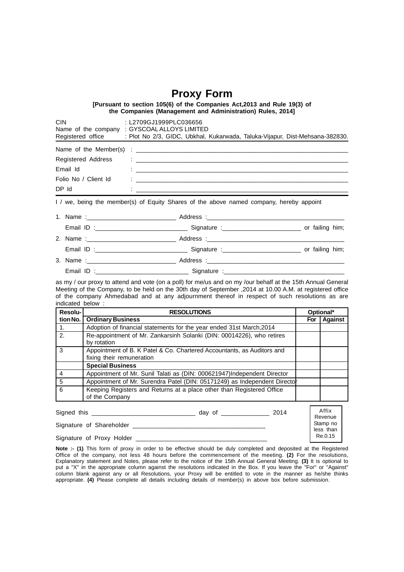# **Proxy Form**

**[Pursuant to section 105(6) of the Companies Act,2013 and Rule 19(3) of the Companies (Management and Administration) Rules, 2014]**

| <b>CIN</b>           | : L2709GJ1999PLC036656                                                                                          |
|----------------------|-----------------------------------------------------------------------------------------------------------------|
|                      | Name of the company : GYSCOAL ALLOYS LIMITED                                                                    |
| Registered office    | : Plot No 2/3, GIDC, Ubkhal, Kukarwada, Taluka-Vijapur, Dist-Mehsana-382830.                                    |
|                      |                                                                                                                 |
| Registered Address   | the contract of the contract of the contract of the contract of the contract of the contract of the contract of |
| Email Id             | the control of the control of the control of the control of the control of                                      |
| Folio No / Client Id | <u> 1989 - Johann Stein, mars an deutscher Stein († 1958)</u>                                                   |
| DP Id                |                                                                                                                 |
|                      |                                                                                                                 |

I / we, being the member(s) of Equity Shares of the above named company, hereby appoint

as my / our proxy to attend and vote (on a poll) for me/us and on my /our behalf at the 15th Annual General Meeting of the Company, to be held on the 30th day of September ,2014 at 10.00 A.M. at registered office of the company Ahmedabad and at any adjournment thereof in respect of such resolutions as are indicated below :

| Resolu-     | <b>RESOLUTIONS</b>                                                                                  |     | Optional* |
|-------------|-----------------------------------------------------------------------------------------------------|-----|-----------|
| tion No.    | <b>Ordinary Business</b>                                                                            | For | Against   |
| 1.          | Adoption of financial statements for the year ended 31st March, 2014                                |     |           |
| 2.          | Re-appointment of Mr. Zankarsinh Solanki (DIN: 00014226), who retires<br>by rotation                |     |           |
| 3           | Appointment of B. K Patel & Co. Chartered Accountants, as Auditors and<br>fixing their remuneration |     |           |
|             | <b>Special Business</b>                                                                             |     |           |
| 4           | Appointment of Mr. Sunil Talati as (DIN: 000621947)Independent Director                             |     |           |
| 5           | Appointment of Mr. Surendra Patel (DIN: 05171249) as Independent Director                           |     |           |
| 6           | Keeping Registers and Returns at a place other than Registered Office<br>of the Company             |     |           |
| Sianed this | 2014<br>day of                                                                                      |     | Affix     |

| Signed this |                           | dav of | 2014 | Affix<br>Revenue      |  |
|-------------|---------------------------|--------|------|-----------------------|--|
|             | Signature of Shareholder  |        |      | Stamp no<br>less than |  |
|             | Signature of Proxy Holder |        |      | Re.0.15               |  |

**Note :- (1)** This form of proxy in order to be effective should be duly completed and deposited at the Registered Office of the company, not less 48 hours before the commencement of the meeting. **(2)** For the resolutions, Explanatory statement and Notes, please refer to the notice of the 15th Annual General Meeting. **(3)** It is optional to put a "X" in the appropriate column against the resolutions indicated in the Box. If you leave the "For" or "Against" column blank against any or all Resolutions, your Proxy will be entitled to vote in the manner as he/she thinks appropriate. **(4)** Please complete all details including details of member(s) in above box before submission.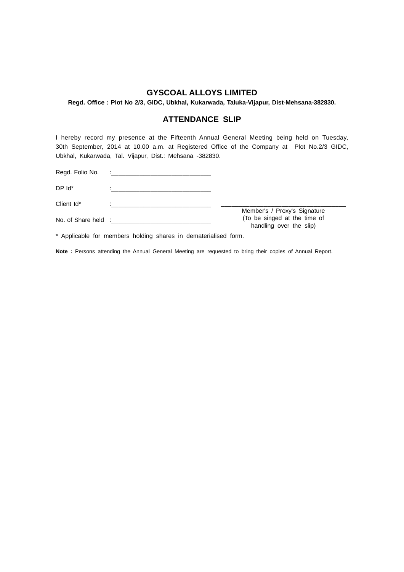## **GYSCOAL ALLOYS LIMITED**

**Regd. Office : Plot No 2/3, GIDC, Ubkhal, Kukarwada, Taluka-Vijapur, Dist-Mehsana-382830.**

## **ATTENDANCE SLIP**

I hereby record my presence at the Fifteenth Annual General Meeting being held on Tuesday, 30th September, 2014 at 10.00 a.m. at Registered Office of the Company at Plot No.2/3 GIDC, Ubkhal, Kukarwada, Tal. Vijapur, Dist.: Mehsana -382830.

| DP Id*     |                                                           |                                                         |
|------------|-----------------------------------------------------------|---------------------------------------------------------|
| Client Id* | $\mathcal{L}_{\text{max}}$ and $\mathcal{L}_{\text{max}}$ | Member's / Proxy's Signature                            |
|            | No. of Share held : No. of Share held :                   | (To be singed at the time of<br>handling over the slip) |
|            |                                                           |                                                         |

\* Applicable for members holding shares in dematerialised form.

Note : Persons attending the Annual General Meeting are requested to bring their copies of Annual Report.